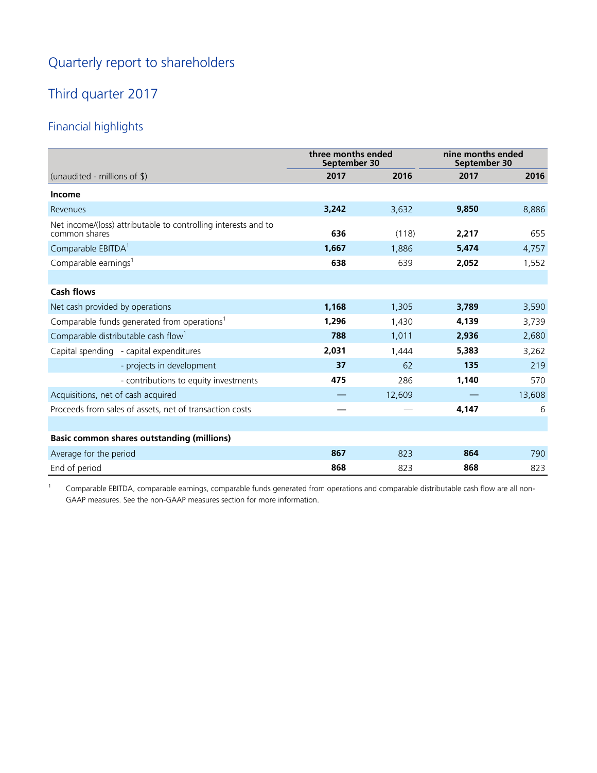# Quarterly report to shareholders

# Third quarter 2017

# Financial highlights

|                                                                                 | three months ended<br>September 30 |        | nine months ended<br>September 30 |        |
|---------------------------------------------------------------------------------|------------------------------------|--------|-----------------------------------|--------|
| (unaudited - millions of $\$\$ )                                                | 2017                               | 2016   | 2017                              | 2016   |
| <b>Income</b>                                                                   |                                    |        |                                   |        |
| Revenues                                                                        | 3,242                              | 3,632  | 9,850                             | 8,886  |
| Net income/(loss) attributable to controlling interests and to<br>common shares | 636                                | (118)  | 2,217                             | 655    |
| Comparable EBITDA <sup>1</sup>                                                  | 1,667                              | 1.886  | 5,474                             | 4,757  |
| Comparable earnings <sup>1</sup>                                                | 638                                | 639    | 2,052                             | 1,552  |
|                                                                                 |                                    |        |                                   |        |
| <b>Cash flows</b>                                                               |                                    |        |                                   |        |
| Net cash provided by operations                                                 | 1,168                              | 1,305  | 3,789                             | 3,590  |
| Comparable funds generated from operations <sup>1</sup>                         | 1,296                              | 1,430  | 4,139                             | 3,739  |
| Comparable distributable cash flow <sup>1</sup>                                 | 788                                | 1,011  | 2,936                             | 2,680  |
| Capital spending - capital expenditures                                         | 2,031                              | 1,444  | 5,383                             | 3,262  |
| - projects in development                                                       | 37                                 | 62     | 135                               | 219    |
| - contributions to equity investments                                           | 475                                | 286    | 1,140                             | 570    |
| Acquisitions, net of cash acquired                                              |                                    | 12,609 |                                   | 13,608 |
| Proceeds from sales of assets, net of transaction costs                         |                                    |        | 4,147                             | 6      |
|                                                                                 |                                    |        |                                   |        |
| <b>Basic common shares outstanding (millions)</b>                               |                                    |        |                                   |        |
| Average for the period                                                          | 867                                | 823    | 864                               | 790    |
| End of period                                                                   | 868                                | 823    | 868                               | 823    |

<sup>1</sup> Comparable EBITDA, comparable earnings, comparable funds generated from operations and comparable distributable cash flow are all non-GAAP measures. See the non-GAAP measures section for more information.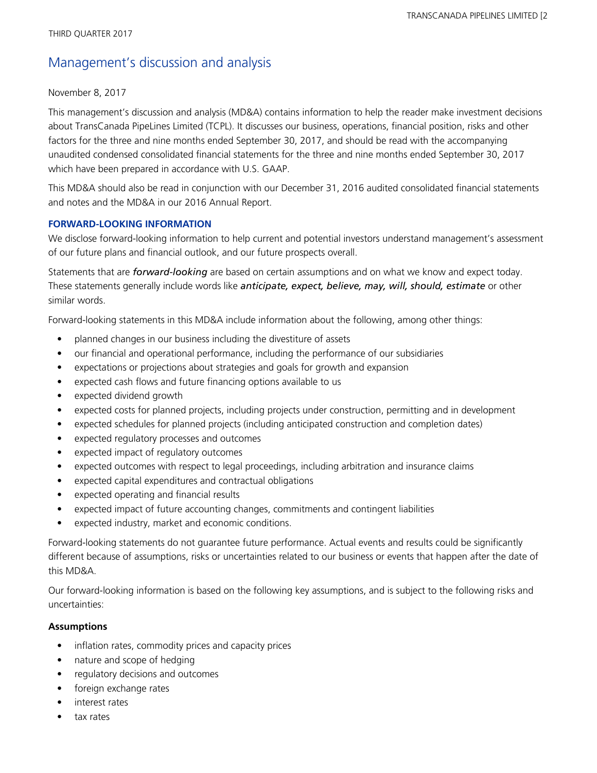# Management's discussion and analysis

#### November 8, 2017

This management's discussion and analysis (MD&A) contains information to help the reader make investment decisions about TransCanada PipeLines Limited (TCPL). It discusses our business, operations, financial position, risks and other factors for the three and nine months ended September 30, 2017, and should be read with the accompanying unaudited condensed consolidated financial statements for the three and nine months ended September 30, 2017 which have been prepared in accordance with U.S. GAAP.

This MD&A should also be read in conjunction with our December 31, 2016 audited consolidated financial statements and notes and the MD&A in our 2016 Annual Report.

### **FORWARD-LOOKING INFORMATION**

We disclose forward-looking information to help current and potential investors understand management's assessment of our future plans and financial outlook, and our future prospects overall.

Statements that are *forward-looking* are based on certain assumptions and on what we know and expect today. These statements generally include words like *anticipate, expect, believe, may, will, should, estimate* or other similar words.

Forward-looking statements in this MD&A include information about the following, among other things:

- planned changes in our business including the divestiture of assets
- our financial and operational performance, including the performance of our subsidiaries
- expectations or projections about strategies and goals for growth and expansion
- expected cash flows and future financing options available to us
- expected dividend growth
- expected costs for planned projects, including projects under construction, permitting and in development
- expected schedules for planned projects (including anticipated construction and completion dates)
- expected regulatory processes and outcomes
- expected impact of regulatory outcomes
- expected outcomes with respect to legal proceedings, including arbitration and insurance claims
- expected capital expenditures and contractual obligations
- expected operating and financial results
- expected impact of future accounting changes, commitments and contingent liabilities
- expected industry, market and economic conditions.

Forward-looking statements do not guarantee future performance. Actual events and results could be significantly different because of assumptions, risks or uncertainties related to our business or events that happen after the date of this MD&A.

Our forward-looking information is based on the following key assumptions, and is subject to the following risks and uncertainties:

### **Assumptions**

- inflation rates, commodity prices and capacity prices
- nature and scope of hedging
- regulatory decisions and outcomes
- foreign exchange rates
- interest rates
- tax rates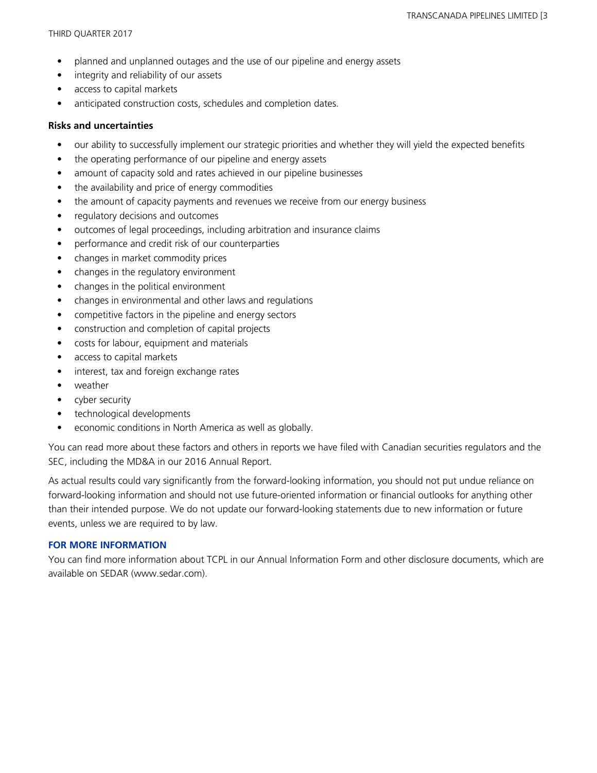- planned and unplanned outages and the use of our pipeline and energy assets
- integrity and reliability of our assets
- access to capital markets
- anticipated construction costs, schedules and completion dates.

### **Risks and uncertainties**

- our ability to successfully implement our strategic priorities and whether they will yield the expected benefits
- the operating performance of our pipeline and energy assets
- amount of capacity sold and rates achieved in our pipeline businesses
- the availability and price of energy commodities
- the amount of capacity payments and revenues we receive from our energy business
- regulatory decisions and outcomes
- outcomes of legal proceedings, including arbitration and insurance claims
- performance and credit risk of our counterparties
- changes in market commodity prices
- changes in the regulatory environment
- changes in the political environment
- changes in environmental and other laws and regulations
- competitive factors in the pipeline and energy sectors
- construction and completion of capital projects
- costs for labour, equipment and materials
- access to capital markets
- interest, tax and foreign exchange rates
- weather
- cyber security
- technological developments
- economic conditions in North America as well as globally.

You can read more about these factors and others in reports we have filed with Canadian securities regulators and the SEC, including the MD&A in our 2016 Annual Report.

As actual results could vary significantly from the forward-looking information, you should not put undue reliance on forward-looking information and should not use future-oriented information or financial outlooks for anything other than their intended purpose. We do not update our forward-looking statements due to new information or future events, unless we are required to by law.

### **FOR MORE INFORMATION**

You can find more information about TCPL in our Annual Information Form and other disclosure documents, which are available on SEDAR (www.sedar.com).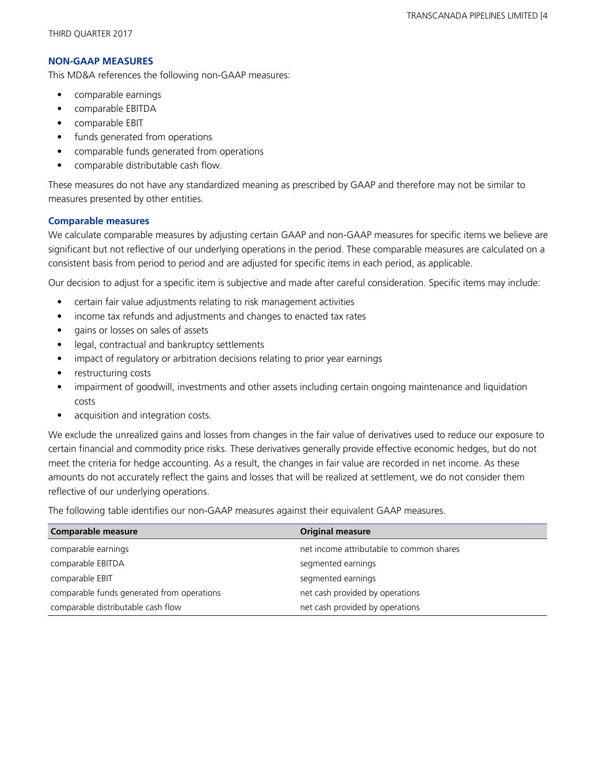### **NON-GAAP MEASURES**

This MD&A references the following non-GAAP measures:

- **•** comparable earnings
- comparable EBITDA
- comparable EBIT
- funds generated from operations
- comparable funds generated from operations
- comparable distributable cash flow.

These measures do not have any standardized meaning as prescribed by GAAP and therefore may not be similar to measures presented by other entities.

## **Comparable measures**

We calculate comparable measures by adjusting certain GAAP and non-GAAP measures for specific items we believe are significant but not reflective of our underlying operations in the period. These comparable measures are calculated on a consistent basis from period to period and are adjusted for specific items in each period, as applicable.

Our decision to adjust for a specific item is subjective and made after careful consideration. Specific items may include:

- **•** certain fair value adjustments relating to risk management activities
- **•** income tax refunds and adjustments and changes to enacted tax rates
- **•** gains or losses on sales of assets
- **•** legal, contractual and bankruptcy settlements
- impact of regulatory or arbitration decisions relating to prior year earnings
- restructuring costs
- **•** impairment of goodwill, investments and other assets including certain ongoing maintenance and liquidation costs
- acquisition and integration costs.

We exclude the unrealized gains and losses from changes in the fair value of derivatives used to reduce our exposure to certain financial and commodity price risks. These derivatives generally provide effective economic hedges, but do not meet the criteria for hedge accounting. As a result, the changes in fair value are recorded in net income. As these amounts do not accurately reflect the gains and losses that will be realized at settlement, we do not consider them reflective of our underlying operations.

The following table identifies our non-GAAP measures against their equivalent GAAP measures.

| <b>Comparable measure</b>                  | <b>Original measure</b>                  |
|--------------------------------------------|------------------------------------------|
| comparable earnings                        | net income attributable to common shares |
| comparable EBITDA                          | segmented earnings                       |
| comparable EBIT                            | segmented earnings                       |
| comparable funds generated from operations | net cash provided by operations          |
| comparable distributable cash flow         | net cash provided by operations          |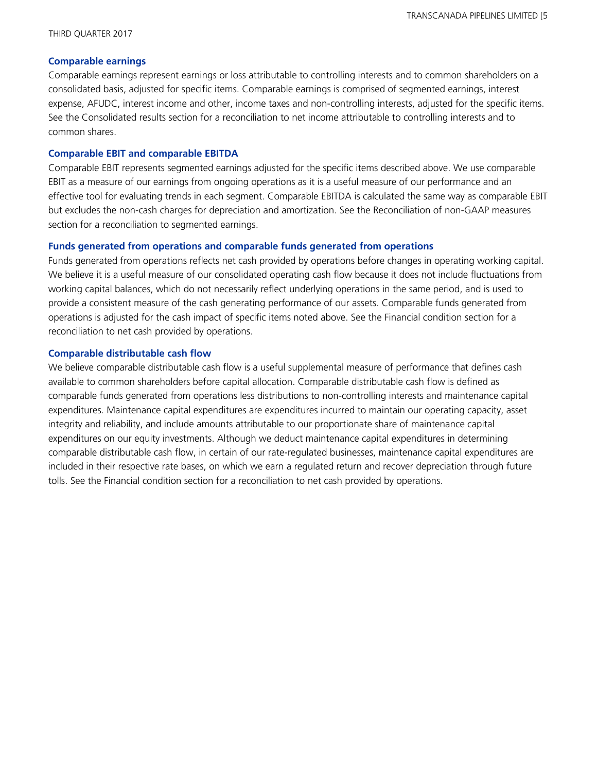#### **Comparable earnings**

Comparable earnings represent earnings or loss attributable to controlling interests and to common shareholders on a consolidated basis, adjusted for specific items. Comparable earnings is comprised of segmented earnings, interest expense, AFUDC, interest income and other, income taxes and non-controlling interests, adjusted for the specific items. See the Consolidated results section for a reconciliation to net income attributable to controlling interests and to common shares.

#### **Comparable EBIT and comparable EBITDA**

Comparable EBIT represents segmented earnings adjusted for the specific items described above. We use comparable EBIT as a measure of our earnings from ongoing operations as it is a useful measure of our performance and an effective tool for evaluating trends in each segment. Comparable EBITDA is calculated the same way as comparable EBIT but excludes the non-cash charges for depreciation and amortization. See the Reconciliation of non-GAAP measures section for a reconciliation to segmented earnings.

#### **Funds generated from operations and comparable funds generated from operations**

Funds generated from operations reflects net cash provided by operations before changes in operating working capital. We believe it is a useful measure of our consolidated operating cash flow because it does not include fluctuations from working capital balances, which do not necessarily reflect underlying operations in the same period, and is used to provide a consistent measure of the cash generating performance of our assets. Comparable funds generated from operations is adjusted for the cash impact of specific items noted above. See the Financial condition section for a reconciliation to net cash provided by operations.

#### **Comparable distributable cash flow**

We believe comparable distributable cash flow is a useful supplemental measure of performance that defines cash available to common shareholders before capital allocation. Comparable distributable cash flow is defined as comparable funds generated from operations less distributions to non-controlling interests and maintenance capital expenditures. Maintenance capital expenditures are expenditures incurred to maintain our operating capacity, asset integrity and reliability, and include amounts attributable to our proportionate share of maintenance capital expenditures on our equity investments. Although we deduct maintenance capital expenditures in determining comparable distributable cash flow, in certain of our rate-regulated businesses, maintenance capital expenditures are included in their respective rate bases, on which we earn a regulated return and recover depreciation through future tolls. See the Financial condition section for a reconciliation to net cash provided by operations.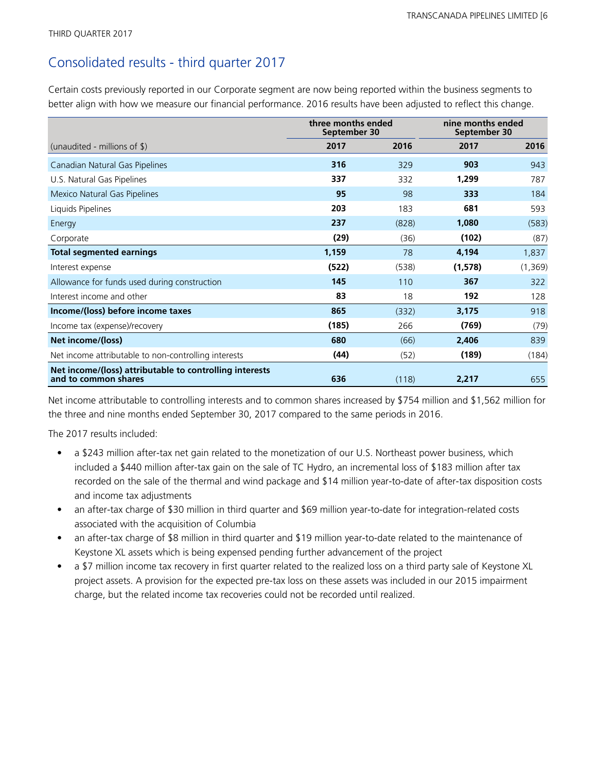## Consolidated results - third quarter 2017

Certain costs previously reported in our Corporate segment are now being reported within the business segments to better align with how we measure our financial performance. 2016 results have been adjusted to reflect this change.

|                                                                                 | three months ended<br>September 30 |       | nine months ended<br>September 30 |          |
|---------------------------------------------------------------------------------|------------------------------------|-------|-----------------------------------|----------|
| (unaudited - millions of $\$\$ )                                                | 2017                               | 2016  | 2017                              | 2016     |
| Canadian Natural Gas Pipelines                                                  | 316                                | 329   | 903                               | 943      |
| U.S. Natural Gas Pipelines                                                      | 337                                | 332   | 1,299                             | 787      |
| Mexico Natural Gas Pipelines                                                    | 95                                 | 98    | 333                               | 184      |
| Liquids Pipelines                                                               | 203                                | 183   | 681                               | 593      |
| Energy                                                                          | 237                                | (828) | 1,080                             | (583)    |
| Corporate                                                                       | (29)                               | (36)  | (102)                             | (87)     |
| <b>Total segmented earnings</b>                                                 | 1,159                              | 78    | 4,194                             | 1,837    |
| Interest expense                                                                | (522)                              | (538) | (1, 578)                          | (1, 369) |
| Allowance for funds used during construction                                    | 145                                | 110   | 367                               | 322      |
| Interest income and other                                                       | 83                                 | 18    | 192                               | 128      |
| Income/(loss) before income taxes                                               | 865                                | (332) | 3,175                             | 918      |
| Income tax (expense)/recovery                                                   | (185)                              | 266   | (769)                             | (79)     |
| Net income/(loss)                                                               | 680                                | (66)  | 2,406                             | 839      |
| Net income attributable to non-controlling interests                            | (44)                               | (52)  | (189)                             | (184)    |
| Net income/(loss) attributable to controlling interests<br>and to common shares | 636                                | (118) | 2,217                             | 655      |

Net income attributable to controlling interests and to common shares increased by \$754 million and \$1,562 million for the three and nine months ended September 30, 2017 compared to the same periods in 2016.

The 2017 results included:

- a \$243 million after-tax net gain related to the monetization of our U.S. Northeast power business, which included a \$440 million after-tax gain on the sale of TC Hydro, an incremental loss of \$183 million after tax recorded on the sale of the thermal and wind package and \$14 million year-to-date of after-tax disposition costs and income tax adjustments
- an after-tax charge of \$30 million in third quarter and \$69 million year-to-date for integration-related costs associated with the acquisition of Columbia
- an after-tax charge of \$8 million in third quarter and \$19 million year-to-date related to the maintenance of Keystone XL assets which is being expensed pending further advancement of the project
- a \$7 million income tax recovery in first quarter related to the realized loss on a third party sale of Keystone XL project assets. A provision for the expected pre-tax loss on these assets was included in our 2015 impairment charge, but the related income tax recoveries could not be recorded until realized.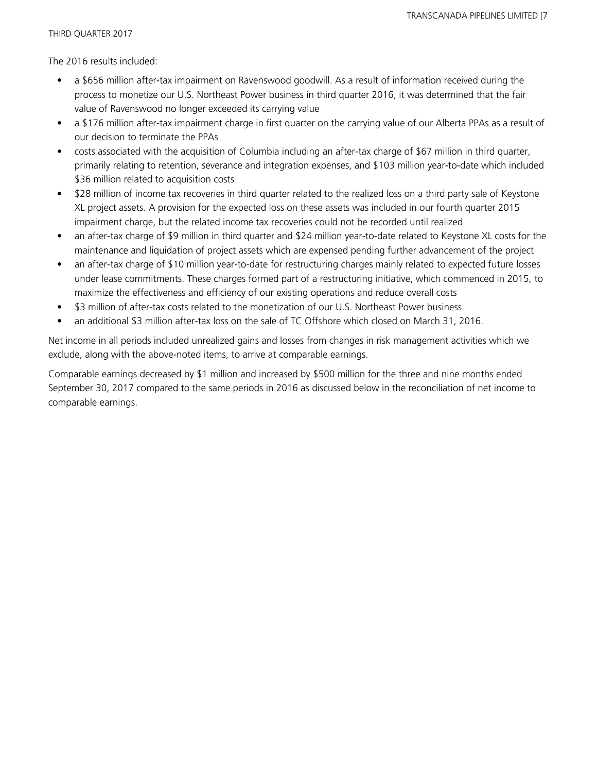The 2016 results included:

- a \$656 million after-tax impairment on Ravenswood goodwill. As a result of information received during the process to monetize our U.S. Northeast Power business in third quarter 2016, it was determined that the fair value of Ravenswood no longer exceeded its carrying value
- a \$176 million after-tax impairment charge in first quarter on the carrying value of our Alberta PPAs as a result of our decision to terminate the PPAs
- costs associated with the acquisition of Columbia including an after-tax charge of \$67 million in third quarter, primarily relating to retention, severance and integration expenses, and \$103 million year-to-date which included \$36 million related to acquisition costs
- \$28 million of income tax recoveries in third quarter related to the realized loss on a third party sale of Keystone XL project assets. A provision for the expected loss on these assets was included in our fourth quarter 2015 impairment charge, but the related income tax recoveries could not be recorded until realized
- an after-tax charge of \$9 million in third quarter and \$24 million year-to-date related to Keystone XL costs for the maintenance and liquidation of project assets which are expensed pending further advancement of the project
- an after-tax charge of \$10 million year-to-date for restructuring charges mainly related to expected future losses under lease commitments. These charges formed part of a restructuring initiative, which commenced in 2015, to maximize the effectiveness and efficiency of our existing operations and reduce overall costs
- \$3 million of after-tax costs related to the monetization of our U.S. Northeast Power business
- an additional \$3 million after-tax loss on the sale of TC Offshore which closed on March 31, 2016.

Net income in all periods included unrealized gains and losses from changes in risk management activities which we exclude, along with the above-noted items, to arrive at comparable earnings.

Comparable earnings decreased by \$1 million and increased by \$500 million for the three and nine months ended September 30, 2017 compared to the same periods in 2016 as discussed below in the reconciliation of net income to comparable earnings.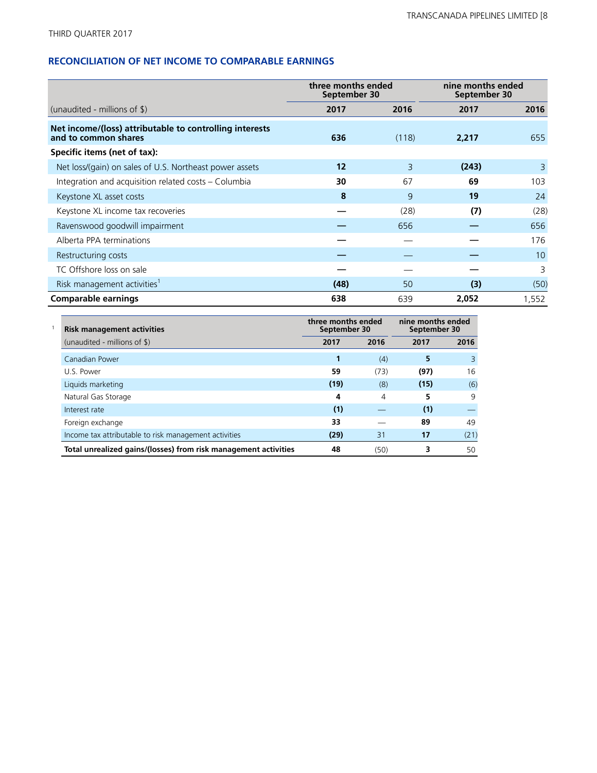## **RECONCILIATION OF NET INCOME TO COMPARABLE EARNINGS**

|                                                                                 | three months ended<br>September 30 |       | nine months ended<br>September 30 |       |
|---------------------------------------------------------------------------------|------------------------------------|-------|-----------------------------------|-------|
| (unaudited - millions of $\frac{1}{2}$ )                                        | 2017                               | 2016  | 2017                              | 2016  |
| Net income/(loss) attributable to controlling interests<br>and to common shares | 636                                | (118) | 2,217                             | 655   |
| Specific items (net of tax):                                                    |                                    |       |                                   |       |
| Net loss/(gain) on sales of U.S. Northeast power assets                         | 12                                 | 3     | (243)                             | 3     |
| Integration and acquisition related costs - Columbia                            | 30                                 | 67    | 69                                | 103   |
| Keystone XL asset costs                                                         | 8                                  | 9     | 19                                | 24    |
| Keystone XL income tax recoveries                                               |                                    | (28)  | (7)                               | (28)  |
| Ravenswood goodwill impairment                                                  |                                    | 656   |                                   | 656   |
| Alberta PPA terminations                                                        |                                    |       |                                   | 176   |
| Restructuring costs                                                             |                                    |       |                                   | 10    |
| TC Offshore loss on sale                                                        |                                    |       |                                   | 3     |
| Risk management activities <sup>1</sup>                                         | (48)                               | 50    | (3)                               | (50)  |
| <b>Comparable earnings</b>                                                      | 638                                | 639   | 2,052                             | 1,552 |

| <b>Risk management activities</b>                               | three months ended<br>September 30 |      | nine months ended<br>September 30 |      |
|-----------------------------------------------------------------|------------------------------------|------|-----------------------------------|------|
| (unaudited - millions of \$)                                    | 2017                               | 2016 | 2017                              | 2016 |
| Canadian Power                                                  |                                    | (4)  | 5                                 | 3    |
| U.S. Power                                                      | 59                                 | (73) | (97)                              | 16   |
| Liquids marketing                                               | (19)                               | (8)  | (15)                              | (6)  |
| Natural Gas Storage                                             | 4                                  | 4    | 5.                                | 9    |
| Interest rate                                                   | (1)                                |      | (1)                               |      |
| Foreign exchange                                                | 33                                 |      | 89                                | 49   |
| Income tax attributable to risk management activities           | (29)                               | 31   | 17                                | (21) |
| Total unrealized gains/(losses) from risk management activities | 48                                 | (50) | 3                                 | 50   |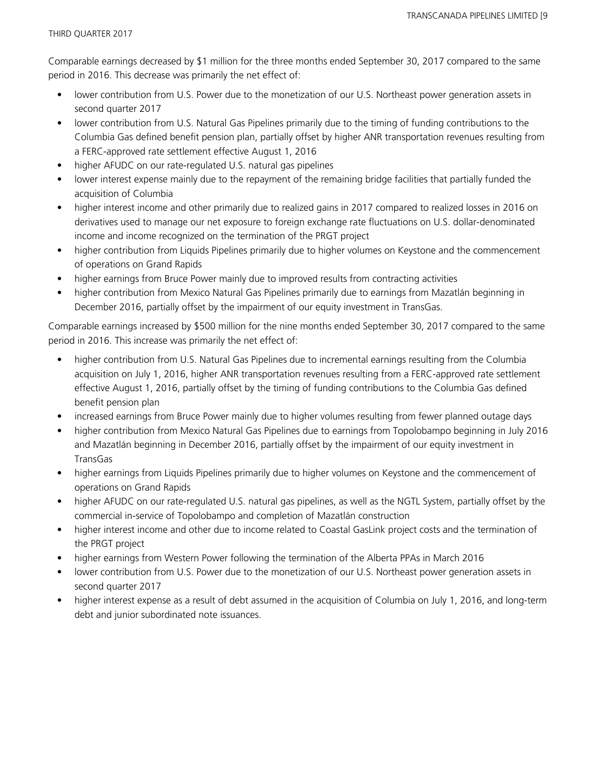Comparable earnings decreased by \$1 million for the three months ended September 30, 2017 compared to the same period in 2016. This decrease was primarily the net effect of:

- lower contribution from U.S. Power due to the monetization of our U.S. Northeast power generation assets in second quarter 2017
- lower contribution from U.S. Natural Gas Pipelines primarily due to the timing of funding contributions to the Columbia Gas defined benefit pension plan, partially offset by higher ANR transportation revenues resulting from a FERC-approved rate settlement effective August 1, 2016
- higher AFUDC on our rate-regulated U.S. natural gas pipelines
- lower interest expense mainly due to the repayment of the remaining bridge facilities that partially funded the acquisition of Columbia
- higher interest income and other primarily due to realized gains in 2017 compared to realized losses in 2016 on derivatives used to manage our net exposure to foreign exchange rate fluctuations on U.S. dollar-denominated income and income recognized on the termination of the PRGT project
- higher contribution from Liquids Pipelines primarily due to higher volumes on Keystone and the commencement of operations on Grand Rapids
- higher earnings from Bruce Power mainly due to improved results from contracting activities
- higher contribution from Mexico Natural Gas Pipelines primarily due to earnings from Mazatlán beginning in December 2016, partially offset by the impairment of our equity investment in TransGas.

Comparable earnings increased by \$500 million for the nine months ended September 30, 2017 compared to the same period in 2016. This increase was primarily the net effect of:

- higher contribution from U.S. Natural Gas Pipelines due to incremental earnings resulting from the Columbia acquisition on July 1, 2016, higher ANR transportation revenues resulting from a FERC-approved rate settlement effective August 1, 2016, partially offset by the timing of funding contributions to the Columbia Gas defined benefit pension plan
- increased earnings from Bruce Power mainly due to higher volumes resulting from fewer planned outage days
- higher contribution from Mexico Natural Gas Pipelines due to earnings from Topolobampo beginning in July 2016 and Mazatlán beginning in December 2016, partially offset by the impairment of our equity investment in TransGas
- higher earnings from Liquids Pipelines primarily due to higher volumes on Keystone and the commencement of operations on Grand Rapids
- higher AFUDC on our rate-regulated U.S. natural gas pipelines, as well as the NGTL System, partially offset by the commercial in-service of Topolobampo and completion of Mazatlán construction
- higher interest income and other due to income related to Coastal GasLink project costs and the termination of the PRGT project
- higher earnings from Western Power following the termination of the Alberta PPAs in March 2016
- lower contribution from U.S. Power due to the monetization of our U.S. Northeast power generation assets in second quarter 2017
- higher interest expense as a result of debt assumed in the acquisition of Columbia on July 1, 2016, and long-term debt and junior subordinated note issuances.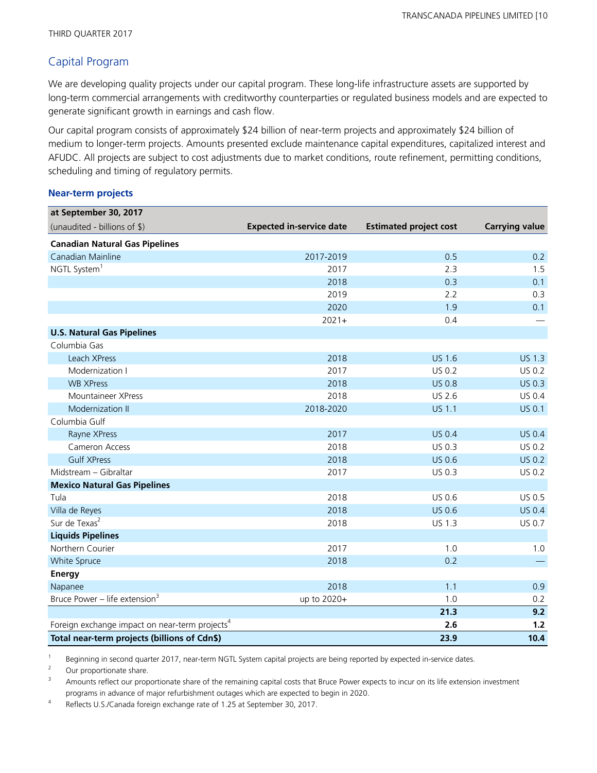## Capital Program

We are developing quality projects under our capital program. These long-life infrastructure assets are supported by long-term commercial arrangements with creditworthy counterparties or regulated business models and are expected to generate significant growth in earnings and cash flow.

Our capital program consists of approximately \$24 billion of near-term projects and approximately \$24 billion of medium to longer-term projects. Amounts presented exclude maintenance capital expenditures, capitalized interest and AFUDC. All projects are subject to cost adjustments due to market conditions, route refinement, permitting conditions, scheduling and timing of regulatory permits.

### **Near-term projects**

| at September 30, 2017                                      |                                 |                               |                       |
|------------------------------------------------------------|---------------------------------|-------------------------------|-----------------------|
| (unaudited - billions of \$)                               | <b>Expected in-service date</b> | <b>Estimated project cost</b> | <b>Carrying value</b> |
| <b>Canadian Natural Gas Pipelines</b>                      |                                 |                               |                       |
| Canadian Mainline                                          | 2017-2019                       | 0.5                           | 0.2                   |
| NGTL System <sup>1</sup>                                   | 2017                            | 2.3                           | 1.5                   |
|                                                            | 2018                            | 0.3                           | 0.1                   |
|                                                            | 2019                            | 2.2                           | 0.3                   |
|                                                            | 2020                            | 1.9                           | 0.1                   |
|                                                            | $2021 +$                        | 0.4                           |                       |
| <b>U.S. Natural Gas Pipelines</b>                          |                                 |                               |                       |
| Columbia Gas                                               |                                 |                               |                       |
| Leach XPress                                               | 2018                            | <b>US 1.6</b>                 | <b>US 1.3</b>         |
| Modernization I                                            | 2017                            | US 0.2                        | US 0.2                |
| <b>WB XPress</b>                                           | 2018                            | <b>US 0.8</b>                 | US 0.3                |
| Mountaineer XPress                                         | 2018                            | US 2.6                        | US 0.4                |
| Modernization II                                           | 2018-2020                       | <b>US 1.1</b>                 | <b>US 0.1</b>         |
| Columbia Gulf                                              |                                 |                               |                       |
| Rayne XPress                                               | 2017                            | <b>US 0.4</b>                 | <b>US 0.4</b>         |
| Cameron Access                                             | 2018                            | US 0.3                        | US 0.2                |
| <b>Gulf XPress</b>                                         | 2018                            | <b>US 0.6</b>                 | <b>US 0.2</b>         |
| Midstream - Gibraltar                                      | 2017                            | US 0.3                        | US 0.2                |
| <b>Mexico Natural Gas Pipelines</b>                        |                                 |                               |                       |
| Tula                                                       | 2018                            | US 0.6                        | US 0.5                |
| Villa de Reyes                                             | 2018                            | <b>US 0.6</b>                 | <b>US 0.4</b>         |
| Sur de Texas <sup>2</sup>                                  | 2018                            | US 1.3                        | US 0.7                |
| <b>Liquids Pipelines</b>                                   |                                 |                               |                       |
| Northern Courier                                           | 2017                            | 1.0                           | 1.0                   |
| White Spruce                                               | 2018                            | 0.2                           |                       |
| <b>Energy</b>                                              |                                 |                               |                       |
| Napanee                                                    | 2018                            | 1.1                           | 0.9                   |
| Bruce Power - life extension <sup>3</sup>                  | up to 2020+                     | 1.0                           | 0.2                   |
|                                                            |                                 | 21.3                          | 9.2                   |
| Foreign exchange impact on near-term projects <sup>4</sup> |                                 | 2.6                           | $1.2$                 |
| Total near-term projects (billions of Cdn\$)               |                                 | 23.9                          | 10.4                  |

1 Beginning in second quarter 2017, near-term NGTL System capital projects are being reported by expected in-service dates.

<sup>2</sup> Our proportionate share.

<sup>3</sup> Amounts reflect our proportionate share of the remaining capital costs that Bruce Power expects to incur on its life extension investment programs in advance of major refurbishment outages which are expected to begin in 2020.

4 Reflects U.S./Canada foreign exchange rate of 1.25 at September 30, 2017.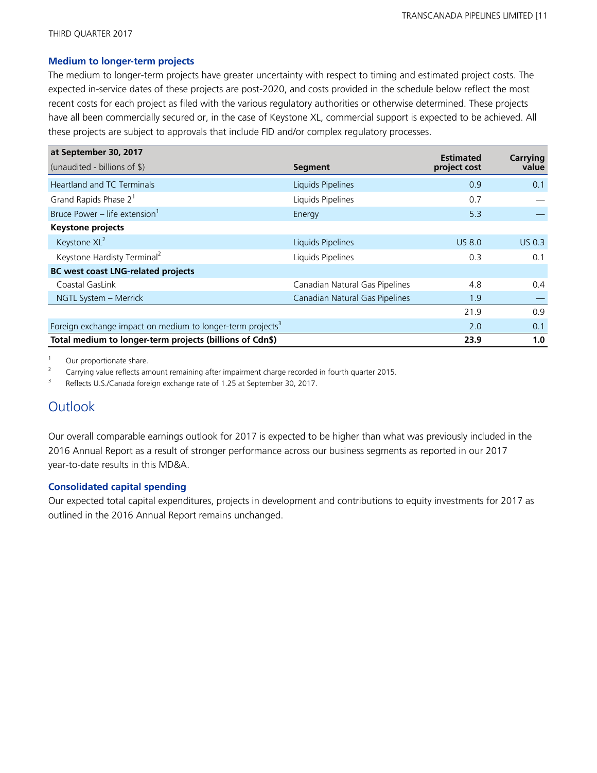#### **Medium to longer-term projects**

The medium to longer-term projects have greater uncertainty with respect to timing and estimated project costs. The expected in-service dates of these projects are post-2020, and costs provided in the schedule below reflect the most recent costs for each project as filed with the various regulatory authorities or otherwise determined. These projects have all been commercially secured or, in the case of Keystone XL, commercial support is expected to be achieved. All these projects are subject to approvals that include FID and/or complex regulatory processes.

| at September 30, 2017                                                  |                                | <b>Estimated</b> | Carrying |
|------------------------------------------------------------------------|--------------------------------|------------------|----------|
| (unaudited - billions of \$)                                           | Segment                        | project cost     | value    |
| <b>Heartland and TC Terminals</b>                                      | Liquids Pipelines              | 0.9              | 0.1      |
| Grand Rapids Phase 2 <sup>1</sup>                                      | Liquids Pipelines              | 0.7              |          |
| Bruce Power - life extension <sup>1</sup>                              | Energy                         | 5.3              |          |
| <b>Keystone projects</b>                                               |                                |                  |          |
| Keystone XL <sup>2</sup>                                               | Liquids Pipelines              | <b>US 8.0</b>    | US 0.3   |
| Keystone Hardisty Terminal <sup>2</sup>                                | Liquids Pipelines              | 0.3              | 0.1      |
| <b>BC west coast LNG-related projects</b>                              |                                |                  |          |
| Coastal GasLink                                                        | Canadian Natural Gas Pipelines | 4.8              | 0.4      |
| NGTL System - Merrick                                                  | Canadian Natural Gas Pipelines | 1.9              |          |
|                                                                        |                                | 21.9             | 0.9      |
| Foreign exchange impact on medium to longer-term projects <sup>3</sup> |                                | 2.0              | 0.1      |
| Total medium to longer-term projects (billions of Cdn\$)               |                                | 23.9             | 1.0      |

<sup>1</sup> Our proportionate share.

<sup>2</sup> Carrying value reflects amount remaining after impairment charge recorded in fourth quarter 2015.

3 Reflects U.S./Canada foreign exchange rate of 1.25 at September 30, 2017.

# **Outlook**

Our overall comparable earnings outlook for 2017 is expected to be higher than what was previously included in the 2016 Annual Report as a result of stronger performance across our business segments as reported in our 2017 year-to-date results in this MD&A.

### **Consolidated capital spending**

Our expected total capital expenditures, projects in development and contributions to equity investments for 2017 as outlined in the 2016 Annual Report remains unchanged.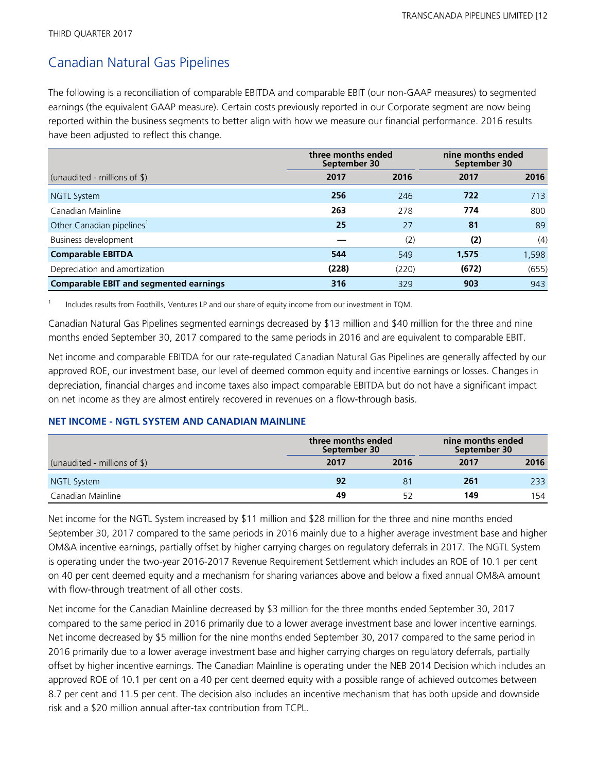# Canadian Natural Gas Pipelines

The following is a reconciliation of comparable EBITDA and comparable EBIT (our non-GAAP measures) to segmented earnings (the equivalent GAAP measure). Certain costs previously reported in our Corporate segment are now being reported within the business segments to better align with how we measure our financial performance. 2016 results have been adjusted to reflect this change.

|                                               | three months ended<br>September 30 |       | nine months ended<br>September 30 |       |  |
|-----------------------------------------------|------------------------------------|-------|-----------------------------------|-------|--|
| (unaudited - millions of $\frac{1}{2}$ )      | 2017                               | 2016  | 2017                              | 2016  |  |
| <b>NGTL System</b>                            | 256                                | 246   | 722                               | 713   |  |
| Canadian Mainline                             | 263                                | 278   | 774                               | 800   |  |
| Other Canadian pipelines <sup>1</sup>         | 25                                 | 27    | 81                                | 89    |  |
| Business development                          |                                    | (2)   | (2)                               | (4)   |  |
| <b>Comparable EBITDA</b>                      | 544                                | 549   | 1,575                             | 1,598 |  |
| Depreciation and amortization                 | (228)                              | (220) | (672)                             | (655) |  |
| <b>Comparable EBIT and segmented earnings</b> | 316                                | 329   | 903                               | 943   |  |

1 Includes results from Foothills, Ventures LP and our share of equity income from our investment in TQM.

Canadian Natural Gas Pipelines segmented earnings decreased by \$13 million and \$40 million for the three and nine months ended September 30, 2017 compared to the same periods in 2016 and are equivalent to comparable EBIT.

Net income and comparable EBITDA for our rate-regulated Canadian Natural Gas Pipelines are generally affected by our approved ROE, our investment base, our level of deemed common equity and incentive earnings or losses. Changes in depreciation, financial charges and income taxes also impact comparable EBITDA but do not have a significant impact on net income as they are almost entirely recovered in revenues on a flow-through basis.

## **NET INCOME - NGTL SYSTEM AND CANADIAN MAINLINE**

|                                          |      | three months ended<br>September 30 |      | nine months ended<br>September 30 |
|------------------------------------------|------|------------------------------------|------|-----------------------------------|
| (unaudited - millions of $\frac{1}{2}$ ) | 2017 | 2016                               | 2017 | 2016                              |
| NGTL System                              | 92   | 81                                 | 261  | 233                               |
| Canadian Mainline                        | 49   |                                    | 149  | 154                               |

Net income for the NGTL System increased by \$11 million and \$28 million for the three and nine months ended September 30, 2017 compared to the same periods in 2016 mainly due to a higher average investment base and higher OM&A incentive earnings, partially offset by higher carrying charges on regulatory deferrals in 2017. The NGTL System is operating under the two-year 2016-2017 Revenue Requirement Settlement which includes an ROE of 10.1 per cent on 40 per cent deemed equity and a mechanism for sharing variances above and below a fixed annual OM&A amount with flow-through treatment of all other costs.

Net income for the Canadian Mainline decreased by \$3 million for the three months ended September 30, 2017 compared to the same period in 2016 primarily due to a lower average investment base and lower incentive earnings. Net income decreased by \$5 million for the nine months ended September 30, 2017 compared to the same period in 2016 primarily due to a lower average investment base and higher carrying charges on regulatory deferrals, partially offset by higher incentive earnings. The Canadian Mainline is operating under the NEB 2014 Decision which includes an approved ROE of 10.1 per cent on a 40 per cent deemed equity with a possible range of achieved outcomes between 8.7 per cent and 11.5 per cent. The decision also includes an incentive mechanism that has both upside and downside risk and a \$20 million annual after-tax contribution from TCPL.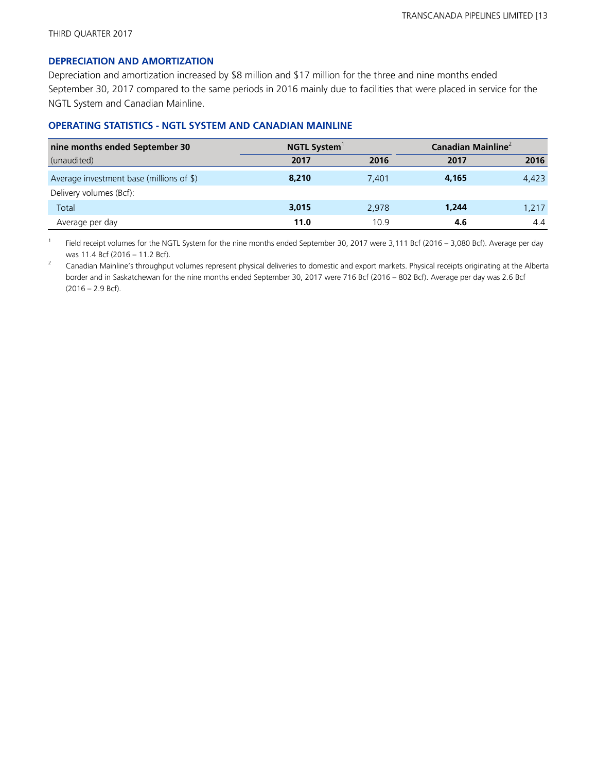#### **DEPRECIATION AND AMORTIZATION**

Depreciation and amortization increased by \$8 million and \$17 million for the three and nine months ended September 30, 2017 compared to the same periods in 2016 mainly due to facilities that were placed in service for the NGTL System and Canadian Mainline.

## **OPERATING STATISTICS - NGTL SYSTEM AND CANADIAN MAINLINE**

| nine months ended September 30           | <b>NGTL System</b> |       | Canadian Mainline $^2$ |       |  |
|------------------------------------------|--------------------|-------|------------------------|-------|--|
| (unaudited)                              | 2017               | 2016  | 2017                   | 2016  |  |
| Average investment base (millions of \$) | 8,210              | 7.401 | 4.165                  | 4,423 |  |
| Delivery volumes (Bcf):                  |                    |       |                        |       |  |
| Total                                    | 3,015              | 2,978 | 1,244                  | 1,217 |  |
| Average per day                          | 11.0               | 10.9  | 4.6                    | 4.4   |  |

1 Field receipt volumes for the NGTL System for the nine months ended September 30, 2017 were 3,111 Bcf (2016 – 3,080 Bcf). Average per day was 11.4 Bcf (2016 – 11.2 Bcf).

<sup>2</sup> Canadian Mainline's throughput volumes represent physical deliveries to domestic and export markets. Physical receipts originating at the Alberta border and in Saskatchewan for the nine months ended September 30, 2017 were 716 Bcf (2016 – 802 Bcf). Average per day was 2.6 Bcf (2016 – 2.9 Bcf).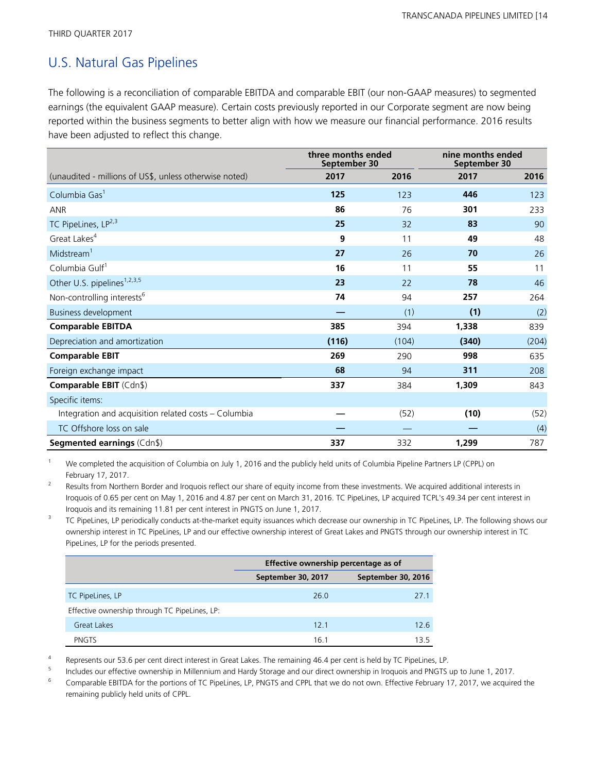# U.S. Natural Gas Pipelines

The following is a reconciliation of comparable EBITDA and comparable EBIT (our non-GAAP measures) to segmented earnings (the equivalent GAAP measure). Certain costs previously reported in our Corporate segment are now being reported within the business segments to better align with how we measure our financial performance. 2016 results have been adjusted to reflect this change.

|                                                        | three months ended<br>September 30 |       | nine months ended<br>September 30 |       |
|--------------------------------------------------------|------------------------------------|-------|-----------------------------------|-------|
| (unaudited - millions of US\$, unless otherwise noted) | 2017                               | 2016  | 2017                              | 2016  |
| Columbia Gas <sup>1</sup>                              | 125                                | 123   | 446                               | 123   |
| <b>ANR</b>                                             | 86                                 | 76    | 301                               | 233   |
| TC PipeLines, LP <sup>2,3</sup>                        | 25                                 | 32    | 83                                | 90    |
| Great Lakes <sup>4</sup>                               | 9                                  | 11    | 49                                | 48    |
| Midstream <sup>1</sup>                                 | 27                                 | 26    | 70                                | 26    |
| Columbia Gulf <sup>1</sup>                             | 16                                 | 11    | 55                                | 11    |
| Other U.S. pipelines <sup>1,2,3,5</sup>                | 23                                 | 22    | 78                                | 46    |
| Non-controlling interests <sup>6</sup>                 | 74                                 | 94    | 257                               | 264   |
| <b>Business development</b>                            |                                    | (1)   | (1)                               | (2)   |
| <b>Comparable EBITDA</b>                               | 385                                | 394   | 1,338                             | 839   |
| Depreciation and amortization                          | (116)                              | (104) | (340)                             | (204) |
| <b>Comparable EBIT</b>                                 | 269                                | 290   | 998                               | 635   |
| Foreign exchange impact                                | 68                                 | 94    | 311                               | 208   |
| Comparable EBIT (Cdn\$)                                | 337                                | 384   | 1,309                             | 843   |
| Specific items:                                        |                                    |       |                                   |       |
| Integration and acquisition related costs - Columbia   |                                    | (52)  | (10)                              | (52)  |
| TC Offshore loss on sale                               |                                    |       |                                   | (4)   |
| <b>Segmented earnings (Cdn\$)</b>                      | 337                                | 332   | 1,299                             | 787   |

We completed the acquisition of Columbia on July 1, 2016 and the publicly held units of Columbia Pipeline Partners LP (CPPL) on February 17, 2017.

2 Results from Northern Border and Iroquois reflect our share of equity income from these investments. We acquired additional interests in Iroquois of 0.65 per cent on May 1, 2016 and 4.87 per cent on March 31, 2016. TC PipeLines, LP acquired TCPL's 49.34 per cent interest in Iroquois and its remaining 11.81 per cent interest in PNGTS on June 1, 2017.

3 TC PipeLines, LP periodically conducts at-the-market equity issuances which decrease our ownership in TC PipeLines, LP. The following shows our ownership interest in TC PipeLines, LP and our effective ownership interest of Great Lakes and PNGTS through our ownership interest in TC PipeLines, LP for the periods presented.

|                                               | Effective ownership percentage as of     |      |  |  |
|-----------------------------------------------|------------------------------------------|------|--|--|
|                                               | September 30, 2016<br>September 30, 2017 |      |  |  |
| TC PipeLines, LP                              | 26.0                                     | 27.1 |  |  |
| Effective ownership through TC PipeLines, LP: |                                          |      |  |  |
| <b>Great Lakes</b>                            | 12.1                                     | 12.6 |  |  |
| <b>PNGTS</b>                                  | 16.1                                     | 135  |  |  |

4 Represents our 53.6 per cent direct interest in Great Lakes. The remaining 46.4 per cent is held by TC PipeLines, LP.

5 Includes our effective ownership in Millennium and Hardy Storage and our direct ownership in Iroquois and PNGTS up to June 1, 2017.

<sup>6</sup> Comparable EBITDA for the portions of TC PipeLines, LP, PNGTS and CPPL that we do not own. Effective February 17, 2017, we acquired the remaining publicly held units of CPPL.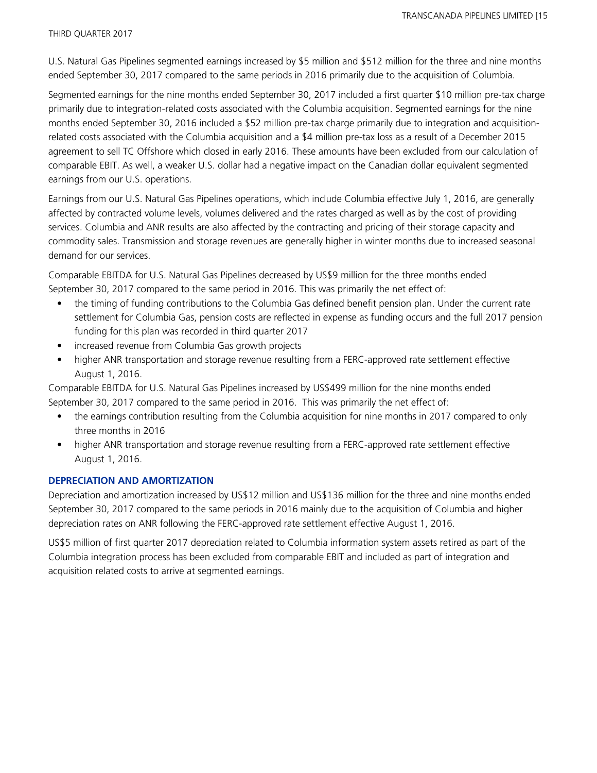U.S. Natural Gas Pipelines segmented earnings increased by \$5 million and \$512 million for the three and nine months ended September 30, 2017 compared to the same periods in 2016 primarily due to the acquisition of Columbia.

Segmented earnings for the nine months ended September 30, 2017 included a first quarter \$10 million pre-tax charge primarily due to integration-related costs associated with the Columbia acquisition. Segmented earnings for the nine months ended September 30, 2016 included a \$52 million pre-tax charge primarily due to integration and acquisitionrelated costs associated with the Columbia acquisition and a \$4 million pre-tax loss as a result of a December 2015 agreement to sell TC Offshore which closed in early 2016. These amounts have been excluded from our calculation of comparable EBIT. As well, a weaker U.S. dollar had a negative impact on the Canadian dollar equivalent segmented earnings from our U.S. operations.

Earnings from our U.S. Natural Gas Pipelines operations, which include Columbia effective July 1, 2016, are generally affected by contracted volume levels, volumes delivered and the rates charged as well as by the cost of providing services. Columbia and ANR results are also affected by the contracting and pricing of their storage capacity and commodity sales. Transmission and storage revenues are generally higher in winter months due to increased seasonal demand for our services.

Comparable EBITDA for U.S. Natural Gas Pipelines decreased by US\$9 million for the three months ended September 30, 2017 compared to the same period in 2016. This was primarily the net effect of:

- the timing of funding contributions to the Columbia Gas defined benefit pension plan. Under the current rate settlement for Columbia Gas, pension costs are reflected in expense as funding occurs and the full 2017 pension funding for this plan was recorded in third quarter 2017
- increased revenue from Columbia Gas growth projects
- higher ANR transportation and storage revenue resulting from a FERC-approved rate settlement effective August 1, 2016.

Comparable EBITDA for U.S. Natural Gas Pipelines increased by US\$499 million for the nine months ended September 30, 2017 compared to the same period in 2016. This was primarily the net effect of:

- the earnings contribution resulting from the Columbia acquisition for nine months in 2017 compared to only three months in 2016
- higher ANR transportation and storage revenue resulting from a FERC-approved rate settlement effective August 1, 2016.

### **DEPRECIATION AND AMORTIZATION**

Depreciation and amortization increased by US\$12 million and US\$136 million for the three and nine months ended September 30, 2017 compared to the same periods in 2016 mainly due to the acquisition of Columbia and higher depreciation rates on ANR following the FERC-approved rate settlement effective August 1, 2016.

US\$5 million of first quarter 2017 depreciation related to Columbia information system assets retired as part of the Columbia integration process has been excluded from comparable EBIT and included as part of integration and acquisition related costs to arrive at segmented earnings.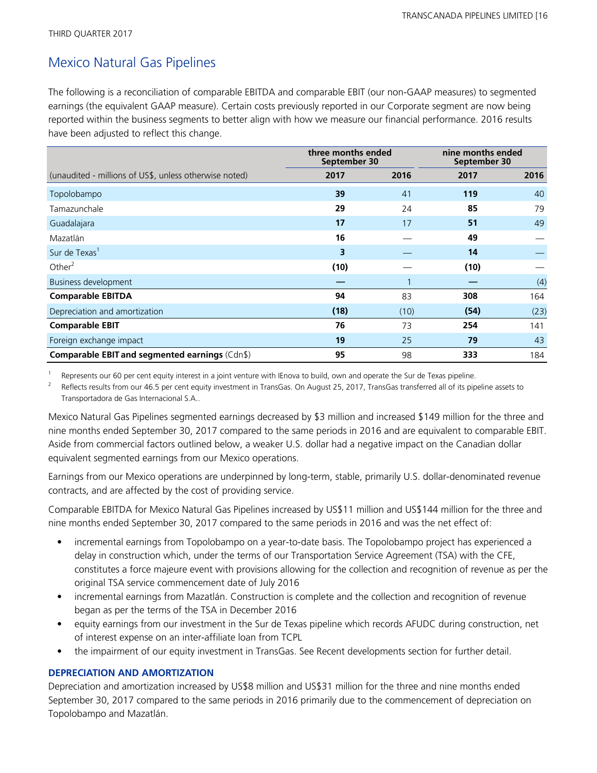# Mexico Natural Gas Pipelines

The following is a reconciliation of comparable EBITDA and comparable EBIT (our non-GAAP measures) to segmented earnings (the equivalent GAAP measure). Certain costs previously reported in our Corporate segment are now being reported within the business segments to better align with how we measure our financial performance. 2016 results have been adjusted to reflect this change.

|                                                        | three months ended<br>September 30 |      | nine months ended<br>September 30 |      |
|--------------------------------------------------------|------------------------------------|------|-----------------------------------|------|
| (unaudited - millions of US\$, unless otherwise noted) | 2017                               | 2016 | 2017                              | 2016 |
| Topolobampo                                            | 39                                 | 41   | 119                               | 40   |
| Tamazunchale                                           | 29                                 | 24   | 85                                | 79   |
| Guadalajara                                            | 17                                 | 17   | 51                                | 49   |
| Mazatlán                                               | 16                                 |      | 49                                |      |
| Sur de Texas <sup>1</sup>                              | 3                                  |      | 14                                |      |
| Other $2$                                              | (10)                               |      | (10)                              |      |
| Business development                                   |                                    | 1    |                                   | (4)  |
| <b>Comparable EBITDA</b>                               | 94                                 | 83   | 308                               | 164  |
| Depreciation and amortization                          | (18)                               | (10) | (54)                              | (23) |
| <b>Comparable EBIT</b>                                 | 76                                 | 73   | 254                               | 141  |
| Foreign exchange impact                                | 19                                 | 25   | 79                                | 43   |
| Comparable EBIT and segmented earnings (Cdn\$)         | 95                                 | 98   | 333                               | 184  |

1 Represents our 60 per cent equity interest in a joint venture with IEnova to build, own and operate the Sur de Texas pipeline.

2 Reflects results from our 46.5 per cent equity investment in TransGas. On August 25, 2017, TransGas transferred all of its pipeline assets to Transportadora de Gas Internacional S.A..

Mexico Natural Gas Pipelines segmented earnings decreased by \$3 million and increased \$149 million for the three and nine months ended September 30, 2017 compared to the same periods in 2016 and are equivalent to comparable EBIT. Aside from commercial factors outlined below, a weaker U.S. dollar had a negative impact on the Canadian dollar equivalent segmented earnings from our Mexico operations.

Earnings from our Mexico operations are underpinned by long-term, stable, primarily U.S. dollar-denominated revenue contracts, and are affected by the cost of providing service.

Comparable EBITDA for Mexico Natural Gas Pipelines increased by US\$11 million and US\$144 million for the three and nine months ended September 30, 2017 compared to the same periods in 2016 and was the net effect of:

- incremental earnings from Topolobampo on a year-to-date basis. The Topolobampo project has experienced a delay in construction which, under the terms of our Transportation Service Agreement (TSA) with the CFE, constitutes a force majeure event with provisions allowing for the collection and recognition of revenue as per the original TSA service commencement date of July 2016
- incremental earnings from Mazatlán. Construction is complete and the collection and recognition of revenue began as per the terms of the TSA in December 2016
- equity earnings from our investment in the Sur de Texas pipeline which records AFUDC during construction, net of interest expense on an inter-affiliate loan from TCPL
- the impairment of our equity investment in TransGas. See Recent developments section for further detail.

## **DEPRECIATION AND AMORTIZATION**

Depreciation and amortization increased by US\$8 million and US\$31 million for the three and nine months ended September 30, 2017 compared to the same periods in 2016 primarily due to the commencement of depreciation on Topolobampo and Mazatlán.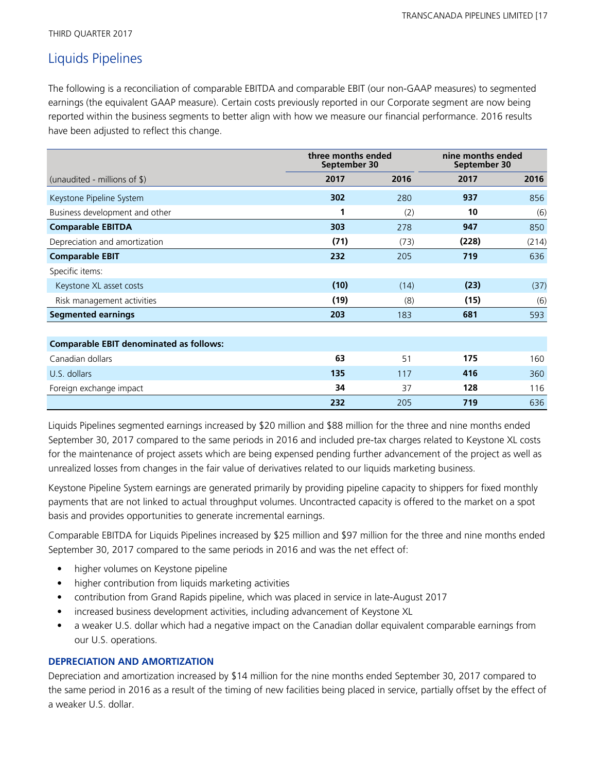THIRD QUARTER 2017

# Liquids Pipelines

The following is a reconciliation of comparable EBITDA and comparable EBIT (our non-GAAP measures) to segmented earnings (the equivalent GAAP measure). Certain costs previously reported in our Corporate segment are now being reported within the business segments to better align with how we measure our financial performance. 2016 results have been adjusted to reflect this change.

|                                                | three months ended<br>September 30 |      |       | nine months ended<br>September 30 |  |
|------------------------------------------------|------------------------------------|------|-------|-----------------------------------|--|
| (unaudited - millions of $\frac{1}{2}$ )       | 2017                               | 2016 | 2017  | 2016                              |  |
| Keystone Pipeline System                       | 302                                | 280  | 937   | 856                               |  |
| Business development and other                 | 1                                  | (2)  | 10    | (6)                               |  |
| <b>Comparable EBITDA</b>                       | 303                                | 278  | 947   | 850                               |  |
| Depreciation and amortization                  | (71)                               | (73) | (228) | (214)                             |  |
| <b>Comparable EBIT</b>                         | 232                                | 205  | 719   | 636                               |  |
| Specific items:                                |                                    |      |       |                                   |  |
| Keystone XL asset costs                        | (10)                               | (14) | (23)  | (37)                              |  |
| Risk management activities                     | (19)                               | (8)  | (15)  | (6)                               |  |
| <b>Segmented earnings</b>                      | 203                                | 183  | 681   | 593                               |  |
|                                                |                                    |      |       |                                   |  |
| <b>Comparable EBIT denominated as follows:</b> |                                    |      |       |                                   |  |
| Canadian dollars                               | 63                                 | 51   | 175   | 160                               |  |
| U.S. dollars                                   | 135                                | 117  | 416   | 360                               |  |
| Foreign exchange impact                        | 34                                 | 37   | 128   | 116                               |  |
|                                                | 232                                | 205  | 719   | 636                               |  |

Liquids Pipelines segmented earnings increased by \$20 million and \$88 million for the three and nine months ended September 30, 2017 compared to the same periods in 2016 and included pre-tax charges related to Keystone XL costs for the maintenance of project assets which are being expensed pending further advancement of the project as well as unrealized losses from changes in the fair value of derivatives related to our liquids marketing business.

Keystone Pipeline System earnings are generated primarily by providing pipeline capacity to shippers for fixed monthly payments that are not linked to actual throughput volumes. Uncontracted capacity is offered to the market on a spot basis and provides opportunities to generate incremental earnings.

Comparable EBITDA for Liquids Pipelines increased by \$25 million and \$97 million for the three and nine months ended September 30, 2017 compared to the same periods in 2016 and was the net effect of:

- higher volumes on Keystone pipeline
- higher contribution from liquids marketing activities
- contribution from Grand Rapids pipeline, which was placed in service in late-August 2017
- increased business development activities, including advancement of Keystone XL
- a weaker U.S. dollar which had a negative impact on the Canadian dollar equivalent comparable earnings from our U.S. operations.

## **DEPRECIATION AND AMORTIZATION**

Depreciation and amortization increased by \$14 million for the nine months ended September 30, 2017 compared to the same period in 2016 as a result of the timing of new facilities being placed in service, partially offset by the effect of a weaker U.S. dollar.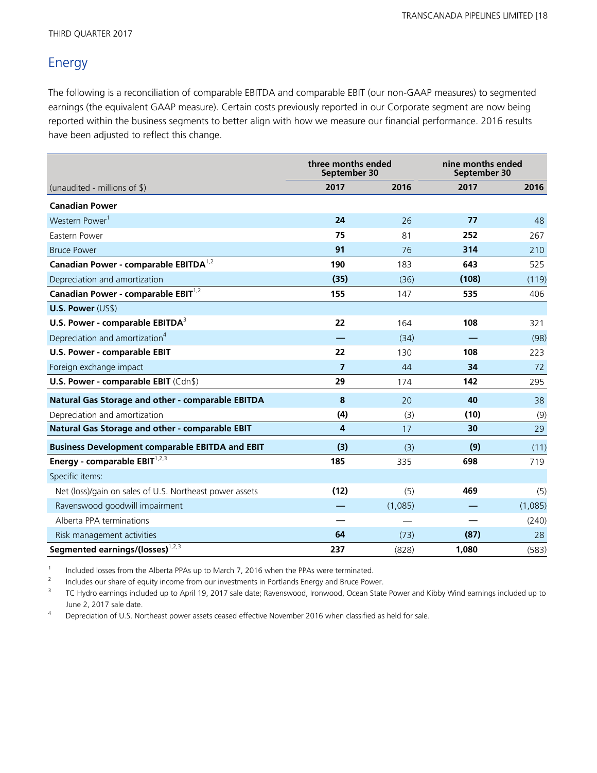# Energy

The following is a reconciliation of comparable EBITDA and comparable EBIT (our non-GAAP measures) to segmented earnings (the equivalent GAAP measure). Certain costs previously reported in our Corporate segment are now being reported within the business segments to better align with how we measure our financial performance. 2016 results have been adjusted to reflect this change.

|                                                         | three months ended<br>September 30 | nine months ended<br>September 30 |       |         |
|---------------------------------------------------------|------------------------------------|-----------------------------------|-------|---------|
| (unaudited - millions of $\$\$ )                        | 2017                               | 2016                              | 2017  | 2016    |
| <b>Canadian Power</b>                                   |                                    |                                   |       |         |
| Western Power <sup>1</sup>                              | 24                                 | 26                                | 77    | 48      |
| Eastern Power                                           | 75                                 | 81                                | 252   | 267     |
| <b>Bruce Power</b>                                      | 91                                 | 76                                | 314   | 210     |
| Canadian Power - comparable EBITDA <sup>1,2</sup>       | 190                                | 183                               | 643   | 525     |
| Depreciation and amortization                           | (35)                               | (36)                              | (108) | (119)   |
| Canadian Power - comparable EBIT <sup>1,2</sup>         | 155                                | 147                               | 535   | 406     |
| U.S. Power (US\$)                                       |                                    |                                   |       |         |
| U.S. Power - comparable EBITDA <sup>3</sup>             | 22                                 | 164                               | 108   | 321     |
| Depreciation and amortization <sup>4</sup>              |                                    | (34)                              |       | (98)    |
| U.S. Power - comparable EBIT                            | 22                                 | 130                               | 108   | 223     |
| Foreign exchange impact                                 | $\overline{7}$                     | 44                                | 34    | 72      |
| U.S. Power - comparable EBIT (Cdn\$)                    | 29                                 | 174                               | 142   | 295     |
| Natural Gas Storage and other - comparable EBITDA       | 8                                  | 20                                | 40    | 38      |
| Depreciation and amortization                           | (4)                                | (3)                               | (10)  | (9)     |
| Natural Gas Storage and other - comparable EBIT         | 4                                  | 17                                | 30    | 29      |
| <b>Business Development comparable EBITDA and EBIT</b>  | (3)                                | (3)                               | (9)   | (11)    |
| Energy - comparable EBIT <sup>1,2,3</sup>               | 185                                | 335                               | 698   | 719     |
| Specific items:                                         |                                    |                                   |       |         |
| Net (loss)/gain on sales of U.S. Northeast power assets | (12)                               | (5)                               | 469   | (5)     |
| Ravenswood goodwill impairment                          |                                    | (1,085)                           |       | (1,085) |
| Alberta PPA terminations                                |                                    |                                   |       | (240)   |
| Risk management activities                              | 64                                 | (73)                              | (87)  | 28      |
| Segmented earnings/(losses) <sup>1,2,3</sup>            | 237                                | (828)                             | 1.080 | (583)   |

1 Included losses from the Alberta PPAs up to March 7, 2016 when the PPAs were terminated.

2 Includes our share of equity income from our investments in Portlands Energy and Bruce Power.

3 TC Hydro earnings included up to April 19, 2017 sale date; Ravenswood, Ironwood, Ocean State Power and Kibby Wind earnings included up to June 2, 2017 sale date.

Depreciation of U.S. Northeast power assets ceased effective November 2016 when classified as held for sale.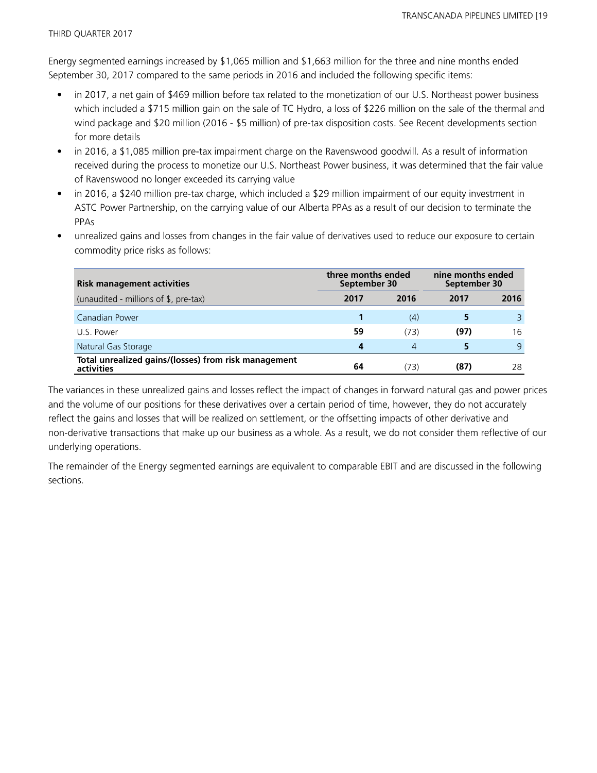Energy segmented earnings increased by \$1,065 million and \$1,663 million for the three and nine months ended September 30, 2017 compared to the same periods in 2016 and included the following specific items:

- in 2017, a net gain of \$469 million before tax related to the monetization of our U.S. Northeast power business which included a \$715 million gain on the sale of TC Hydro, a loss of \$226 million on the sale of the thermal and wind package and \$20 million (2016 - \$5 million) of pre-tax disposition costs. See Recent developments section for more details
- in 2016, a \$1,085 million pre-tax impairment charge on the Ravenswood goodwill. As a result of information received during the process to monetize our U.S. Northeast Power business, it was determined that the fair value of Ravenswood no longer exceeded its carrying value
- in 2016, a \$240 million pre-tax charge, which included a \$29 million impairment of our equity investment in ASTC Power Partnership, on the carrying value of our Alberta PPAs as a result of our decision to terminate the PPAs
- unrealized gains and losses from changes in the fair value of derivatives used to reduce our exposure to certain commodity price risks as follows:

| <b>Risk management activities</b>                                  | three months ended<br>September 30 |      | nine months ended<br>September 30 |      |  |
|--------------------------------------------------------------------|------------------------------------|------|-----------------------------------|------|--|
| (unaudited - millions of \$, pre-tax)                              | 2017                               | 2016 | 2017                              | 2016 |  |
| Canadian Power                                                     |                                    | (4)  |                                   |      |  |
| U.S. Power                                                         | 59                                 | (73) | (97)                              | 16   |  |
| Natural Gas Storage                                                | 4                                  | 4    | 5                                 | 9    |  |
| Total unrealized gains/(losses) from risk management<br>activities | 64                                 | (73) | (87)                              | 28   |  |

The variances in these unrealized gains and losses reflect the impact of changes in forward natural gas and power prices and the volume of our positions for these derivatives over a certain period of time, however, they do not accurately reflect the gains and losses that will be realized on settlement, or the offsetting impacts of other derivative and non-derivative transactions that make up our business as a whole. As a result, we do not consider them reflective of our underlying operations.

The remainder of the Energy segmented earnings are equivalent to comparable EBIT and are discussed in the following sections.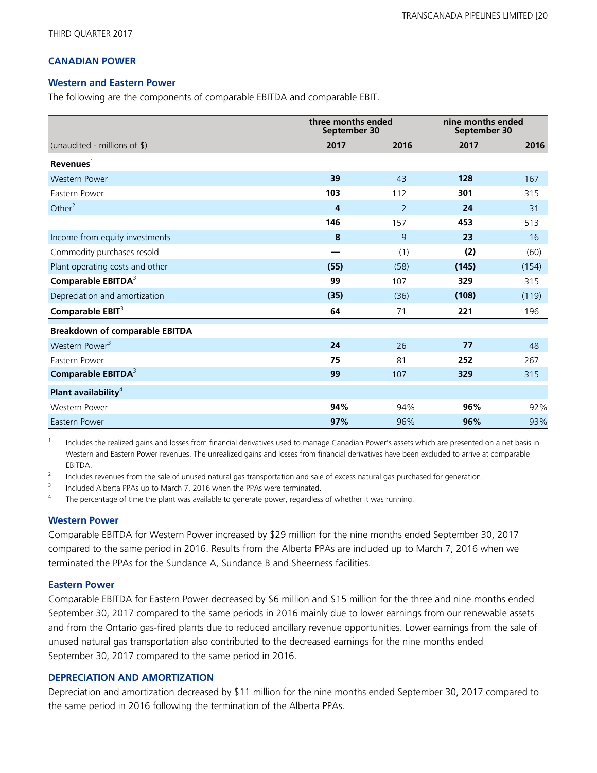## **CANADIAN POWER**

#### **Western and Eastern Power**

The following are the components of comparable EBITDA and comparable EBIT.

|                                       | three months ended<br>September 30 |                | nine months ended<br>September 30 |       |
|---------------------------------------|------------------------------------|----------------|-----------------------------------|-------|
| (unaudited - millions of \$)          | 2017                               | 2016           | 2017                              | 2016  |
| $Re$ venues $1$                       |                                    |                |                                   |       |
| <b>Western Power</b>                  | 39                                 | 43             | 128                               | 167   |
| Eastern Power                         | 103                                | 112            | 301                               | 315   |
| Other $2$                             | 4                                  | $\overline{2}$ | 24                                | 31    |
|                                       | 146                                | 157            | 453                               | 513   |
| Income from equity investments        | 8                                  | 9              | 23                                | 16    |
| Commodity purchases resold            |                                    | (1)            | (2)                               | (60)  |
| Plant operating costs and other       | (55)                               | (58)           | (145)                             | (154) |
| Comparable EBITDA <sup>3</sup>        | 99                                 | 107            | 329                               | 315   |
| Depreciation and amortization         | (35)                               | (36)           | (108)                             | (119) |
| Comparable EBIT <sup>3</sup>          | 64                                 | 71             | 221                               | 196   |
| <b>Breakdown of comparable EBITDA</b> |                                    |                |                                   |       |
| Western Power <sup>3</sup>            | 24                                 | 26             | 77                                | 48    |
| Eastern Power                         | 75                                 | 81             | 252                               | 267   |
| Comparable EBITDA <sup>3</sup>        | 99                                 | 107            | 329                               | 315   |
| Plant availability <sup>4</sup>       |                                    |                |                                   |       |
| Western Power                         | 94%                                | 94%            | 96%                               | 92%   |
| Eastern Power                         | 97%                                | 96%            | 96%                               | 93%   |

1 Includes the realized gains and losses from financial derivatives used to manage Canadian Power's assets which are presented on a net basis in Western and Eastern Power revenues. The unrealized gains and losses from financial derivatives have been excluded to arrive at comparable EBITDA.

2 Includes revenues from the sale of unused natural gas transportation and sale of excess natural gas purchased for generation.

3 Included Alberta PPAs up to March 7, 2016 when the PPAs were terminated.

4 The percentage of time the plant was available to generate power, regardless of whether it was running.

#### **Western Power**

Comparable EBITDA for Western Power increased by \$29 million for the nine months ended September 30, 2017 compared to the same period in 2016. Results from the Alberta PPAs are included up to March 7, 2016 when we terminated the PPAs for the Sundance A, Sundance B and Sheerness facilities.

### **Eastern Power**

Comparable EBITDA for Eastern Power decreased by \$6 million and \$15 million for the three and nine months ended September 30, 2017 compared to the same periods in 2016 mainly due to lower earnings from our renewable assets and from the Ontario gas-fired plants due to reduced ancillary revenue opportunities. Lower earnings from the sale of unused natural gas transportation also contributed to the decreased earnings for the nine months ended September 30, 2017 compared to the same period in 2016.

### **DEPRECIATION AND AMORTIZATION**

Depreciation and amortization decreased by \$11 million for the nine months ended September 30, 2017 compared to the same period in 2016 following the termination of the Alberta PPAs.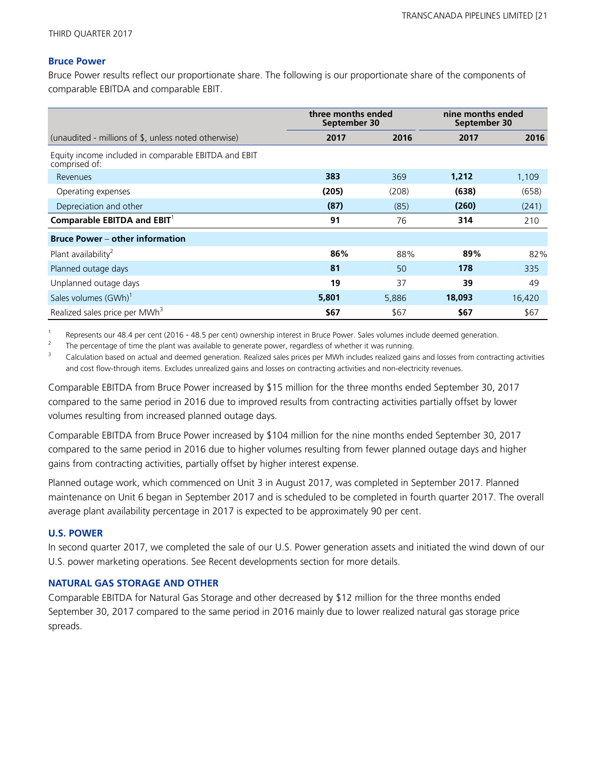#### **Bruce Power**

Bruce Power results reflect our proportionate share. The following is our proportionate share of the components of comparable EBITDA and comparable EBIT.

|                                                                       | three months ended<br>September 30 |       | nine months ended<br>September 30 |        |
|-----------------------------------------------------------------------|------------------------------------|-------|-----------------------------------|--------|
| (unaudited - millions of \$, unless noted otherwise)                  | 2017                               | 2016  | 2017                              | 2016   |
| Equity income included in comparable EBITDA and EBIT<br>comprised of: |                                    |       |                                   |        |
| Revenues                                                              | 383                                | 369   | 1,212                             | 1,109  |
| Operating expenses                                                    | (205)                              | (208) | (638)                             | (658)  |
| Depreciation and other                                                | (87)                               | (85)  | (260)                             | (241)  |
| Comparable EBITDA and $EBIT^1$                                        | 91                                 | 76    | 314                               | 210    |
| <b>Bruce Power – other information</b>                                |                                    |       |                                   |        |
| Plant availability <sup>2</sup>                                       | 86%                                | 88%   | 89%                               | 82%    |
| Planned outage days                                                   | 81                                 | 50    | 178                               | 335    |
| Unplanned outage days                                                 | 19                                 | 37    | 39                                | 49     |
| Sales volumes (GWh) <sup>1</sup>                                      | 5,801                              | 5,886 | 18,093                            | 16,420 |
| Realized sales price per MWh <sup>3</sup>                             | \$67                               | \$67  | \$67                              | \$67   |

1 Represents our 48.4 per cent (2016 - 48.5 per cent) ownership interest in Bruce Power. Sales volumes include deemed generation.

2 The percentage of time the plant was available to generate power, regardless of whether it was running.

<sup>3</sup> Calculation based on actual and deemed generation. Realized sales prices per MWh includes realized gains and losses from contracting activities and cost flow-through items. Excludes unrealized gains and losses on contracting activities and non-electricity revenues.

Comparable EBITDA from Bruce Power increased by \$15 million for the three months ended September 30, 2017 compared to the same period in 2016 due to improved results from contracting activities partially offset by lower volumes resulting from increased planned outage days.

Comparable EBITDA from Bruce Power increased by \$104 million for the nine months ended September 30, 2017 compared to the same period in 2016 due to higher volumes resulting from fewer planned outage days and higher gains from contracting activities, partially offset by higher interest expense.

Planned outage work, which commenced on Unit 3 in August 2017, was completed in September 2017. Planned maintenance on Unit 6 began in September 2017 and is scheduled to be completed in fourth quarter 2017. The overall average plant availability percentage in 2017 is expected to be approximately 90 per cent.

#### **U.S. POWER**

In second quarter 2017, we completed the sale of our U.S. Power generation assets and initiated the wind down of our U.S. power marketing operations. See Recent developments section for more details.

#### **NATURAL GAS STORAGE AND OTHER**

Comparable EBITDA for Natural Gas Storage and other decreased by \$12 million for the three months ended September 30, 2017 compared to the same period in 2016 mainly due to lower realized natural gas storage price spreads.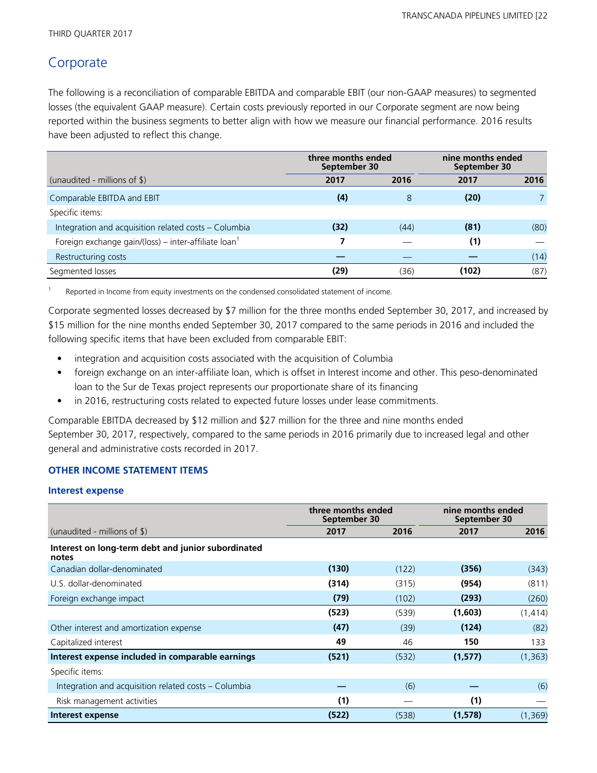## **Corporate**

The following is a reconciliation of comparable EBITDA and comparable EBIT (our non-GAAP measures) to segmented losses (the equivalent GAAP measure). Certain costs previously reported in our Corporate segment are now being reported within the business segments to better align with how we measure our financial performance. 2016 results have been adjusted to reflect this change.

|                                                                  | three months ended<br>September 30 |      | nine months ended<br>September 30 |      |
|------------------------------------------------------------------|------------------------------------|------|-----------------------------------|------|
| (unaudited - millions of $\frac{1}{2}$ )                         | 2017                               | 2016 | 2017                              | 2016 |
| Comparable EBITDA and EBIT                                       | (4)                                | 8    | (20)                              |      |
| Specific items:                                                  |                                    |      |                                   |      |
| Integration and acquisition related costs - Columbia             | (32)                               | (44) | (81)                              | (80) |
| Foreign exchange gain/(loss) – inter-affiliate loan <sup>1</sup> | 7                                  |      | (1)                               |      |
| Restructuring costs                                              |                                    |      |                                   | (14) |
| Segmented losses                                                 | (29)                               | (36) | (102)                             | (87) |

1 Reported in Income from equity investments on the condensed consolidated statement of income.

Corporate segmented losses decreased by \$7 million for the three months ended September 30, 2017, and increased by \$15 million for the nine months ended September 30, 2017 compared to the same periods in 2016 and included the following specific items that have been excluded from comparable EBIT:

- integration and acquisition costs associated with the acquisition of Columbia
- foreign exchange on an inter-affiliate loan, which is offset in Interest income and other. This peso-denominated loan to the Sur de Texas project represents our proportionate share of its financing
- in 2016, restructuring costs related to expected future losses under lease commitments.

Comparable EBITDA decreased by \$12 million and \$27 million for the three and nine months ended September 30, 2017, respectively, compared to the same periods in 2016 primarily due to increased legal and other general and administrative costs recorded in 2017.

### **OTHER INCOME STATEMENT ITEMS**

### **Interest expense**

|                                                             | three months ended<br>September 30 |       | nine months ended<br>September 30 |          |
|-------------------------------------------------------------|------------------------------------|-------|-----------------------------------|----------|
| (unaudited - millions of $\$\$ )                            | 2017                               | 2016  | 2017                              | 2016     |
| Interest on long-term debt and junior subordinated<br>notes |                                    |       |                                   |          |
| Canadian dollar-denominated                                 | (130)                              | (122) | (356)                             | (343)    |
| U.S. dollar-denominated                                     | (314)                              | (315) | (954)                             | (811)    |
| Foreign exchange impact                                     | (79)                               | (102) | (293)                             | (260)    |
|                                                             | (523)                              | (539) | (1,603)                           | (1, 414) |
| Other interest and amortization expense                     | (47)                               | (39)  | (124)                             | (82)     |
| Capitalized interest                                        | 49                                 | 46    | 150                               | 133      |
| Interest expense included in comparable earnings            | (521)                              | (532) | (1, 577)                          | (1, 363) |
| Specific items:                                             |                                    |       |                                   |          |
| Integration and acquisition related costs – Columbia        |                                    | (6)   |                                   | (6)      |
| Risk management activities                                  | (1)                                |       | (1)                               |          |
| Interest expense                                            | (522)                              | (538) | (1,578)                           | (1, 369) |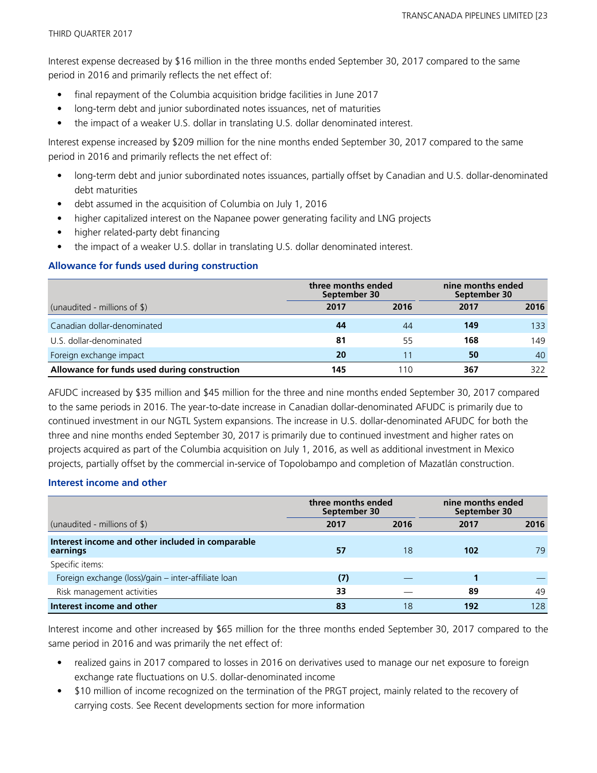Interest expense decreased by \$16 million in the three months ended September 30, 2017 compared to the same period in 2016 and primarily reflects the net effect of:

- final repayment of the Columbia acquisition bridge facilities in June 2017
- long-term debt and junior subordinated notes issuances, net of maturities
- the impact of a weaker U.S. dollar in translating U.S. dollar denominated interest.

Interest expense increased by \$209 million for the nine months ended September 30, 2017 compared to the same period in 2016 and primarily reflects the net effect of:

- long-term debt and junior subordinated notes issuances, partially offset by Canadian and U.S. dollar-denominated debt maturities
- debt assumed in the acquisition of Columbia on July 1, 2016
- higher capitalized interest on the Napanee power generating facility and LNG projects
- higher related-party debt financing
- the impact of a weaker U.S. dollar in translating U.S. dollar denominated interest.

### **Allowance for funds used during construction**

|                                              |      | three months ended<br>September 30 |      | nine months ended<br>September 30 |  |
|----------------------------------------------|------|------------------------------------|------|-----------------------------------|--|
| (unaudited - millions of $\$\$ )             | 2017 | 2016                               | 2017 | 2016                              |  |
| Canadian dollar-denominated                  | 44   | 44                                 | 149  | 133                               |  |
| U.S. dollar-denominated                      | 81   | 55                                 | 168  | 149                               |  |
| Foreign exchange impact                      | 20   |                                    | 50   | 40                                |  |
| Allowance for funds used during construction | 145  | 10                                 | 367  | 322                               |  |

AFUDC increased by \$35 million and \$45 million for the three and nine months ended September 30, 2017 compared to the same periods in 2016. The year-to-date increase in Canadian dollar-denominated AFUDC is primarily due to continued investment in our NGTL System expansions. The increase in U.S. dollar-denominated AFUDC for both the three and nine months ended September 30, 2017 is primarily due to continued investment and higher rates on projects acquired as part of the Columbia acquisition on July 1, 2016, as well as additional investment in Mexico projects, partially offset by the commercial in-service of Topolobampo and completion of Mazatlán construction.

### **Interest income and other**

|                                                              | three months ended<br>September 30 |      | nine months ended<br>September 30 |      |
|--------------------------------------------------------------|------------------------------------|------|-----------------------------------|------|
| (unaudited - millions of $\frac{1}{2}$ )                     | 2017                               | 2016 | 2017                              | 2016 |
| Interest income and other included in comparable<br>earnings | 57                                 | 18   | 102                               | 79   |
| Specific items:                                              |                                    |      |                                   |      |
| Foreign exchange (loss)/gain – inter-affiliate loan          | (7)                                |      |                                   |      |
| Risk management activities                                   | 33                                 |      | 89                                | 49   |
| Interest income and other                                    | 83                                 | 18   | 192                               | 128  |

Interest income and other increased by \$65 million for the three months ended September 30, 2017 compared to the same period in 2016 and was primarily the net effect of:

- realized gains in 2017 compared to losses in 2016 on derivatives used to manage our net exposure to foreign exchange rate fluctuations on U.S. dollar-denominated income
- \$10 million of income recognized on the termination of the PRGT project, mainly related to the recovery of carrying costs. See Recent developments section for more information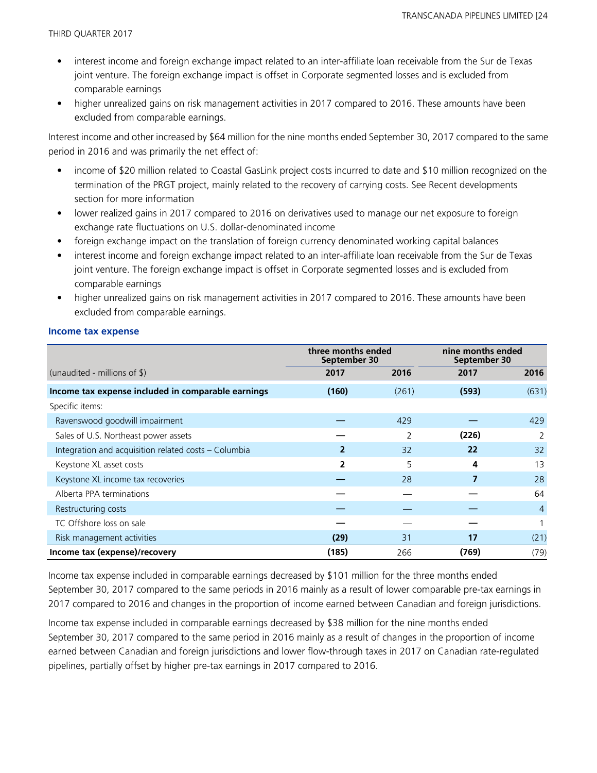- interest income and foreign exchange impact related to an inter-affiliate loan receivable from the Sur de Texas joint venture. The foreign exchange impact is offset in Corporate segmented losses and is excluded from comparable earnings
- higher unrealized gains on risk management activities in 2017 compared to 2016. These amounts have been excluded from comparable earnings.

Interest income and other increased by \$64 million for the nine months ended September 30, 2017 compared to the same period in 2016 and was primarily the net effect of:

- income of \$20 million related to Coastal GasLink project costs incurred to date and \$10 million recognized on the termination of the PRGT project, mainly related to the recovery of carrying costs. See Recent developments section for more information
- lower realized gains in 2017 compared to 2016 on derivatives used to manage our net exposure to foreign exchange rate fluctuations on U.S. dollar-denominated income
- foreign exchange impact on the translation of foreign currency denominated working capital balances
- interest income and foreign exchange impact related to an inter-affiliate loan receivable from the Sur de Texas joint venture. The foreign exchange impact is offset in Corporate segmented losses and is excluded from comparable earnings
- higher unrealized gains on risk management activities in 2017 compared to 2016. These amounts have been excluded from comparable earnings.

#### **Income tax expense**

|                                                      | three months ended<br>September 30 |       | nine months ended<br>September 30 |                |
|------------------------------------------------------|------------------------------------|-------|-----------------------------------|----------------|
| (unaudited - millions of $\$\$ )                     | 2017                               | 2016  | 2017                              | 2016           |
| Income tax expense included in comparable earnings   | (160)                              | (261) | (593)                             | (631)          |
| Specific items:                                      |                                    |       |                                   |                |
| Ravenswood goodwill impairment                       |                                    | 429   |                                   | 429            |
| Sales of U.S. Northeast power assets                 |                                    | 2     | (226)                             |                |
| Integration and acquisition related costs - Columbia | 2                                  | 32    | 22                                | 32             |
| Keystone XL asset costs                              | 2                                  | 5     | 4                                 | 13             |
| Keystone XL income tax recoveries                    |                                    | 28    |                                   | 28             |
| Alberta PPA terminations                             |                                    |       |                                   | 64             |
| Restructuring costs                                  |                                    |       |                                   | $\overline{4}$ |
| TC Offshore loss on sale                             |                                    |       |                                   |                |
| Risk management activities                           | (29)                               | 31    | 17                                | (21)           |
| Income tax (expense)/recovery                        | (185)                              | 266   | (769)                             | (79)           |

Income tax expense included in comparable earnings decreased by \$101 million for the three months ended September 30, 2017 compared to the same periods in 2016 mainly as a result of lower comparable pre-tax earnings in 2017 compared to 2016 and changes in the proportion of income earned between Canadian and foreign jurisdictions.

Income tax expense included in comparable earnings decreased by \$38 million for the nine months ended September 30, 2017 compared to the same period in 2016 mainly as a result of changes in the proportion of income earned between Canadian and foreign jurisdictions and lower flow-through taxes in 2017 on Canadian rate-regulated pipelines, partially offset by higher pre-tax earnings in 2017 compared to 2016.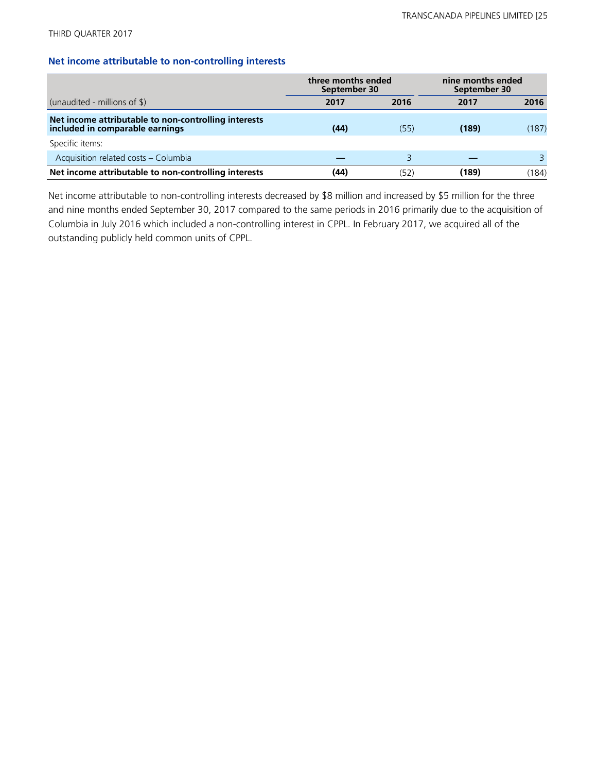#### **Net income attributable to non-controlling interests**

|                                                                                         | three months ended<br>September 30 |      | nine months ended<br>September 30 |       |
|-----------------------------------------------------------------------------------------|------------------------------------|------|-----------------------------------|-------|
| (unaudited - millions of $\frac{1}{2}$ )                                                | 2017                               | 2016 | 2017                              | 2016  |
| Net income attributable to non-controlling interests<br>included in comparable earnings | (44)                               | (55) | (189)                             | (187) |
| Specific items:                                                                         |                                    |      |                                   |       |
| Acquisition related costs - Columbia                                                    |                                    | ₹    |                                   | 3     |
| Net income attributable to non-controlling interests                                    | (44)                               | (52) | (189)                             | (184) |

Net income attributable to non-controlling interests decreased by \$8 million and increased by \$5 million for the three and nine months ended September 30, 2017 compared to the same periods in 2016 primarily due to the acquisition of Columbia in July 2016 which included a non-controlling interest in CPPL. In February 2017, we acquired all of the outstanding publicly held common units of CPPL.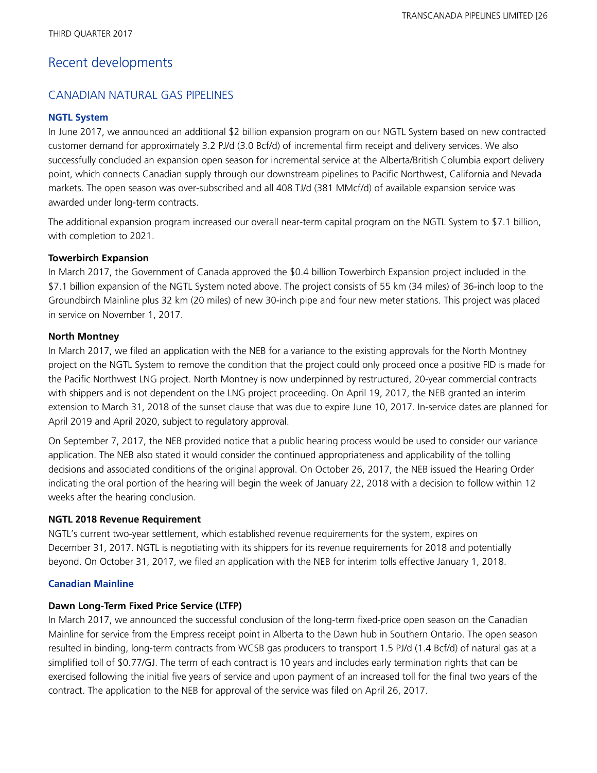## Recent developments

## CANADIAN NATURAL GAS PIPELINES

### **NGTL System**

In June 2017, we announced an additional \$2 billion expansion program on our NGTL System based on new contracted customer demand for approximately 3.2 PJ/d (3.0 Bcf/d) of incremental firm receipt and delivery services. We also successfully concluded an expansion open season for incremental service at the Alberta/British Columbia export delivery point, which connects Canadian supply through our downstream pipelines to Pacific Northwest, California and Nevada markets. The open season was over-subscribed and all 408 TJ/d (381 MMcf/d) of available expansion service was awarded under long-term contracts.

The additional expansion program increased our overall near-term capital program on the NGTL System to \$7.1 billion, with completion to 2021.

### **Towerbirch Expansion**

In March 2017, the Government of Canada approved the \$0.4 billion Towerbirch Expansion project included in the \$7.1 billion expansion of the NGTL System noted above. The project consists of 55 km (34 miles) of 36-inch loop to the Groundbirch Mainline plus 32 km (20 miles) of new 30-inch pipe and four new meter stations. This project was placed in service on November 1, 2017.

## **North Montney**

In March 2017, we filed an application with the NEB for a variance to the existing approvals for the North Montney project on the NGTL System to remove the condition that the project could only proceed once a positive FID is made for the Pacific Northwest LNG project. North Montney is now underpinned by restructured, 20-year commercial contracts with shippers and is not dependent on the LNG project proceeding. On April 19, 2017, the NEB granted an interim extension to March 31, 2018 of the sunset clause that was due to expire June 10, 2017. In-service dates are planned for April 2019 and April 2020, subject to regulatory approval.

On September 7, 2017, the NEB provided notice that a public hearing process would be used to consider our variance application. The NEB also stated it would consider the continued appropriateness and applicability of the tolling decisions and associated conditions of the original approval. On October 26, 2017, the NEB issued the Hearing Order indicating the oral portion of the hearing will begin the week of January 22, 2018 with a decision to follow within 12 weeks after the hearing conclusion.

### **NGTL 2018 Revenue Requirement**

NGTL's current two-year settlement, which established revenue requirements for the system, expires on December 31, 2017. NGTL is negotiating with its shippers for its revenue requirements for 2018 and potentially beyond. On October 31, 2017, we filed an application with the NEB for interim tolls effective January 1, 2018.

### **Canadian Mainline**

## **Dawn Long-Term Fixed Price Service (LTFP)**

In March 2017, we announced the successful conclusion of the long-term fixed-price open season on the Canadian Mainline for service from the Empress receipt point in Alberta to the Dawn hub in Southern Ontario. The open season resulted in binding, long-term contracts from WCSB gas producers to transport 1.5 PJ/d (1.4 Bcf/d) of natural gas at a simplified toll of \$0.77/GJ. The term of each contract is 10 years and includes early termination rights that can be exercised following the initial five years of service and upon payment of an increased toll for the final two years of the contract. The application to the NEB for approval of the service was filed on April 26, 2017.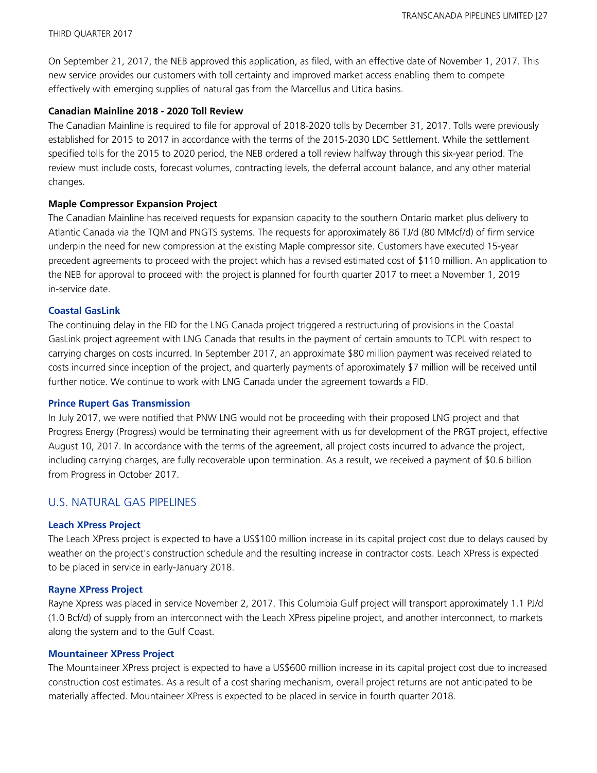On September 21, 2017, the NEB approved this application, as filed, with an effective date of November 1, 2017. This new service provides our customers with toll certainty and improved market access enabling them to compete effectively with emerging supplies of natural gas from the Marcellus and Utica basins.

#### **Canadian Mainline 2018 - 2020 Toll Review**

The Canadian Mainline is required to file for approval of 2018-2020 tolls by December 31, 2017. Tolls were previously established for 2015 to 2017 in accordance with the terms of the 2015-2030 LDC Settlement. While the settlement specified tolls for the 2015 to 2020 period, the NEB ordered a toll review halfway through this six-year period. The review must include costs, forecast volumes, contracting levels, the deferral account balance, and any other material changes.

#### **Maple Compressor Expansion Project**

The Canadian Mainline has received requests for expansion capacity to the southern Ontario market plus delivery to Atlantic Canada via the TQM and PNGTS systems. The requests for approximately 86 TJ/d (80 MMcf/d) of firm service underpin the need for new compression at the existing Maple compressor site. Customers have executed 15-year precedent agreements to proceed with the project which has a revised estimated cost of \$110 million. An application to the NEB for approval to proceed with the project is planned for fourth quarter 2017 to meet a November 1, 2019 in-service date.

#### **Coastal GasLink**

The continuing delay in the FID for the LNG Canada project triggered a restructuring of provisions in the Coastal GasLink project agreement with LNG Canada that results in the payment of certain amounts to TCPL with respect to carrying charges on costs incurred. In September 2017, an approximate \$80 million payment was received related to costs incurred since inception of the project, and quarterly payments of approximately \$7 million will be received until further notice. We continue to work with LNG Canada under the agreement towards a FID.

#### **Prince Rupert Gas Transmission**

In July 2017, we were notified that PNW LNG would not be proceeding with their proposed LNG project and that Progress Energy (Progress) would be terminating their agreement with us for development of the PRGT project, effective August 10, 2017. In accordance with the terms of the agreement, all project costs incurred to advance the project, including carrying charges, are fully recoverable upon termination. As a result, we received a payment of \$0.6 billion from Progress in October 2017.

## U.S. NATURAL GAS PIPELINES

#### **Leach XPress Project**

The Leach XPress project is expected to have a US\$100 million increase in its capital project cost due to delays caused by weather on the project's construction schedule and the resulting increase in contractor costs. Leach XPress is expected to be placed in service in early-January 2018.

#### **Rayne XPress Project**

Rayne Xpress was placed in service November 2, 2017. This Columbia Gulf project will transport approximately 1.1 PJ/d (1.0 Bcf/d) of supply from an interconnect with the Leach XPress pipeline project, and another interconnect, to markets along the system and to the Gulf Coast.

#### **Mountaineer XPress Project**

The Mountaineer XPress project is expected to have a US\$600 million increase in its capital project cost due to increased construction cost estimates. As a result of a cost sharing mechanism, overall project returns are not anticipated to be materially affected. Mountaineer XPress is expected to be placed in service in fourth quarter 2018.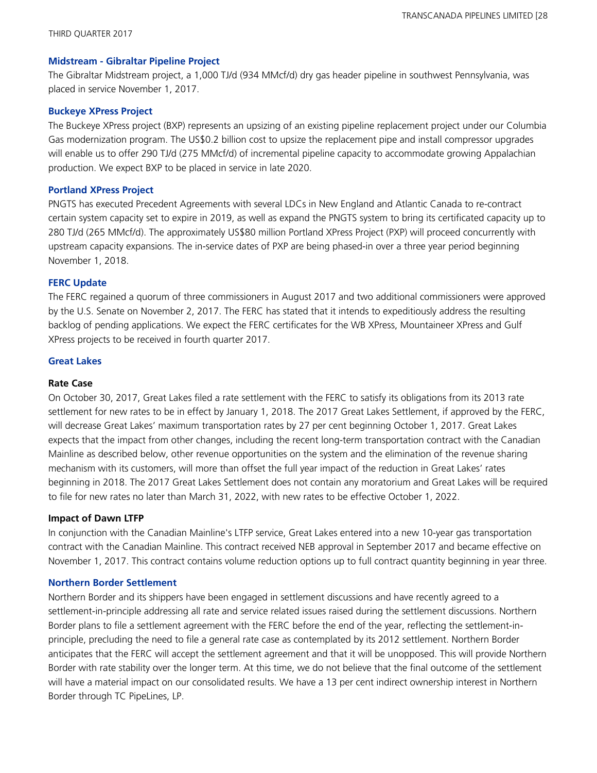#### **Midstream - Gibraltar Pipeline Project**

The Gibraltar Midstream project, a 1,000 TJ/d (934 MMcf/d) dry gas header pipeline in southwest Pennsylvania, was placed in service November 1, 2017.

#### **Buckeye XPress Project**

The Buckeye XPress project (BXP) represents an upsizing of an existing pipeline replacement project under our Columbia Gas modernization program. The US\$0.2 billion cost to upsize the replacement pipe and install compressor upgrades will enable us to offer 290 TJ/d (275 MMcf/d) of incremental pipeline capacity to accommodate growing Appalachian production. We expect BXP to be placed in service in late 2020.

#### **Portland XPress Project**

PNGTS has executed Precedent Agreements with several LDCs in New England and Atlantic Canada to re-contract certain system capacity set to expire in 2019, as well as expand the PNGTS system to bring its certificated capacity up to 280 TJ/d (265 MMcf/d). The approximately US\$80 million Portland XPress Project (PXP) will proceed concurrently with upstream capacity expansions. The in-service dates of PXP are being phased-in over a three year period beginning November 1, 2018.

#### **FERC Update**

The FERC regained a quorum of three commissioners in August 2017 and two additional commissioners were approved by the U.S. Senate on November 2, 2017. The FERC has stated that it intends to expeditiously address the resulting backlog of pending applications. We expect the FERC certificates for the WB XPress, Mountaineer XPress and Gulf XPress projects to be received in fourth quarter 2017.

#### **Great Lakes**

#### **Rate Case**

On October 30, 2017, Great Lakes filed a rate settlement with the FERC to satisfy its obligations from its 2013 rate settlement for new rates to be in effect by January 1, 2018. The 2017 Great Lakes Settlement, if approved by the FERC, will decrease Great Lakes' maximum transportation rates by 27 per cent beginning October 1, 2017. Great Lakes expects that the impact from other changes, including the recent long-term transportation contract with the Canadian Mainline as described below, other revenue opportunities on the system and the elimination of the revenue sharing mechanism with its customers, will more than offset the full year impact of the reduction in Great Lakes' rates beginning in 2018. The 2017 Great Lakes Settlement does not contain any moratorium and Great Lakes will be required to file for new rates no later than March 31, 2022, with new rates to be effective October 1, 2022.

#### **Impact of Dawn LTFP**

In conjunction with the Canadian Mainline's LTFP service, Great Lakes entered into a new 10-year gas transportation contract with the Canadian Mainline. This contract received NEB approval in September 2017 and became effective on November 1, 2017. This contract contains volume reduction options up to full contract quantity beginning in year three.

#### **Northern Border Settlement**

Northern Border and its shippers have been engaged in settlement discussions and have recently agreed to a settlement-in-principle addressing all rate and service related issues raised during the settlement discussions. Northern Border plans to file a settlement agreement with the FERC before the end of the year, reflecting the settlement-inprinciple, precluding the need to file a general rate case as contemplated by its 2012 settlement. Northern Border anticipates that the FERC will accept the settlement agreement and that it will be unopposed. This will provide Northern Border with rate stability over the longer term. At this time, we do not believe that the final outcome of the settlement will have a material impact on our consolidated results. We have a 13 per cent indirect ownership interest in Northern Border through TC PipeLines, LP.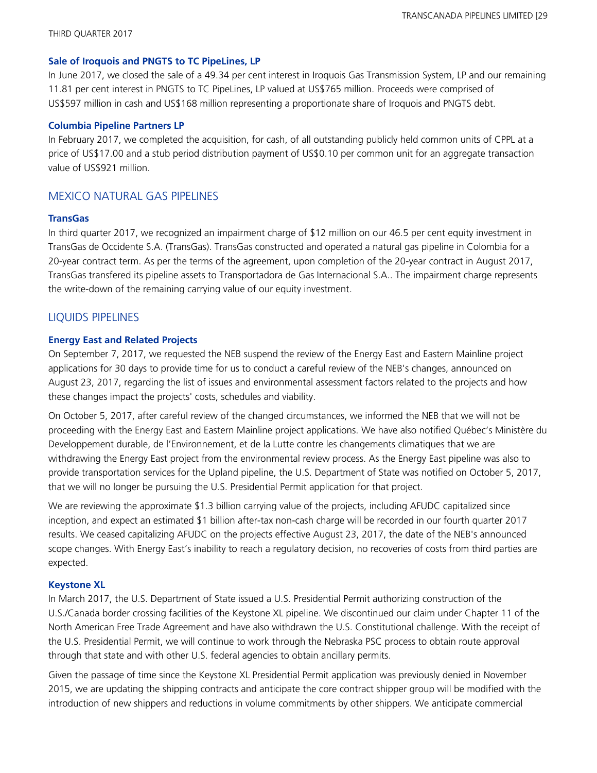#### **Sale of Iroquois and PNGTS to TC PipeLines, LP**

In June 2017, we closed the sale of a 49.34 per cent interest in Iroquois Gas Transmission System, LP and our remaining 11.81 per cent interest in PNGTS to TC PipeLines, LP valued at US\$765 million. Proceeds were comprised of US\$597 million in cash and US\$168 million representing a proportionate share of Iroquois and PNGTS debt.

#### **Columbia Pipeline Partners LP**

In February 2017, we completed the acquisition, for cash, of all outstanding publicly held common units of CPPL at a price of US\$17.00 and a stub period distribution payment of US\$0.10 per common unit for an aggregate transaction value of US\$921 million.

## MEXICO NATURAL GAS PIPELINES

#### **TransGas**

In third quarter 2017, we recognized an impairment charge of \$12 million on our 46.5 per cent equity investment in TransGas de Occidente S.A. (TransGas). TransGas constructed and operated a natural gas pipeline in Colombia for a 20-year contract term. As per the terms of the agreement, upon completion of the 20-year contract in August 2017, TransGas transfered its pipeline assets to Transportadora de Gas Internacional S.A.. The impairment charge represents the write-down of the remaining carrying value of our equity investment.

## LIQUIDS PIPELINES

#### **Energy East and Related Projects**

On September 7, 2017, we requested the NEB suspend the review of the Energy East and Eastern Mainline project applications for 30 days to provide time for us to conduct a careful review of the NEB's changes, announced on August 23, 2017, regarding the list of issues and environmental assessment factors related to the projects and how these changes impact the projects' costs, schedules and viability.

On October 5, 2017, after careful review of the changed circumstances, we informed the NEB that we will not be proceeding with the Energy East and Eastern Mainline project applications. We have also notified Québec's Ministère du Developpement durable, de l'Environnement, et de la Lutte contre les changements climatiques that we are withdrawing the Energy East project from the environmental review process. As the Energy East pipeline was also to provide transportation services for the Upland pipeline, the U.S. Department of State was notified on October 5, 2017, that we will no longer be pursuing the U.S. Presidential Permit application for that project.

We are reviewing the approximate \$1.3 billion carrying value of the projects, including AFUDC capitalized since inception, and expect an estimated \$1 billion after-tax non-cash charge will be recorded in our fourth quarter 2017 results. We ceased capitalizing AFUDC on the projects effective August 23, 2017, the date of the NEB's announced scope changes. With Energy East's inability to reach a regulatory decision, no recoveries of costs from third parties are expected.

### **Keystone XL**

In March 2017, the U.S. Department of State issued a U.S. Presidential Permit authorizing construction of the U.S./Canada border crossing facilities of the Keystone XL pipeline. We discontinued our claim under Chapter 11 of the North American Free Trade Agreement and have also withdrawn the U.S. Constitutional challenge. With the receipt of the U.S. Presidential Permit, we will continue to work through the Nebraska PSC process to obtain route approval through that state and with other U.S. federal agencies to obtain ancillary permits.

Given the passage of time since the Keystone XL Presidential Permit application was previously denied in November 2015, we are updating the shipping contracts and anticipate the core contract shipper group will be modified with the introduction of new shippers and reductions in volume commitments by other shippers. We anticipate commercial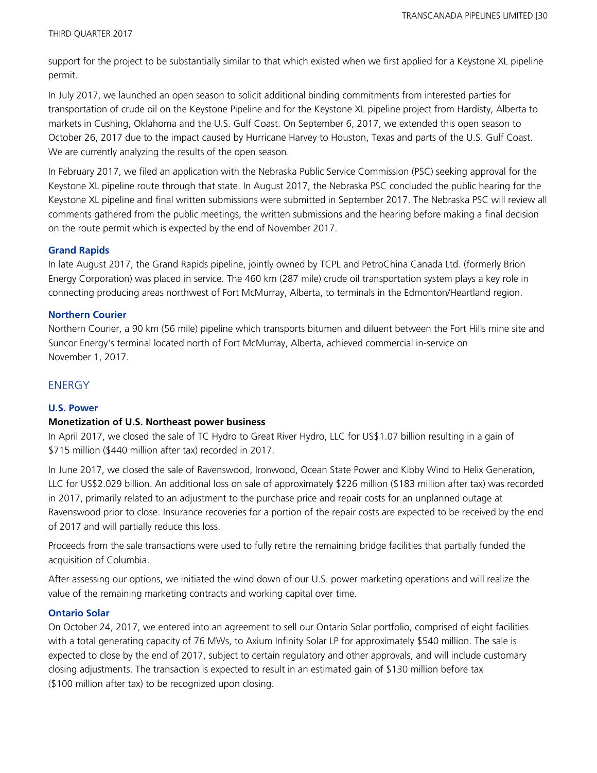support for the project to be substantially similar to that which existed when we first applied for a Keystone XL pipeline permit.

In July 2017, we launched an open season to solicit additional binding commitments from interested parties for transportation of crude oil on the Keystone Pipeline and for the Keystone XL pipeline project from Hardisty, Alberta to markets in Cushing, Oklahoma and the U.S. Gulf Coast. On September 6, 2017, we extended this open season to October 26, 2017 due to the impact caused by Hurricane Harvey to Houston, Texas and parts of the U.S. Gulf Coast. We are currently analyzing the results of the open season.

In February 2017, we filed an application with the Nebraska Public Service Commission (PSC) seeking approval for the Keystone XL pipeline route through that state. In August 2017, the Nebraska PSC concluded the public hearing for the Keystone XL pipeline and final written submissions were submitted in September 2017. The Nebraska PSC will review all comments gathered from the public meetings, the written submissions and the hearing before making a final decision on the route permit which is expected by the end of November 2017.

#### **Grand Rapids**

In late August 2017, the Grand Rapids pipeline, jointly owned by TCPL and PetroChina Canada Ltd. (formerly Brion Energy Corporation) was placed in service. The 460 km (287 mile) crude oil transportation system plays a key role in connecting producing areas northwest of Fort McMurray, Alberta, to terminals in the Edmonton/Heartland region.

#### **Northern Courier**

Northern Courier, a 90 km (56 mile) pipeline which transports bitumen and diluent between the Fort Hills mine site and Suncor Energy's terminal located north of Fort McMurray, Alberta, achieved commercial in-service on November 1, 2017.

## **ENERGY**

#### **U.S. Power**

#### **Monetization of U.S. Northeast power business**

In April 2017, we closed the sale of TC Hydro to Great River Hydro, LLC for US\$1.07 billion resulting in a gain of \$715 million (\$440 million after tax) recorded in 2017.

In June 2017, we closed the sale of Ravenswood, Ironwood, Ocean State Power and Kibby Wind to Helix Generation, LLC for US\$2.029 billion. An additional loss on sale of approximately \$226 million (\$183 million after tax) was recorded in 2017, primarily related to an adjustment to the purchase price and repair costs for an unplanned outage at Ravenswood prior to close. Insurance recoveries for a portion of the repair costs are expected to be received by the end of 2017 and will partially reduce this loss.

Proceeds from the sale transactions were used to fully retire the remaining bridge facilities that partially funded the acquisition of Columbia.

After assessing our options, we initiated the wind down of our U.S. power marketing operations and will realize the value of the remaining marketing contracts and working capital over time.

#### **Ontario Solar**

On October 24, 2017, we entered into an agreement to sell our Ontario Solar portfolio, comprised of eight facilities with a total generating capacity of 76 MWs, to Axium Infinity Solar LP for approximately \$540 million. The sale is expected to close by the end of 2017, subject to certain regulatory and other approvals, and will include customary closing adjustments. The transaction is expected to result in an estimated gain of \$130 million before tax (\$100 million after tax) to be recognized upon closing.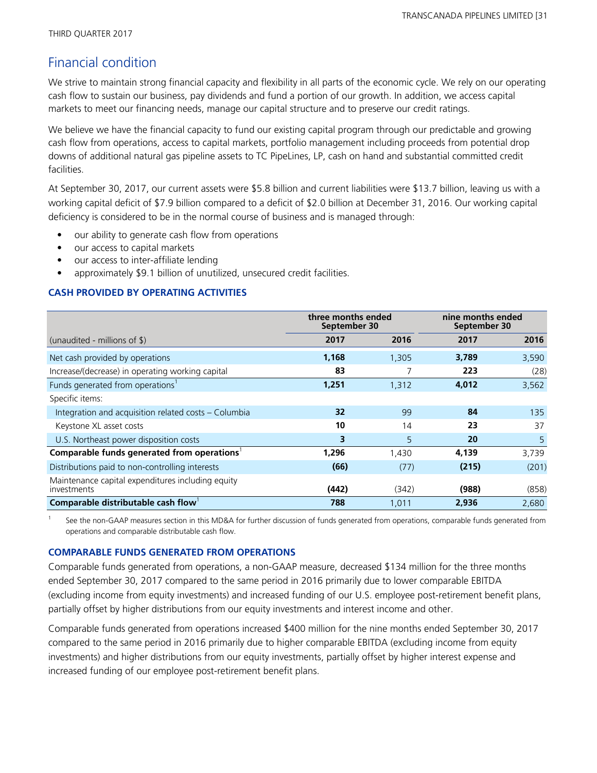# Financial condition

We strive to maintain strong financial capacity and flexibility in all parts of the economic cycle. We rely on our operating cash flow to sustain our business, pay dividends and fund a portion of our growth. In addition, we access capital markets to meet our financing needs, manage our capital structure and to preserve our credit ratings.

We believe we have the financial capacity to fund our existing capital program through our predictable and growing cash flow from operations, access to capital markets, portfolio management including proceeds from potential drop downs of additional natural gas pipeline assets to TC PipeLines, LP, cash on hand and substantial committed credit facilities.

At September 30, 2017, our current assets were \$5.8 billion and current liabilities were \$13.7 billion, leaving us with a working capital deficit of \$7.9 billion compared to a deficit of \$2.0 billion at December 31, 2016. Our working capital deficiency is considered to be in the normal course of business and is managed through:

- our ability to generate cash flow from operations
- our access to capital markets
- our access to inter-affiliate lending
- approximately \$9.1 billion of unutilized, unsecured credit facilities.

### **CASH PROVIDED BY OPERATING ACTIVITIES**

|                                                                  | three months ended<br>September 30 |       | nine months ended<br>September 30 |       |
|------------------------------------------------------------------|------------------------------------|-------|-----------------------------------|-------|
| (unaudited - millions of $\frac{1}{2}$ )                         | 2017                               | 2016  | 2017                              | 2016  |
| Net cash provided by operations                                  | 1,168                              | 1,305 | 3,789                             | 3,590 |
| Increase/(decrease) in operating working capital                 | 83                                 |       | 223                               | (28)  |
| Funds generated from operations <sup>1</sup>                     | 1,251                              | 1,312 | 4,012                             | 3,562 |
| Specific items:                                                  |                                    |       |                                   |       |
| Integration and acquisition related costs - Columbia             | 32                                 | 99    | 84                                | 135   |
| Keystone XL asset costs                                          | 10                                 | 14    | 23                                | 37    |
| U.S. Northeast power disposition costs                           | 3                                  | 5     | 20                                | 5     |
| Comparable funds generated from operations <sup>1</sup>          | 1,296                              | 1,430 | 4,139                             | 3,739 |
| Distributions paid to non-controlling interests                  | (66)                               | (77)  | (215)                             | (201) |
| Maintenance capital expenditures including equity<br>investments | (442)                              | (342) | (988)                             | (858) |
| Comparable distributable cash flow                               | 788                                | 1,011 | 2,936                             | 2,680 |

1 See the non-GAAP measures section in this MD&A for further discussion of funds generated from operations, comparable funds generated from operations and comparable distributable cash flow.

### **COMPARABLE FUNDS GENERATED FROM OPERATIONS**

Comparable funds generated from operations, a non-GAAP measure, decreased \$134 million for the three months ended September 30, 2017 compared to the same period in 2016 primarily due to lower comparable EBITDA (excluding income from equity investments) and increased funding of our U.S. employee post-retirement benefit plans, partially offset by higher distributions from our equity investments and interest income and other.

Comparable funds generated from operations increased \$400 million for the nine months ended September 30, 2017 compared to the same period in 2016 primarily due to higher comparable EBITDA (excluding income from equity investments) and higher distributions from our equity investments, partially offset by higher interest expense and increased funding of our employee post-retirement benefit plans.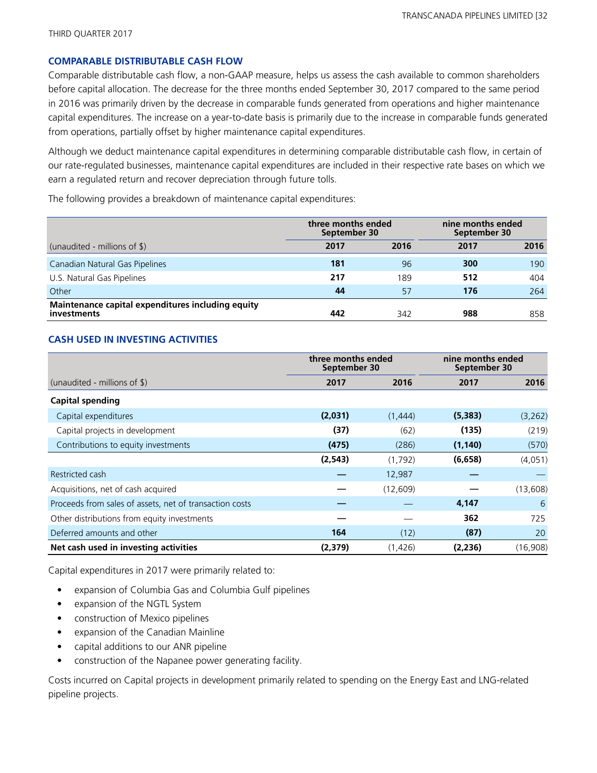#### **COMPARABLE DISTRIBUTABLE CASH FLOW**

Comparable distributable cash flow, a non-GAAP measure, helps us assess the cash available to common shareholders before capital allocation. The decrease for the three months ended September 30, 2017 compared to the same period in 2016 was primarily driven by the decrease in comparable funds generated from operations and higher maintenance capital expenditures. The increase on a year-to-date basis is primarily due to the increase in comparable funds generated from operations, partially offset by higher maintenance capital expenditures.

Although we deduct maintenance capital expenditures in determining comparable distributable cash flow, in certain of our rate-regulated businesses, maintenance capital expenditures are included in their respective rate bases on which we earn a regulated return and recover depreciation through future tolls.

The following provides a breakdown of maintenance capital expenditures:

|                                                                         | three months ended<br>September 30 |      | nine months ended<br>September 30 |      |
|-------------------------------------------------------------------------|------------------------------------|------|-----------------------------------|------|
| (unaudited - millions of \$)                                            | 2017                               | 2016 | 2017                              | 2016 |
| Canadian Natural Gas Pipelines                                          | 181                                | 96   | 300                               | 190  |
| U.S. Natural Gas Pipelines                                              | 217                                | 189  | 512                               | 404  |
| Other                                                                   | 44                                 | 57   | 176                               | 264  |
| Maintenance capital expenditures including equity<br><i>investments</i> | 442                                | 342  | 988                               | 858  |

### **CASH USED IN INVESTING ACTIVITIES**

|                                                         |          | three months ended<br>September 30 |          | nine months ended<br>September 30 |  |
|---------------------------------------------------------|----------|------------------------------------|----------|-----------------------------------|--|
| (unaudited - millions of $\frac{1}{2}$ )                | 2017     | 2016                               | 2017     | 2016                              |  |
| <b>Capital spending</b>                                 |          |                                    |          |                                   |  |
| Capital expenditures                                    | (2,031)  | (1,444)                            | (5, 383) | (3, 262)                          |  |
| Capital projects in development                         | (37)     | (62)                               | (135)    | (219)                             |  |
| Contributions to equity investments                     | (475)    | (286)                              | (1, 140) | (570)                             |  |
|                                                         | (2, 543) | (1,792)                            | (6,658)  | (4,051)                           |  |
| Restricted cash                                         |          | 12,987                             |          |                                   |  |
| Acquisitions, net of cash acquired                      |          | (12, 609)                          |          | (13,608)                          |  |
| Proceeds from sales of assets, net of transaction costs |          |                                    | 4,147    | 6                                 |  |
| Other distributions from equity investments             |          |                                    | 362      | 725                               |  |
| Deferred amounts and other                              | 164      | (12)                               | (87)     | 20                                |  |
| Net cash used in investing activities                   | (2,379)  | (1,426)                            | (2,236)  | (16,908)                          |  |

Capital expenditures in 2017 were primarily related to:

- expansion of Columbia Gas and Columbia Gulf pipelines
- expansion of the NGTL System
- construction of Mexico pipelines
- expansion of the Canadian Mainline
- capital additions to our ANR pipeline
- construction of the Napanee power generating facility.

Costs incurred on Capital projects in development primarily related to spending on the Energy East and LNG-related pipeline projects.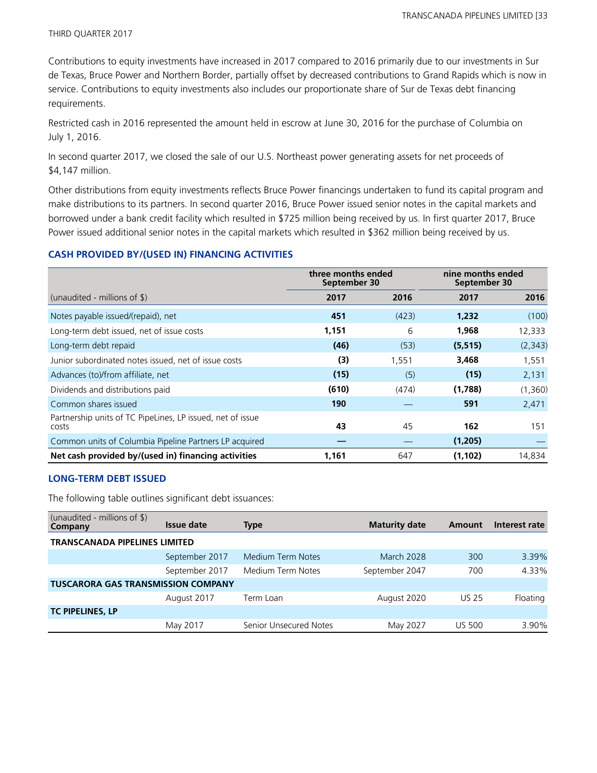Contributions to equity investments have increased in 2017 compared to 2016 primarily due to our investments in Sur de Texas, Bruce Power and Northern Border, partially offset by decreased contributions to Grand Rapids which is now in service. Contributions to equity investments also includes our proportionate share of Sur de Texas debt financing requirements.

Restricted cash in 2016 represented the amount held in escrow at June 30, 2016 for the purchase of Columbia on July 1, 2016.

In second quarter 2017, we closed the sale of our U.S. Northeast power generating assets for net proceeds of \$4,147 million.

Other distributions from equity investments reflects Bruce Power financings undertaken to fund its capital program and make distributions to its partners. In second quarter 2016, Bruce Power issued senior notes in the capital markets and borrowed under a bank credit facility which resulted in \$725 million being received by us. In first quarter 2017, Bruce Power issued additional senior notes in the capital markets which resulted in \$362 million being received by us.

#### **CASH PROVIDED BY/(USED IN) FINANCING ACTIVITIES**

|                                                                     | three months ended<br>September 30 |       | nine months ended<br>September 30 |          |
|---------------------------------------------------------------------|------------------------------------|-------|-----------------------------------|----------|
| (unaudited - millions of $\$\$ )                                    | 2017                               | 2016  | 2017                              | 2016     |
| Notes payable issued/(repaid), net                                  | 451                                | (423) | 1,232                             | (100)    |
| Long-term debt issued, net of issue costs                           | 1,151                              | 6     | 1,968                             | 12,333   |
| Long-term debt repaid                                               | (46)                               | (53)  | (5, 515)                          | (2, 343) |
| Junior subordinated notes issued, net of issue costs                | (3)                                | 1,551 | 3,468                             | 1,551    |
| Advances (to)/from affiliate, net                                   | (15)                               | (5)   | (15)                              | 2,131    |
| Dividends and distributions paid                                    | (610)                              | (474) | (1,788)                           | (1,360)  |
| Common shares issued                                                | 190                                |       | 591                               | 2,471    |
| Partnership units of TC PipeLines, LP issued, net of issue<br>costs | 43                                 | 45    | 162                               | 151      |
| Common units of Columbia Pipeline Partners LP acquired              |                                    |       | (1,205)                           |          |
| Net cash provided by/(used in) financing activities                 | 1,161                              | 647   | (1, 102)                          | 14,834   |

#### **LONG-TERM DEBT ISSUED**

The following table outlines significant debt issuances:

| (unaudited - millions of $\frac{1}{2}$ )<br>Company | Issue date     | Type                   | <b>Maturity date</b> | Amount        | Interest rate |
|-----------------------------------------------------|----------------|------------------------|----------------------|---------------|---------------|
| TRANSCANADA PIPELINES LIMITED                       |                |                        |                      |               |               |
|                                                     | September 2017 | Medium Term Notes      | <b>March 2028</b>    | 300           | 3.39%         |
|                                                     | September 2017 | Medium Term Notes      | September 2047       | 700           | 4.33%         |
| <b>TUSCARORA GAS TRANSMISSION COMPANY</b>           |                |                        |                      |               |               |
|                                                     | August 2017    | Term Loan              | August 2020          | <b>US 25</b>  | Floating      |
| <b>TC PIPELINES, LP</b>                             |                |                        |                      |               |               |
|                                                     | May 2017       | Senior Unsecured Notes | May 2027             | <b>US 500</b> | 3.90%         |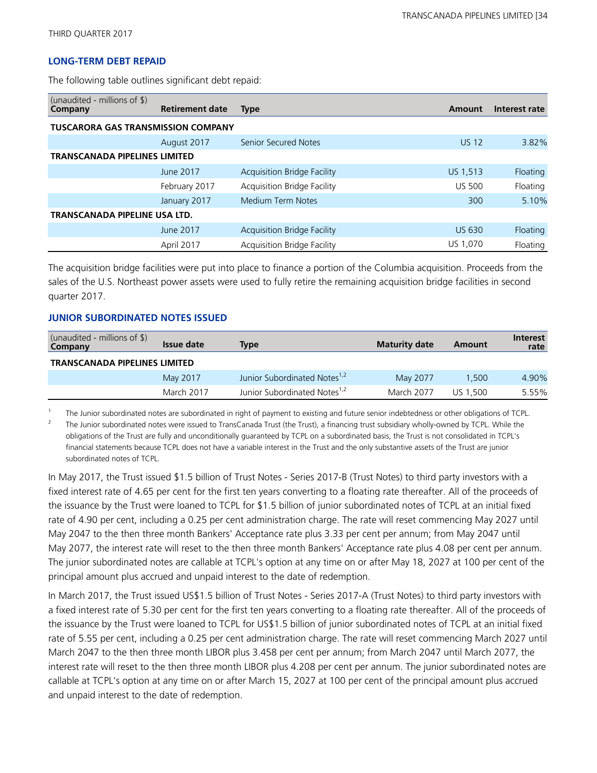### **LONG-TERM DEBT REPAID**

The following table outlines significant debt repaid:

| (unaudited - millions of $\frac{1}{2}$ )<br>Company | <b>Retirement date</b> | <b>Type</b>                        | Amount        | Interest rate |  |
|-----------------------------------------------------|------------------------|------------------------------------|---------------|---------------|--|
| <b>TUSCARORA GAS TRANSMISSION COMPANY</b>           |                        |                                    |               |               |  |
|                                                     | August 2017            | <b>Senior Secured Notes</b>        | <b>US 12</b>  | 3.82%         |  |
| <b>TRANSCANADA PIPELINES LIMITED</b>                |                        |                                    |               |               |  |
|                                                     | June 2017              | <b>Acquisition Bridge Facility</b> | US 1,513      | Floating      |  |
|                                                     | February 2017          | <b>Acquisition Bridge Facility</b> | <b>US 500</b> | Floating      |  |
|                                                     | January 2017           | Medium Term Notes                  | 300           | 5.10%         |  |
| TRANSCANADA PIPELINE USA LTD.                       |                        |                                    |               |               |  |
|                                                     | June 2017              | <b>Acquisition Bridge Facility</b> | <b>US 630</b> | Floating      |  |
|                                                     | April 2017             | Acquisition Bridge Facility        | US 1,070      | Floating      |  |

The acquisition bridge facilities were put into place to finance a portion of the Columbia acquisition. Proceeds from the sales of the U.S. Northeast power assets were used to fully retire the remaining acquisition bridge facilities in second quarter 2017.

#### **JUNIOR SUBORDINATED NOTES ISSUED**

| (unaudited - millions of $\$\$ )<br>Company | Issue date | Type                                     | <b>Maturity date</b> | Amount   | Interest<br>rate |
|---------------------------------------------|------------|------------------------------------------|----------------------|----------|------------------|
| <b>TRANSCANADA PIPELINES LIMITED</b>        |            |                                          |                      |          |                  |
|                                             | May 2017   | Junior Subordinated Notes <sup>1,2</sup> | May 2077             | 1.500    | 4.90%            |
|                                             | March 2017 | Junior Subordinated Notes <sup>1,2</sup> | March 2077           | US 1.500 | 5.55%            |

1 The Junior subordinated notes are subordinated in right of payment to existing and future senior indebtedness or other obligations of TCPL.

2 The Junior subordinated notes were issued to TransCanada Trust (the Trust), a financing trust subsidiary wholly-owned by TCPL. While the obligations of the Trust are fully and unconditionally guaranteed by TCPL on a subordinated basis, the Trust is not consolidated in TCPL's financial statements because TCPL does not have a variable interest in the Trust and the only substantive assets of the Trust are junior subordinated notes of TCPL.

In May 2017, the Trust issued \$1.5 billion of Trust Notes - Series 2017-B (Trust Notes) to third party investors with a fixed interest rate of 4.65 per cent for the first ten years converting to a floating rate thereafter. All of the proceeds of the issuance by the Trust were loaned to TCPL for \$1.5 billion of junior subordinated notes of TCPL at an initial fixed rate of 4.90 per cent, including a 0.25 per cent administration charge. The rate will reset commencing May 2027 until May 2047 to the then three month Bankers' Acceptance rate plus 3.33 per cent per annum; from May 2047 until May 2077, the interest rate will reset to the then three month Bankers' Acceptance rate plus 4.08 per cent per annum. The junior subordinated notes are callable at TCPL's option at any time on or after May 18, 2027 at 100 per cent of the principal amount plus accrued and unpaid interest to the date of redemption.

In March 2017, the Trust issued US\$1.5 billion of Trust Notes - Series 2017-A (Trust Notes) to third party investors with a fixed interest rate of 5.30 per cent for the first ten years converting to a floating rate thereafter. All of the proceeds of the issuance by the Trust were loaned to TCPL for US\$1.5 billion of junior subordinated notes of TCPL at an initial fixed rate of 5.55 per cent, including a 0.25 per cent administration charge. The rate will reset commencing March 2027 until March 2047 to the then three month LIBOR plus 3.458 per cent per annum; from March 2047 until March 2077, the interest rate will reset to the then three month LIBOR plus 4.208 per cent per annum. The junior subordinated notes are callable at TCPL's option at any time on or after March 15, 2027 at 100 per cent of the principal amount plus accrued and unpaid interest to the date of redemption.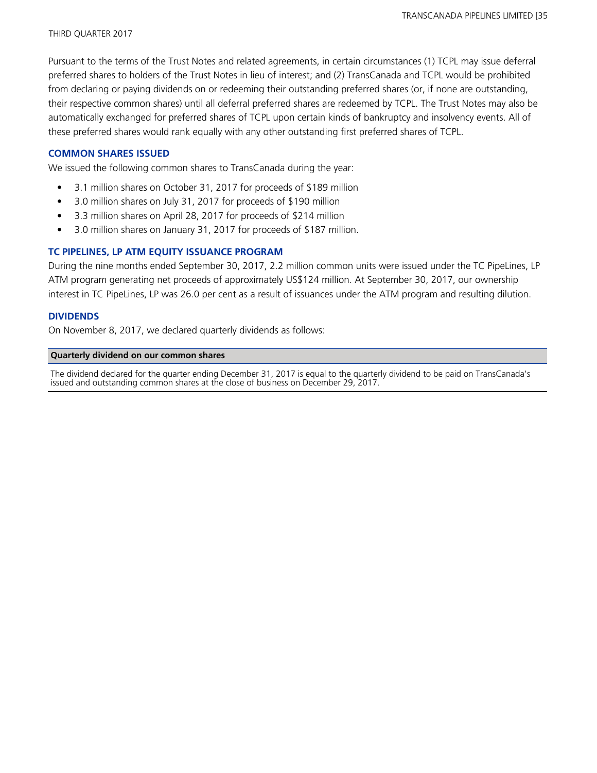Pursuant to the terms of the Trust Notes and related agreements, in certain circumstances (1) TCPL may issue deferral preferred shares to holders of the Trust Notes in lieu of interest; and (2) TransCanada and TCPL would be prohibited from declaring or paying dividends on or redeeming their outstanding preferred shares (or, if none are outstanding, their respective common shares) until all deferral preferred shares are redeemed by TCPL. The Trust Notes may also be automatically exchanged for preferred shares of TCPL upon certain kinds of bankruptcy and insolvency events. All of these preferred shares would rank equally with any other outstanding first preferred shares of TCPL.

### **COMMON SHARES ISSUED**

We issued the following common shares to TransCanada during the year:

- 3.1 million shares on October 31, 2017 for proceeds of \$189 million
- 3.0 million shares on July 31, 2017 for proceeds of \$190 million
- 3.3 million shares on April 28, 2017 for proceeds of \$214 million
- 3.0 million shares on January 31, 2017 for proceeds of \$187 million.

## **TC PIPELINES, LP ATM EQUITY ISSUANCE PROGRAM**

During the nine months ended September 30, 2017, 2.2 million common units were issued under the TC PipeLines, LP ATM program generating net proceeds of approximately US\$124 million. At September 30, 2017, our ownership interest in TC PipeLines, LP was 26.0 per cent as a result of issuances under the ATM program and resulting dilution.

#### **DIVIDENDS**

On November 8, 2017, we declared quarterly dividends as follows:

#### **Quarterly dividend on our common shares**

The dividend declared for the quarter ending December 31, 2017 is equal to the quarterly dividend to be paid on TransCanada's issued and outstanding common shares at the close of business on December 29, 2017.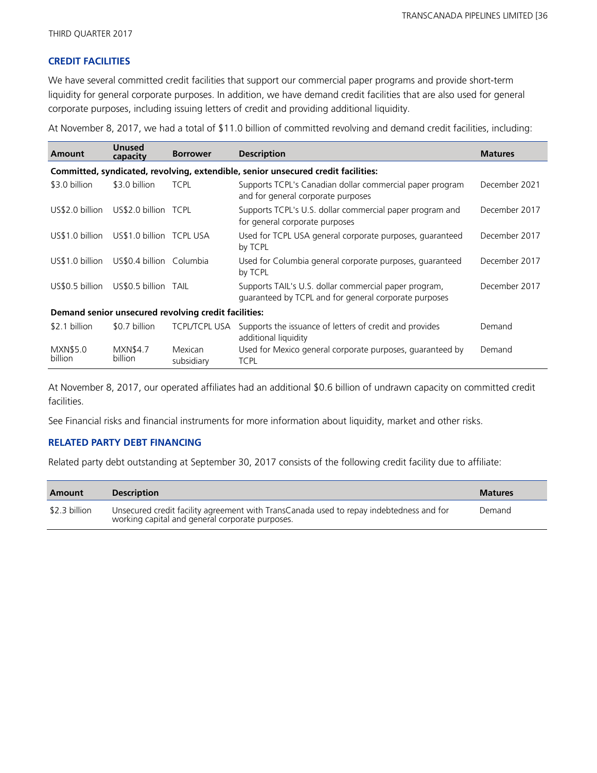## **CREDIT FACILITIES**

We have several committed credit facilities that support our commercial paper programs and provide short-term liquidity for general corporate purposes. In addition, we have demand credit facilities that are also used for general corporate purposes, including issuing letters of credit and providing additional liquidity.

At November 8, 2017, we had a total of \$11.0 billion of committed revolving and demand credit facilities, including:

| Amount              | <b>Unused</b><br>capacity  | <b>Borrower</b>                                      | <b>Description</b>                                                                                             | <b>Matures</b> |
|---------------------|----------------------------|------------------------------------------------------|----------------------------------------------------------------------------------------------------------------|----------------|
|                     |                            |                                                      | Committed, syndicated, revolving, extendible, senior unsecured credit facilities:                              |                |
| \$3.0 billion       | \$3.0 billion              | <b>TCPL</b>                                          | Supports TCPL's Canadian dollar commercial paper program<br>and for general corporate purposes                 | December 2021  |
| US\$2.0 billion     | US\$2.0 billion TCPL       |                                                      | Supports TCPL's U.S. dollar commercial paper program and<br>for general corporate purposes                     | December 2017  |
| US\$1.0 billion     | US\$1.0 billion TCPL USA   |                                                      | Used for TCPL USA general corporate purposes, guaranteed<br>by TCPL                                            | December 2017  |
| US\$1.0 billion     | US\$0.4 billion Columbia   |                                                      | Used for Columbia general corporate purposes, guaranteed<br>by TCPL                                            | December 2017  |
| US\$0.5 billion     | US\$0.5 billion TAIL       |                                                      | Supports TAIL's U.S. dollar commercial paper program,<br>guaranteed by TCPL and for general corporate purposes | December 2017  |
|                     |                            | Demand senior unsecured revolving credit facilities: |                                                                                                                |                |
| \$2.1 billion       | \$0.7 billion              | <b>TCPL/TCPL USA</b>                                 | Supports the issuance of letters of credit and provides<br>additional liquidity                                | Demand         |
| MXN\$5.0<br>billion | <b>MXN\$4.7</b><br>billion | Mexican<br>subsidiary                                | Used for Mexico general corporate purposes, guaranteed by<br><b>TCPL</b>                                       | Demand         |

At November 8, 2017, our operated affiliates had an additional \$0.6 billion of undrawn capacity on committed credit facilities.

See Financial risks and financial instruments for more information about liquidity, market and other risks.

## **RELATED PARTY DEBT FINANCING**

Related party debt outstanding at September 30, 2017 consists of the following credit facility due to affiliate:

| Amount        | <b>Description</b>                                                                                                                         | <b>Matures</b> |
|---------------|--------------------------------------------------------------------------------------------------------------------------------------------|----------------|
| \$2.3 billion | Unsecured credit facility agreement with TransCanada used to repay indebtedness and for<br>working capital and general corporate purposes. | Demand         |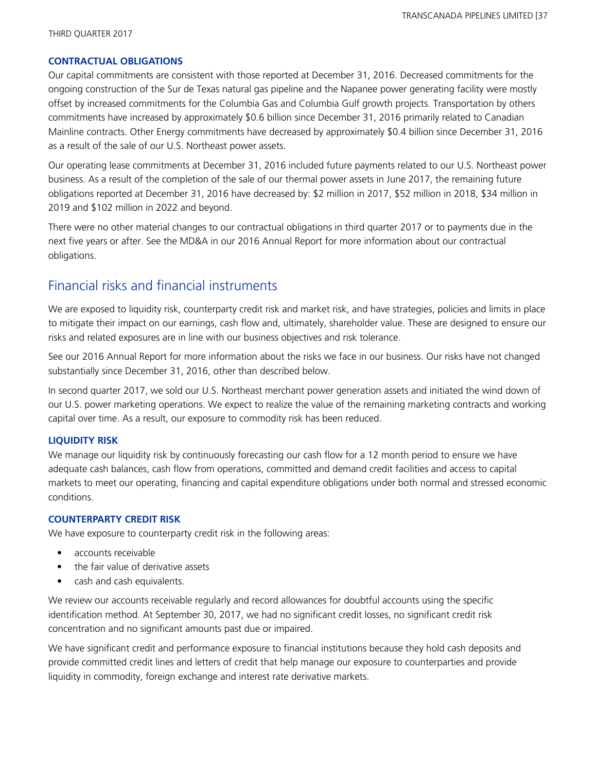#### **CONTRACTUAL OBLIGATIONS**

Our capital commitments are consistent with those reported at December 31, 2016. Decreased commitments for the ongoing construction of the Sur de Texas natural gas pipeline and the Napanee power generating facility were mostly offset by increased commitments for the Columbia Gas and Columbia Gulf growth projects. Transportation by others commitments have increased by approximately \$0.6 billion since December 31, 2016 primarily related to Canadian Mainline contracts. Other Energy commitments have decreased by approximately \$0.4 billion since December 31, 2016 as a result of the sale of our U.S. Northeast power assets.

Our operating lease commitments at December 31, 2016 included future payments related to our U.S. Northeast power business. As a result of the completion of the sale of our thermal power assets in June 2017, the remaining future obligations reported at December 31, 2016 have decreased by: \$2 million in 2017, \$52 million in 2018, \$34 million in 2019 and \$102 million in 2022 and beyond.

There were no other material changes to our contractual obligations in third quarter 2017 or to payments due in the next five years or after. See the MD&A in our 2016 Annual Report for more information about our contractual obligations.

## Financial risks and financial instruments

We are exposed to liquidity risk, counterparty credit risk and market risk, and have strategies, policies and limits in place to mitigate their impact on our earnings, cash flow and, ultimately, shareholder value. These are designed to ensure our risks and related exposures are in line with our business objectives and risk tolerance.

See our 2016 Annual Report for more information about the risks we face in our business. Our risks have not changed substantially since December 31, 2016, other than described below.

In second quarter 2017, we sold our U.S. Northeast merchant power generation assets and initiated the wind down of our U.S. power marketing operations. We expect to realize the value of the remaining marketing contracts and working capital over time. As a result, our exposure to commodity risk has been reduced.

#### **LIQUIDITY RISK**

We manage our liquidity risk by continuously forecasting our cash flow for a 12 month period to ensure we have adequate cash balances, cash flow from operations, committed and demand credit facilities and access to capital markets to meet our operating, financing and capital expenditure obligations under both normal and stressed economic conditions.

#### **COUNTERPARTY CREDIT RISK**

We have exposure to counterparty credit risk in the following areas:

- **•** accounts receivable
- **•** the fair value of derivative assets
- **•** cash and cash equivalents.

We review our accounts receivable regularly and record allowances for doubtful accounts using the specific identification method. At September 30, 2017, we had no significant credit losses, no significant credit risk concentration and no significant amounts past due or impaired.

We have significant credit and performance exposure to financial institutions because they hold cash deposits and provide committed credit lines and letters of credit that help manage our exposure to counterparties and provide liquidity in commodity, foreign exchange and interest rate derivative markets.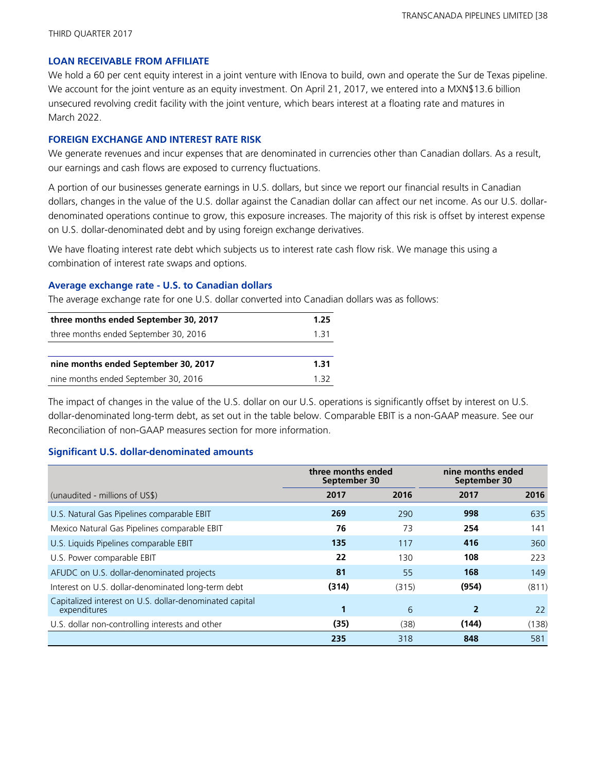#### **LOAN RECEIVABLE FROM AFFILIATE**

We hold a 60 per cent equity interest in a joint venture with IEnova to build, own and operate the Sur de Texas pipeline. We account for the joint venture as an equity investment. On April 21, 2017, we entered into a MXN\$13.6 billion unsecured revolving credit facility with the joint venture, which bears interest at a floating rate and matures in March 2022.

#### **FOREIGN EXCHANGE AND INTEREST RATE RISK**

We generate revenues and incur expenses that are denominated in currencies other than Canadian dollars. As a result, our earnings and cash flows are exposed to currency fluctuations.

A portion of our businesses generate earnings in U.S. dollars, but since we report our financial results in Canadian dollars, changes in the value of the U.S. dollar against the Canadian dollar can affect our net income. As our U.S. dollardenominated operations continue to grow, this exposure increases. The majority of this risk is offset by interest expense on U.S. dollar-denominated debt and by using foreign exchange derivatives.

We have floating interest rate debt which subjects us to interest rate cash flow risk. We manage this using a combination of interest rate swaps and options.

#### **Average exchange rate - U.S. to Canadian dollars**

The average exchange rate for one U.S. dollar converted into Canadian dollars was as follows:

| three months ended September 30, 2017 | 1.25 |
|---------------------------------------|------|
| three months ended September 30, 2016 | 1 31 |
|                                       |      |
| nine months ended September 30, 2017  | 1.31 |
| nine months ended September 30, 2016  | 132  |

The impact of changes in the value of the U.S. dollar on our U.S. operations is significantly offset by interest on U.S. dollar-denominated long-term debt, as set out in the table below. Comparable EBIT is a non-GAAP measure. See our Reconciliation of non-GAAP measures section for more information.

#### **Significant U.S. dollar-denominated amounts**

|                                                                         | three months ended<br>September 30 |       | nine months ended<br>September 30 |       |  |
|-------------------------------------------------------------------------|------------------------------------|-------|-----------------------------------|-------|--|
| (unaudited - millions of US\$)                                          | 2017                               | 2016  | 2017                              | 2016  |  |
| U.S. Natural Gas Pipelines comparable EBIT                              | 269                                | 290   | 998                               | 635   |  |
| Mexico Natural Gas Pipelines comparable EBIT                            | 76                                 | 73    | 254                               | 141   |  |
| U.S. Liquids Pipelines comparable EBIT                                  | 135                                | 117   | 416                               | 360   |  |
| U.S. Power comparable EBIT                                              | 22                                 | 130   | 108                               | 223   |  |
| AFUDC on U.S. dollar-denominated projects                               | 81                                 | 55    | 168                               | 149   |  |
| Interest on U.S. dollar-denominated long-term debt                      | (314)                              | (315) | (954)                             | (811) |  |
| Capitalized interest on U.S. dollar-denominated capital<br>expenditures | 1                                  | 6     | $\overline{2}$                    | 22    |  |
| U.S. dollar non-controlling interests and other                         | (35)                               | (38)  | (144)                             | (138) |  |
|                                                                         | 235                                | 318   | 848                               | 581   |  |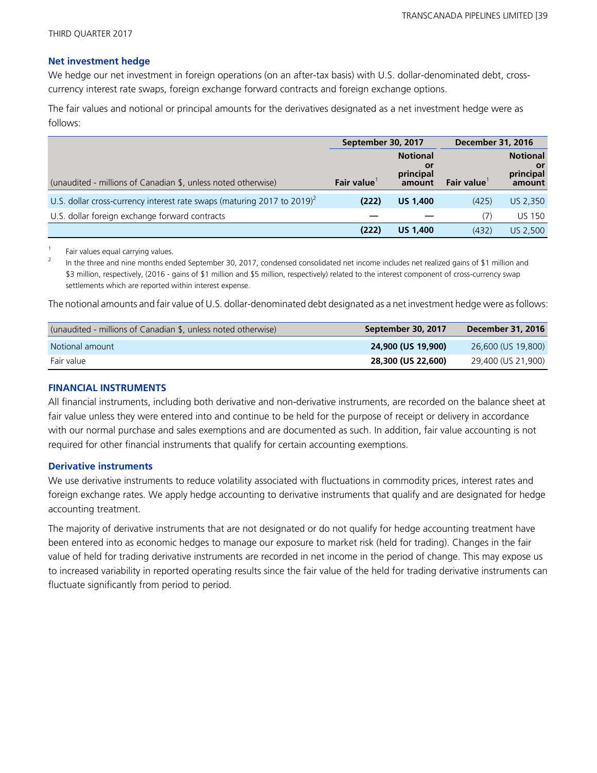#### **Net investment hedge**

We hedge our net investment in foreign operations (on an after-tax basis) with U.S. dollar-denominated debt, crosscurrency interest rate swaps, foreign exchange forward contracts and foreign exchange options.

The fair values and notional or principal amounts for the derivatives designated as a net investment hedge were as follows:

|                                                                                     | September 30, 2017 |                                              | <b>December 31, 2016</b> |                                              |  |
|-------------------------------------------------------------------------------------|--------------------|----------------------------------------------|--------------------------|----------------------------------------------|--|
| (unaudited - millions of Canadian \$, unless noted otherwise)                       | Fair value         | <b>Notional</b><br>Οľ<br>principal<br>amount | Fair value               | <b>Notional</b><br>or<br>principal<br>amount |  |
| U.S. dollar cross-currency interest rate swaps (maturing 2017 to 2019) <sup>2</sup> | (222)              | <b>US 1,400</b>                              | (425)                    | US 2,350                                     |  |
| U.S. dollar foreign exchange forward contracts                                      |                    |                                              | (7)                      | <b>US 150</b>                                |  |
|                                                                                     | (222)              | <b>US 1,400</b>                              | (432)                    | US 2.500                                     |  |

1 Fair values equal carrying values.

2 In the three and nine months ended September 30, 2017, condensed consolidated net income includes net realized gains of \$1 million and \$3 million, respectively, (2016 - gains of \$1 million and \$5 million, respectively) related to the interest component of cross-currency swap settlements which are reported within interest expense.

The notional amounts and fair value of U.S. dollar-denominated debt designated as a net investment hedge were as follows:

| (unaudited - millions of Canadian \$, unless noted otherwise) | September 30, 2017 | December 31, 2016  |
|---------------------------------------------------------------|--------------------|--------------------|
| Notional amount                                               | 24,900 (US 19,900) | 26,600 (US 19,800) |
| Fair value                                                    | 28,300 (US 22,600) | 29,400 (US 21,900) |

#### **FINANCIAL INSTRUMENTS**

All financial instruments, including both derivative and non-derivative instruments, are recorded on the balance sheet at fair value unless they were entered into and continue to be held for the purpose of receipt or delivery in accordance with our normal purchase and sales exemptions and are documented as such. In addition, fair value accounting is not required for other financial instruments that qualify for certain accounting exemptions.

#### **Derivative instruments**

We use derivative instruments to reduce volatility associated with fluctuations in commodity prices, interest rates and foreign exchange rates. We apply hedge accounting to derivative instruments that qualify and are designated for hedge accounting treatment.

The majority of derivative instruments that are not designated or do not qualify for hedge accounting treatment have been entered into as economic hedges to manage our exposure to market risk (held for trading). Changes in the fair value of held for trading derivative instruments are recorded in net income in the period of change. This may expose us to increased variability in reported operating results since the fair value of the held for trading derivative instruments can fluctuate significantly from period to period.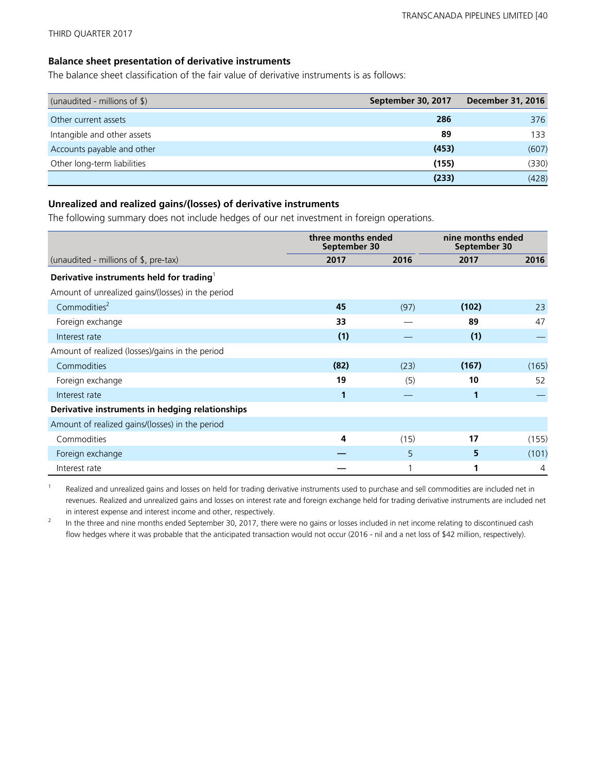THIRD QUARTER 2017

#### **Balance sheet presentation of derivative instruments**

The balance sheet classification of the fair value of derivative instruments is as follows:

| (unaudited - millions of \$) | September 30, 2017 | <b>December 31, 2016</b> |
|------------------------------|--------------------|--------------------------|
| Other current assets         | 286                | 376                      |
| Intangible and other assets  | 89                 | 133                      |
| Accounts payable and other   | (453)              | (607)                    |
| Other long-term liabilities  | (155)              | (330)                    |
|                              | (233)              | (428)                    |

#### **Unrealized and realized gains/(losses) of derivative instruments**

The following summary does not include hedges of our net investment in foreign operations.

|                                                      | three months ended<br>September 30 |      | nine months ended<br>September 30 |       |  |
|------------------------------------------------------|------------------------------------|------|-----------------------------------|-------|--|
| (unaudited - millions of \$, pre-tax)                | 2017                               | 2016 | 2017                              | 2016  |  |
| Derivative instruments held for trading <sup>1</sup> |                                    |      |                                   |       |  |
| Amount of unrealized gains/(losses) in the period    |                                    |      |                                   |       |  |
| Commodities <sup>2</sup>                             | 45                                 | (97) | (102)                             | 23    |  |
| Foreign exchange                                     | 33                                 |      | 89                                | 47    |  |
| Interest rate                                        | (1)                                |      | (1)                               |       |  |
| Amount of realized (losses)/gains in the period      |                                    |      |                                   |       |  |
| Commodities                                          | (82)                               | (23) | (167)                             | (165) |  |
| Foreign exchange                                     | 19                                 | (5)  | 10                                | 52    |  |
| Interest rate                                        | 1                                  |      | 1                                 |       |  |
| Derivative instruments in hedging relationships      |                                    |      |                                   |       |  |
| Amount of realized gains/(losses) in the period      |                                    |      |                                   |       |  |
| Commodities                                          | 4                                  | (15) | 17                                | (155) |  |
| Foreign exchange                                     |                                    | 5    | 5                                 | (101) |  |
| Interest rate                                        |                                    |      |                                   | 4     |  |

1 Realized and unrealized gains and losses on held for trading derivative instruments used to purchase and sell commodities are included net in revenues. Realized and unrealized gains and losses on interest rate and foreign exchange held for trading derivative instruments are included net in interest expense and interest income and other, respectively.

2 In the three and nine months ended September 30, 2017, there were no gains or losses included in net income relating to discontinued cash flow hedges where it was probable that the anticipated transaction would not occur (2016 - nil and a net loss of \$42 million, respectively).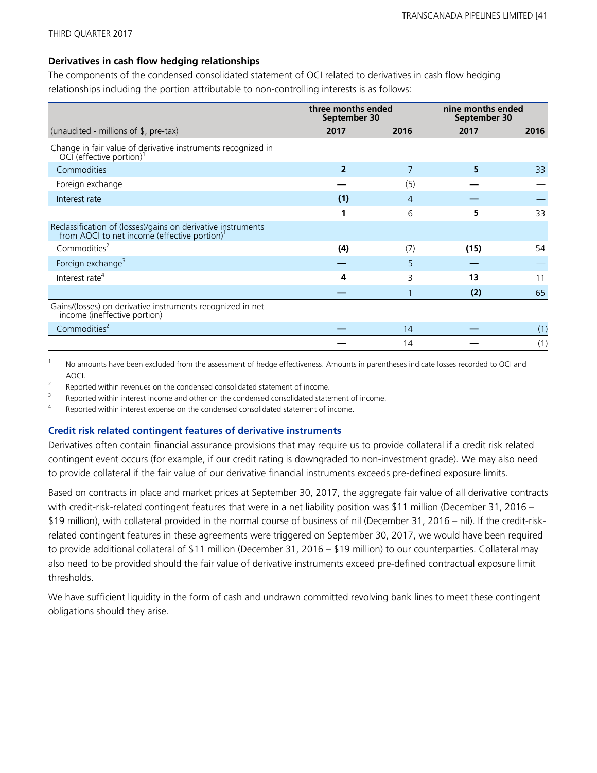#### **Derivatives in cash flow hedging relationships**

The components of the condensed consolidated statement of OCI related to derivatives in cash flow hedging relationships including the portion attributable to non-controlling interests is as follows:

|                                                                                                                          | three months ended<br>September 30 |                | nine months ended<br>September 30 |      |  |
|--------------------------------------------------------------------------------------------------------------------------|------------------------------------|----------------|-----------------------------------|------|--|
| (unaudited - millions of \$, pre-tax)                                                                                    | 2017                               | 2016           | 2017                              | 2016 |  |
| Change in fair value of derivative instruments recognized in<br>OCI (effective portion)                                  |                                    |                |                                   |      |  |
| Commodities                                                                                                              | $\overline{2}$                     | 7              | 5                                 | 33   |  |
| Foreign exchange                                                                                                         |                                    | (5)            |                                   |      |  |
| Interest rate                                                                                                            | (1)                                | $\overline{4}$ |                                   |      |  |
|                                                                                                                          | 1                                  | 6              | 5                                 | 33   |  |
| Reclassification of (losses)/gains on derivative instruments<br>from AOCI to net income (effective portion) <sup>1</sup> |                                    |                |                                   |      |  |
| Commodities <sup>2</sup>                                                                                                 | (4)                                | (7)            | (15)                              | 54   |  |
| Foreign exchange <sup>3</sup>                                                                                            |                                    | 5              |                                   |      |  |
| Interest rate <sup>4</sup>                                                                                               | 4                                  | 3              | 13                                | 11   |  |
|                                                                                                                          |                                    |                | (2)                               | 65   |  |
| Gains/(losses) on derivative instruments recognized in net<br>income (ineffective portion)                               |                                    |                |                                   |      |  |
| Commodities <sup>2</sup>                                                                                                 |                                    | 14             |                                   | (1)  |  |
|                                                                                                                          |                                    | 14             |                                   | (1)  |  |

<sup>1</sup> No amounts have been excluded from the assessment of hedge effectiveness. Amounts in parentheses indicate losses recorded to OCI and AOCI.

2 Reported within revenues on the condensed consolidated statement of income.

3 Reported within interest income and other on the condensed consolidated statement of income.

4 Reported within interest expense on the condensed consolidated statement of income.

#### **Credit risk related contingent features of derivative instruments**

Derivatives often contain financial assurance provisions that may require us to provide collateral if a credit risk related contingent event occurs (for example, if our credit rating is downgraded to non-investment grade). We may also need to provide collateral if the fair value of our derivative financial instruments exceeds pre-defined exposure limits.

Based on contracts in place and market prices at September 30, 2017, the aggregate fair value of all derivative contracts with credit-risk-related contingent features that were in a net liability position was \$11 million (December 31, 2016 – \$19 million), with collateral provided in the normal course of business of nil (December 31, 2016 – nil). If the credit-riskrelated contingent features in these agreements were triggered on September 30, 2017, we would have been required to provide additional collateral of \$11 million (December 31, 2016 – \$19 million) to our counterparties. Collateral may also need to be provided should the fair value of derivative instruments exceed pre-defined contractual exposure limit thresholds.

We have sufficient liquidity in the form of cash and undrawn committed revolving bank lines to meet these contingent obligations should they arise.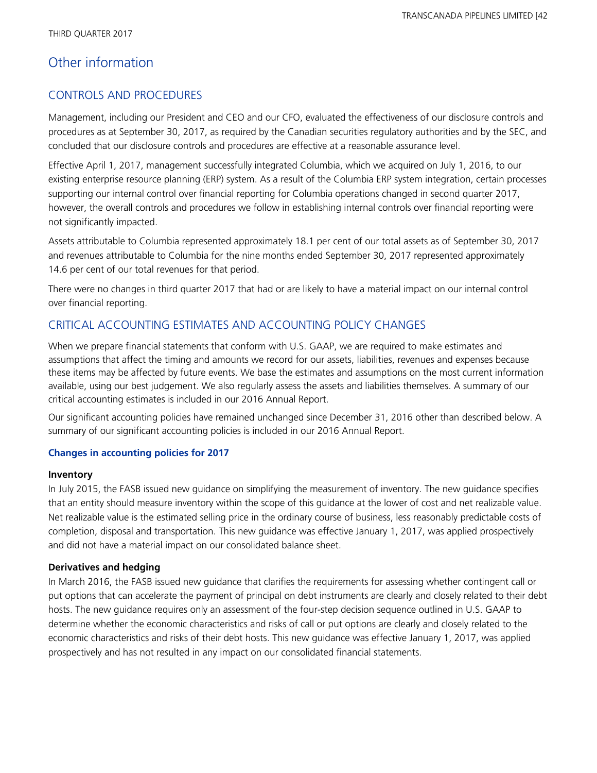## Other information

### CONTROLS AND PROCEDURES

Management, including our President and CEO and our CFO, evaluated the effectiveness of our disclosure controls and procedures as at September 30, 2017, as required by the Canadian securities regulatory authorities and by the SEC, and concluded that our disclosure controls and procedures are effective at a reasonable assurance level.

Effective April 1, 2017, management successfully integrated Columbia, which we acquired on July 1, 2016, to our existing enterprise resource planning (ERP) system. As a result of the Columbia ERP system integration, certain processes supporting our internal control over financial reporting for Columbia operations changed in second quarter 2017, however, the overall controls and procedures we follow in establishing internal controls over financial reporting were not significantly impacted.

Assets attributable to Columbia represented approximately 18.1 per cent of our total assets as of September 30, 2017 and revenues attributable to Columbia for the nine months ended September 30, 2017 represented approximately 14.6 per cent of our total revenues for that period.

There were no changes in third quarter 2017 that had or are likely to have a material impact on our internal control over financial reporting.

### CRITICAL ACCOUNTING ESTIMATES AND ACCOUNTING POLICY CHANGES

When we prepare financial statements that conform with U.S. GAAP, we are required to make estimates and assumptions that affect the timing and amounts we record for our assets, liabilities, revenues and expenses because these items may be affected by future events. We base the estimates and assumptions on the most current information available, using our best judgement. We also regularly assess the assets and liabilities themselves. A summary of our critical accounting estimates is included in our 2016 Annual Report.

Our significant accounting policies have remained unchanged since December 31, 2016 other than described below. A summary of our significant accounting policies is included in our 2016 Annual Report.

#### **Changes in accounting policies for 2017**

#### **Inventory**

In July 2015, the FASB issued new guidance on simplifying the measurement of inventory. The new guidance specifies that an entity should measure inventory within the scope of this guidance at the lower of cost and net realizable value. Net realizable value is the estimated selling price in the ordinary course of business, less reasonably predictable costs of completion, disposal and transportation. This new guidance was effective January 1, 2017, was applied prospectively and did not have a material impact on our consolidated balance sheet.

#### **Derivatives and hedging**

In March 2016, the FASB issued new guidance that clarifies the requirements for assessing whether contingent call or put options that can accelerate the payment of principal on debt instruments are clearly and closely related to their debt hosts. The new guidance requires only an assessment of the four-step decision sequence outlined in U.S. GAAP to determine whether the economic characteristics and risks of call or put options are clearly and closely related to the economic characteristics and risks of their debt hosts. This new guidance was effective January 1, 2017, was applied prospectively and has not resulted in any impact on our consolidated financial statements.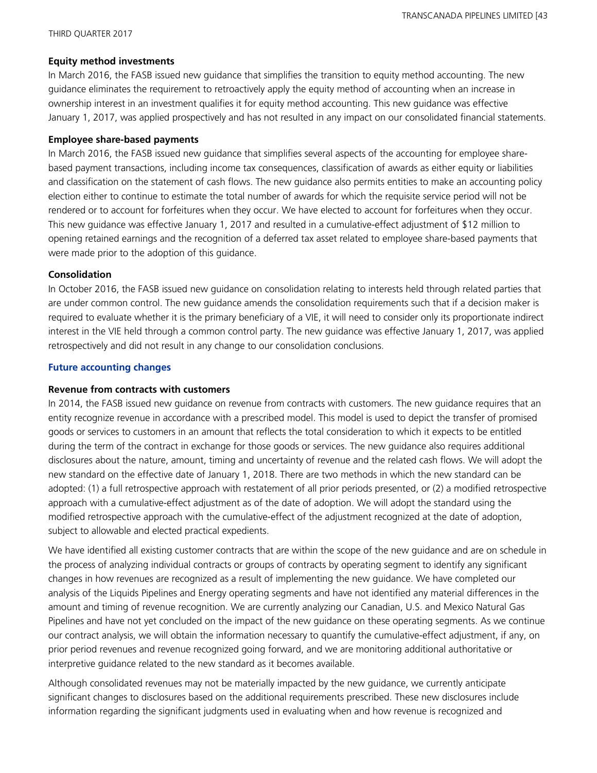#### **Equity method investments**

In March 2016, the FASB issued new guidance that simplifies the transition to equity method accounting. The new guidance eliminates the requirement to retroactively apply the equity method of accounting when an increase in ownership interest in an investment qualifies it for equity method accounting. This new guidance was effective January 1, 2017, was applied prospectively and has not resulted in any impact on our consolidated financial statements.

#### **Employee share-based payments**

In March 2016, the FASB issued new guidance that simplifies several aspects of the accounting for employee sharebased payment transactions, including income tax consequences, classification of awards as either equity or liabilities and classification on the statement of cash flows. The new guidance also permits entities to make an accounting policy election either to continue to estimate the total number of awards for which the requisite service period will not be rendered or to account for forfeitures when they occur. We have elected to account for forfeitures when they occur. This new guidance was effective January 1, 2017 and resulted in a cumulative-effect adjustment of \$12 million to opening retained earnings and the recognition of a deferred tax asset related to employee share-based payments that were made prior to the adoption of this guidance.

#### **Consolidation**

In October 2016, the FASB issued new guidance on consolidation relating to interests held through related parties that are under common control. The new guidance amends the consolidation requirements such that if a decision maker is required to evaluate whether it is the primary beneficiary of a VIE, it will need to consider only its proportionate indirect interest in the VIE held through a common control party. The new guidance was effective January 1, 2017, was applied retrospectively and did not result in any change to our consolidation conclusions.

#### **Future accounting changes**

#### **Revenue from contracts with customers**

In 2014, the FASB issued new guidance on revenue from contracts with customers. The new guidance requires that an entity recognize revenue in accordance with a prescribed model. This model is used to depict the transfer of promised goods or services to customers in an amount that reflects the total consideration to which it expects to be entitled during the term of the contract in exchange for those goods or services. The new guidance also requires additional disclosures about the nature, amount, timing and uncertainty of revenue and the related cash flows. We will adopt the new standard on the effective date of January 1, 2018. There are two methods in which the new standard can be adopted: (1) a full retrospective approach with restatement of all prior periods presented, or (2) a modified retrospective approach with a cumulative-effect adjustment as of the date of adoption. We will adopt the standard using the modified retrospective approach with the cumulative-effect of the adjustment recognized at the date of adoption, subject to allowable and elected practical expedients.

We have identified all existing customer contracts that are within the scope of the new guidance and are on schedule in the process of analyzing individual contracts or groups of contracts by operating segment to identify any significant changes in how revenues are recognized as a result of implementing the new guidance. We have completed our analysis of the Liquids Pipelines and Energy operating segments and have not identified any material differences in the amount and timing of revenue recognition. We are currently analyzing our Canadian, U.S. and Mexico Natural Gas Pipelines and have not yet concluded on the impact of the new guidance on these operating segments. As we continue our contract analysis, we will obtain the information necessary to quantify the cumulative-effect adjustment, if any, on prior period revenues and revenue recognized going forward, and we are monitoring additional authoritative or interpretive guidance related to the new standard as it becomes available.

Although consolidated revenues may not be materially impacted by the new guidance, we currently anticipate significant changes to disclosures based on the additional requirements prescribed. These new disclosures include information regarding the significant judgments used in evaluating when and how revenue is recognized and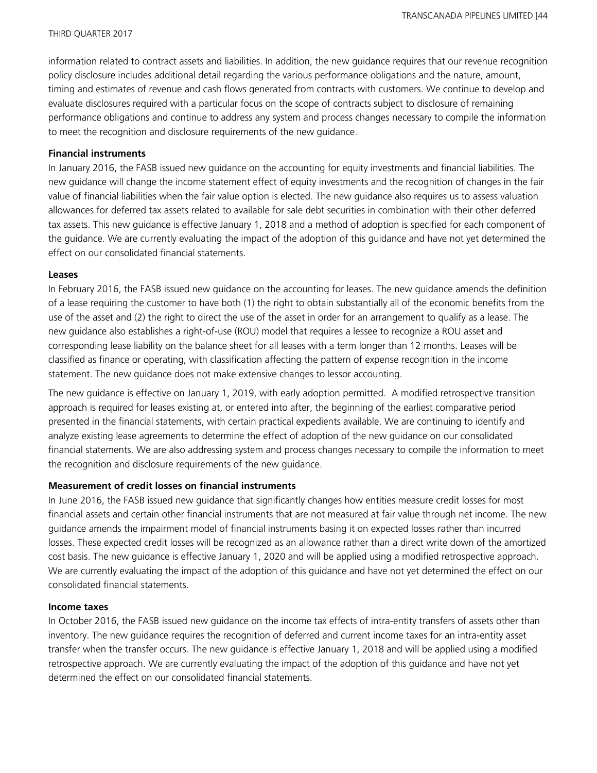information related to contract assets and liabilities. In addition, the new guidance requires that our revenue recognition policy disclosure includes additional detail regarding the various performance obligations and the nature, amount, timing and estimates of revenue and cash flows generated from contracts with customers. We continue to develop and evaluate disclosures required with a particular focus on the scope of contracts subject to disclosure of remaining performance obligations and continue to address any system and process changes necessary to compile the information to meet the recognition and disclosure requirements of the new guidance.

#### **Financial instruments**

In January 2016, the FASB issued new guidance on the accounting for equity investments and financial liabilities. The new guidance will change the income statement effect of equity investments and the recognition of changes in the fair value of financial liabilities when the fair value option is elected. The new guidance also requires us to assess valuation allowances for deferred tax assets related to available for sale debt securities in combination with their other deferred tax assets. This new guidance is effective January 1, 2018 and a method of adoption is specified for each component of the guidance. We are currently evaluating the impact of the adoption of this guidance and have not yet determined the effect on our consolidated financial statements.

#### **Leases**

In February 2016, the FASB issued new guidance on the accounting for leases. The new guidance amends the definition of a lease requiring the customer to have both (1) the right to obtain substantially all of the economic benefits from the use of the asset and (2) the right to direct the use of the asset in order for an arrangement to qualify as a lease. The new guidance also establishes a right-of-use (ROU) model that requires a lessee to recognize a ROU asset and corresponding lease liability on the balance sheet for all leases with a term longer than 12 months. Leases will be classified as finance or operating, with classification affecting the pattern of expense recognition in the income statement. The new guidance does not make extensive changes to lessor accounting.

The new guidance is effective on January 1, 2019, with early adoption permitted. A modified retrospective transition approach is required for leases existing at, or entered into after, the beginning of the earliest comparative period presented in the financial statements, with certain practical expedients available. We are continuing to identify and analyze existing lease agreements to determine the effect of adoption of the new guidance on our consolidated financial statements. We are also addressing system and process changes necessary to compile the information to meet the recognition and disclosure requirements of the new guidance.

#### **Measurement of credit losses on financial instruments**

In June 2016, the FASB issued new guidance that significantly changes how entities measure credit losses for most financial assets and certain other financial instruments that are not measured at fair value through net income. The new guidance amends the impairment model of financial instruments basing it on expected losses rather than incurred losses. These expected credit losses will be recognized as an allowance rather than a direct write down of the amortized cost basis. The new guidance is effective January 1, 2020 and will be applied using a modified retrospective approach. We are currently evaluating the impact of the adoption of this guidance and have not yet determined the effect on our consolidated financial statements.

#### **Income taxes**

In October 2016, the FASB issued new guidance on the income tax effects of intra-entity transfers of assets other than inventory. The new guidance requires the recognition of deferred and current income taxes for an intra-entity asset transfer when the transfer occurs. The new guidance is effective January 1, 2018 and will be applied using a modified retrospective approach. We are currently evaluating the impact of the adoption of this guidance and have not yet determined the effect on our consolidated financial statements.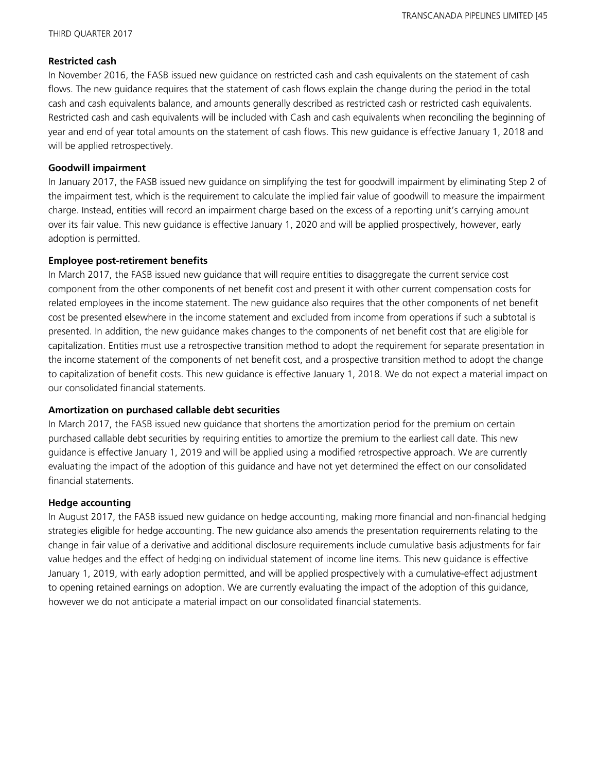#### **Restricted cash**

In November 2016, the FASB issued new guidance on restricted cash and cash equivalents on the statement of cash flows. The new guidance requires that the statement of cash flows explain the change during the period in the total cash and cash equivalents balance, and amounts generally described as restricted cash or restricted cash equivalents. Restricted cash and cash equivalents will be included with Cash and cash equivalents when reconciling the beginning of year and end of year total amounts on the statement of cash flows. This new guidance is effective January 1, 2018 and will be applied retrospectively.

#### **Goodwill impairment**

In January 2017, the FASB issued new guidance on simplifying the test for goodwill impairment by eliminating Step 2 of the impairment test, which is the requirement to calculate the implied fair value of goodwill to measure the impairment charge. Instead, entities will record an impairment charge based on the excess of a reporting unit's carrying amount over its fair value. This new guidance is effective January 1, 2020 and will be applied prospectively, however, early adoption is permitted.

#### **Employee post-retirement benefits**

In March 2017, the FASB issued new guidance that will require entities to disaggregate the current service cost component from the other components of net benefit cost and present it with other current compensation costs for related employees in the income statement. The new guidance also requires that the other components of net benefit cost be presented elsewhere in the income statement and excluded from income from operations if such a subtotal is presented. In addition, the new guidance makes changes to the components of net benefit cost that are eligible for capitalization. Entities must use a retrospective transition method to adopt the requirement for separate presentation in the income statement of the components of net benefit cost, and a prospective transition method to adopt the change to capitalization of benefit costs. This new guidance is effective January 1, 2018. We do not expect a material impact on our consolidated financial statements.

#### **Amortization on purchased callable debt securities**

In March 2017, the FASB issued new guidance that shortens the amortization period for the premium on certain purchased callable debt securities by requiring entities to amortize the premium to the earliest call date. This new guidance is effective January 1, 2019 and will be applied using a modified retrospective approach. We are currently evaluating the impact of the adoption of this guidance and have not yet determined the effect on our consolidated financial statements.

#### **Hedge accounting**

In August 2017, the FASB issued new guidance on hedge accounting, making more financial and non-financial hedging strategies eligible for hedge accounting. The new guidance also amends the presentation requirements relating to the change in fair value of a derivative and additional disclosure requirements include cumulative basis adjustments for fair value hedges and the effect of hedging on individual statement of income line items. This new guidance is effective January 1, 2019, with early adoption permitted, and will be applied prospectively with a cumulative-effect adjustment to opening retained earnings on adoption. We are currently evaluating the impact of the adoption of this guidance, however we do not anticipate a material impact on our consolidated financial statements.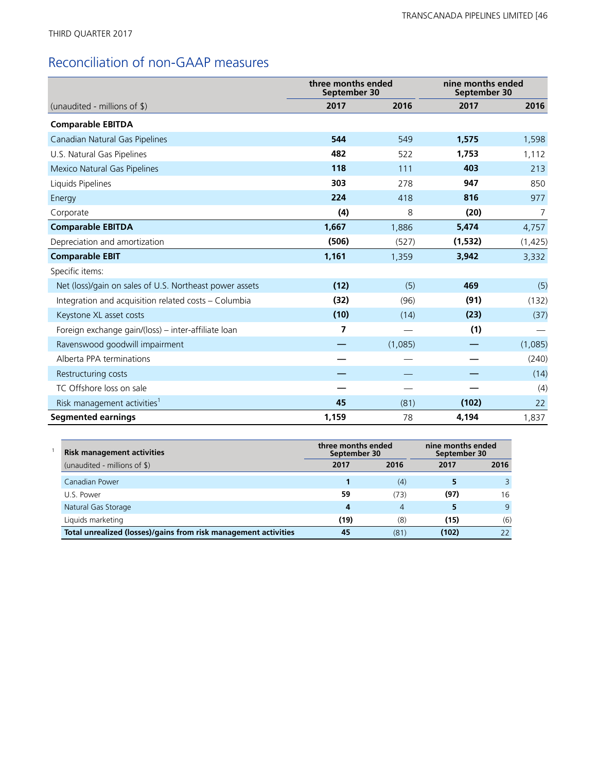# Reconciliation of non-GAAP measures

|                                                         | three months ended<br>September 30 |         | nine months ended<br>September 30 |          |
|---------------------------------------------------------|------------------------------------|---------|-----------------------------------|----------|
| (unaudited - millions of $\frac{1}{2}$ )                | 2017                               | 2016    | 2017                              | 2016     |
| <b>Comparable EBITDA</b>                                |                                    |         |                                   |          |
| Canadian Natural Gas Pipelines                          | 544                                | 549     | 1,575                             | 1,598    |
| U.S. Natural Gas Pipelines                              | 482                                | 522     | 1,753                             | 1,112    |
| Mexico Natural Gas Pipelines                            | 118                                | 111     | 403                               | 213      |
| Liquids Pipelines                                       | 303                                | 278     | 947                               | 850      |
| Energy                                                  | 224                                | 418     | 816                               | 977      |
| Corporate                                               | (4)                                | 8       | (20)                              | 7        |
| <b>Comparable EBITDA</b>                                | 1,667                              | 1,886   | 5,474                             | 4,757    |
| Depreciation and amortization                           | (506)                              | (527)   | (1,532)                           | (1, 425) |
| <b>Comparable EBIT</b>                                  | 1,161                              | 1,359   | 3,942                             | 3,332    |
| Specific items:                                         |                                    |         |                                   |          |
| Net (loss)/gain on sales of U.S. Northeast power assets | (12)                               | (5)     | 469                               | (5)      |
| Integration and acquisition related costs – Columbia    | (32)                               | (96)    | (91)                              | (132)    |
| Keystone XL asset costs                                 | (10)                               | (14)    | (23)                              | (37)     |
| Foreign exchange gain/(loss) - inter-affiliate loan     | 7                                  |         | (1)                               |          |
| Ravenswood goodwill impairment                          |                                    | (1,085) |                                   | (1,085)  |
| Alberta PPA terminations                                |                                    |         |                                   | (240)    |
| Restructuring costs                                     |                                    |         |                                   | (14)     |
| TC Offshore loss on sale                                |                                    |         |                                   | (4)      |
| Risk management activities <sup>1</sup>                 | 45                                 | (81)    | (102)                             | 22       |
| <b>Segmented earnings</b>                               | 1,159                              | 78      | 4,194                             | 1,837    |

| <b>Risk management activities</b>                               | three months ended<br>September 30 |                | nine months ended<br>September 30 |      |  |
|-----------------------------------------------------------------|------------------------------------|----------------|-----------------------------------|------|--|
| (unaudited - millions of \$)                                    | 2017                               | 2016           | 2017                              | 2016 |  |
| Canadian Power                                                  |                                    | (4)            |                                   |      |  |
| U.S. Power                                                      | 59                                 | (73)           | (97)                              | 16   |  |
| Natural Gas Storage                                             | 4                                  | $\overline{4}$ |                                   | q    |  |
| Liquids marketing                                               | (19)                               | (8)            | (15)                              | (6)  |  |
| Total unrealized (losses)/gains from risk management activities | 45                                 | (81)           | (102)                             | フフ   |  |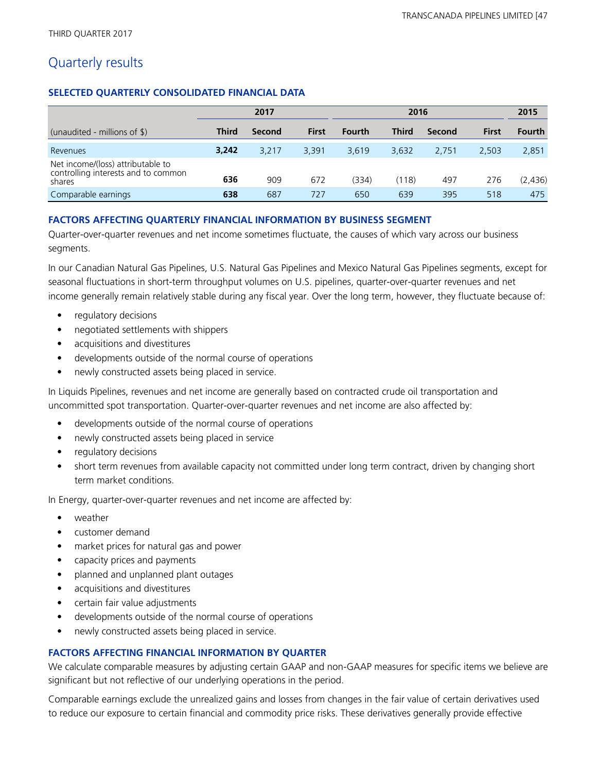## Quarterly results

#### **SELECTED QUARTERLY CONSOLIDATED FINANCIAL DATA**

|                                                                                    |              | 2017<br>2016 |              |               | 2015         |        |              |               |
|------------------------------------------------------------------------------------|--------------|--------------|--------------|---------------|--------------|--------|--------------|---------------|
| (unaudited - millions of \$)                                                       | <b>Third</b> | Second       | <b>First</b> | <b>Fourth</b> | <b>Third</b> | Second | <b>First</b> | <b>Fourth</b> |
| Revenues                                                                           | 3,242        | 3.217        | 3,391        | 3.619         | 3.632        | 2.751  | 2.503        | 2,851         |
| Net income/(loss) attributable to<br>controlling interests and to common<br>shares | 636          | 909          | 672          | (334)         | (118)        | 497    | 276          | (2,436)       |
| Comparable earnings                                                                | 638          | 687          | 727          | 650           | 639          | 395    | 518          | 475           |

#### **FACTORS AFFECTING QUARTERLY FINANCIAL INFORMATION BY BUSINESS SEGMENT**

Quarter-over-quarter revenues and net income sometimes fluctuate, the causes of which vary across our business segments.

In our Canadian Natural Gas Pipelines, U.S. Natural Gas Pipelines and Mexico Natural Gas Pipelines segments, except for seasonal fluctuations in short-term throughput volumes on U.S. pipelines, quarter-over-quarter revenues and net income generally remain relatively stable during any fiscal year. Over the long term, however, they fluctuate because of:

- regulatory decisions
- negotiated settlements with shippers
- **•** acquisitions and divestitures
- **•** developments outside of the normal course of operations
- **•** newly constructed assets being placed in service.

In Liquids Pipelines, revenues and net income are generally based on contracted crude oil transportation and uncommitted spot transportation. Quarter-over-quarter revenues and net income are also affected by:

- **•** developments outside of the normal course of operations
- **•** newly constructed assets being placed in service
- regulatory decisions
- short term revenues from available capacity not committed under long term contract, driven by changing short term market conditions.

In Energy, quarter-over-quarter revenues and net income are affected by:

- **•** weather
- **•** customer demand
- **•** market prices for natural gas and power
- **•** capacity prices and payments
- **•** planned and unplanned plant outages
- **•** acquisitions and divestitures
- **•** certain fair value adjustments
- **•** developments outside of the normal course of operations
- **•** newly constructed assets being placed in service.

#### **FACTORS AFFECTING FINANCIAL INFORMATION BY QUARTER**

We calculate comparable measures by adjusting certain GAAP and non-GAAP measures for specific items we believe are significant but not reflective of our underlying operations in the period.

Comparable earnings exclude the unrealized gains and losses from changes in the fair value of certain derivatives used to reduce our exposure to certain financial and commodity price risks. These derivatives generally provide effective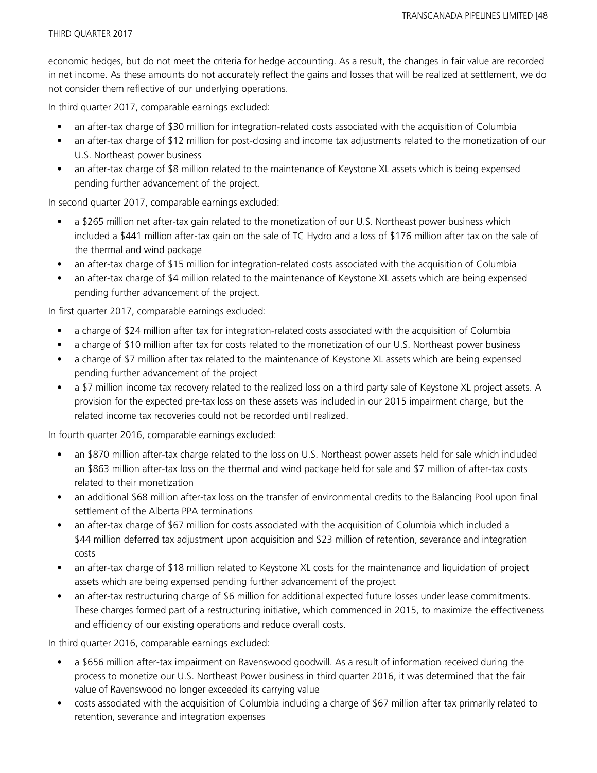economic hedges, but do not meet the criteria for hedge accounting. As a result, the changes in fair value are recorded in net income. As these amounts do not accurately reflect the gains and losses that will be realized at settlement, we do not consider them reflective of our underlying operations.

In third quarter 2017, comparable earnings excluded:

- an after-tax charge of \$30 million for integration-related costs associated with the acquisition of Columbia
- an after-tax charge of \$12 million for post-closing and income tax adjustments related to the monetization of our U.S. Northeast power business
- an after-tax charge of \$8 million related to the maintenance of Keystone XL assets which is being expensed pending further advancement of the project.

In second quarter 2017, comparable earnings excluded:

- a \$265 million net after-tax gain related to the monetization of our U.S. Northeast power business which included a \$441 million after-tax gain on the sale of TC Hydro and a loss of \$176 million after tax on the sale of the thermal and wind package
- an after-tax charge of \$15 million for integration-related costs associated with the acquisition of Columbia
- an after-tax charge of \$4 million related to the maintenance of Keystone XL assets which are being expensed pending further advancement of the project.

In first quarter 2017, comparable earnings excluded:

- a charge of \$24 million after tax for integration-related costs associated with the acquisition of Columbia
- a charge of \$10 million after tax for costs related to the monetization of our U.S. Northeast power business
- a charge of \$7 million after tax related to the maintenance of Keystone XL assets which are being expensed pending further advancement of the project
- a \$7 million income tax recovery related to the realized loss on a third party sale of Keystone XL project assets. A provision for the expected pre-tax loss on these assets was included in our 2015 impairment charge, but the related income tax recoveries could not be recorded until realized.

In fourth quarter 2016, comparable earnings excluded:

- an \$870 million after-tax charge related to the loss on U.S. Northeast power assets held for sale which included an \$863 million after-tax loss on the thermal and wind package held for sale and \$7 million of after-tax costs related to their monetization
- an additional \$68 million after-tax loss on the transfer of environmental credits to the Balancing Pool upon final settlement of the Alberta PPA terminations
- an after-tax charge of \$67 million for costs associated with the acquisition of Columbia which included a \$44 million deferred tax adjustment upon acquisition and \$23 million of retention, severance and integration costs
- an after-tax charge of \$18 million related to Keystone XL costs for the maintenance and liquidation of project assets which are being expensed pending further advancement of the project
- an after-tax restructuring charge of \$6 million for additional expected future losses under lease commitments. These charges formed part of a restructuring initiative, which commenced in 2015, to maximize the effectiveness and efficiency of our existing operations and reduce overall costs.

In third quarter 2016, comparable earnings excluded:

- a \$656 million after-tax impairment on Ravenswood goodwill. As a result of information received during the process to monetize our U.S. Northeast Power business in third quarter 2016, it was determined that the fair value of Ravenswood no longer exceeded its carrying value
- costs associated with the acquisition of Columbia including a charge of \$67 million after tax primarily related to retention, severance and integration expenses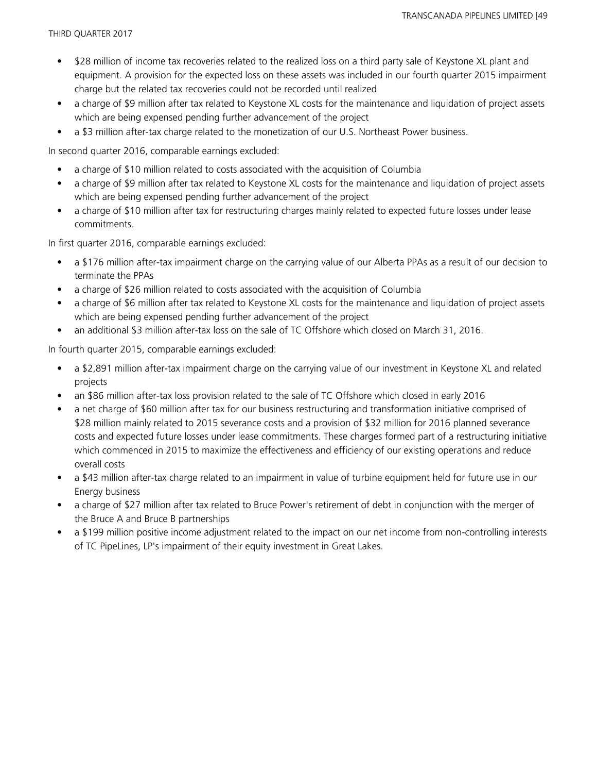- \$28 million of income tax recoveries related to the realized loss on a third party sale of Keystone XL plant and equipment. A provision for the expected loss on these assets was included in our fourth quarter 2015 impairment charge but the related tax recoveries could not be recorded until realized
- a charge of \$9 million after tax related to Keystone XL costs for the maintenance and liquidation of project assets which are being expensed pending further advancement of the project
- a \$3 million after-tax charge related to the monetization of our U.S. Northeast Power business.

In second quarter 2016, comparable earnings excluded:

- a charge of \$10 million related to costs associated with the acquisition of Columbia
- a charge of \$9 million after tax related to Keystone XL costs for the maintenance and liquidation of project assets which are being expensed pending further advancement of the project
- a charge of \$10 million after tax for restructuring charges mainly related to expected future losses under lease commitments.

In first quarter 2016, comparable earnings excluded:

- a \$176 million after-tax impairment charge on the carrying value of our Alberta PPAs as a result of our decision to terminate the PPAs
- a charge of \$26 million related to costs associated with the acquisition of Columbia
- a charge of \$6 million after tax related to Keystone XL costs for the maintenance and liquidation of project assets which are being expensed pending further advancement of the project
- an additional \$3 million after-tax loss on the sale of TC Offshore which closed on March 31, 2016.

In fourth quarter 2015, comparable earnings excluded:

- a \$2,891 million after-tax impairment charge on the carrying value of our investment in Keystone XL and related projects
- an \$86 million after-tax loss provision related to the sale of TC Offshore which closed in early 2016
- a net charge of \$60 million after tax for our business restructuring and transformation initiative comprised of \$28 million mainly related to 2015 severance costs and a provision of \$32 million for 2016 planned severance costs and expected future losses under lease commitments. These charges formed part of a restructuring initiative which commenced in 2015 to maximize the effectiveness and efficiency of our existing operations and reduce overall costs
- a \$43 million after-tax charge related to an impairment in value of turbine equipment held for future use in our Energy business
- a charge of \$27 million after tax related to Bruce Power's retirement of debt in conjunction with the merger of the Bruce A and Bruce B partnerships
- a \$199 million positive income adjustment related to the impact on our net income from non-controlling interests of TC PipeLines, LP's impairment of their equity investment in Great Lakes.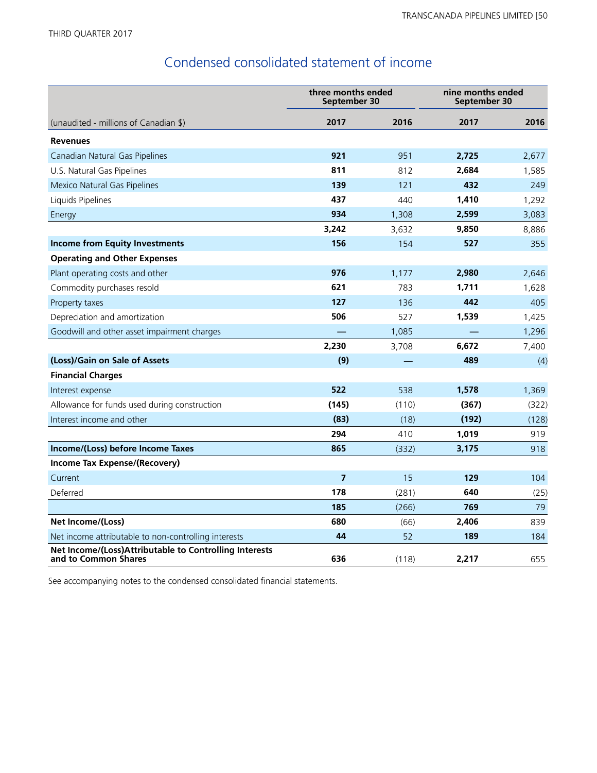## Condensed consolidated statement of income

|                                                                                | three months ended<br>September 30 |       | nine months ended<br>September 30 |       |
|--------------------------------------------------------------------------------|------------------------------------|-------|-----------------------------------|-------|
| (unaudited - millions of Canadian \$)                                          | 2017                               | 2016  | 2017                              | 2016  |
| <b>Revenues</b>                                                                |                                    |       |                                   |       |
| Canadian Natural Gas Pipelines                                                 | 921                                | 951   | 2,725                             | 2,677 |
| U.S. Natural Gas Pipelines                                                     | 811                                | 812   | 2,684                             | 1,585 |
| Mexico Natural Gas Pipelines                                                   | 139                                | 121   | 432                               | 249   |
| Liquids Pipelines                                                              | 437                                | 440   | 1,410                             | 1,292 |
| Energy                                                                         | 934                                | 1,308 | 2,599                             | 3,083 |
|                                                                                | 3,242                              | 3,632 | 9,850                             | 8,886 |
| <b>Income from Equity Investments</b>                                          | 156                                | 154   | 527                               | 355   |
| <b>Operating and Other Expenses</b>                                            |                                    |       |                                   |       |
| Plant operating costs and other                                                | 976                                | 1,177 | 2,980                             | 2,646 |
| Commodity purchases resold                                                     | 621                                | 783   | 1,711                             | 1,628 |
| Property taxes                                                                 | 127                                | 136   | 442                               | 405   |
| Depreciation and amortization                                                  | 506                                | 527   | 1,539                             | 1,425 |
| Goodwill and other asset impairment charges                                    |                                    | 1,085 |                                   | 1,296 |
|                                                                                | 2,230                              | 3,708 | 6,672                             | 7,400 |
| (Loss)/Gain on Sale of Assets                                                  | (9)                                |       | 489                               | (4)   |
| <b>Financial Charges</b>                                                       |                                    |       |                                   |       |
| Interest expense                                                               | 522                                | 538   | 1,578                             | 1,369 |
| Allowance for funds used during construction                                   | (145)                              | (110) | (367)                             | (322) |
| Interest income and other                                                      | (83)                               | (18)  | (192)                             | (128) |
|                                                                                | 294                                | 410   | 1,019                             | 919   |
| Income/(Loss) before Income Taxes                                              | 865                                | (332) | 3,175                             | 918   |
| Income Tax Expense/(Recovery)                                                  |                                    |       |                                   |       |
| Current                                                                        | $\overline{7}$                     | 15    | 129                               | 104   |
| Deferred                                                                       | 178                                | (281) | 640                               | (25)  |
|                                                                                | 185                                | (266) | 769                               | 79    |
| Net Income/(Loss)                                                              | 680                                | (66)  | 2,406                             | 839   |
| Net income attributable to non-controlling interests                           | 44                                 | 52    | 189                               | 184   |
| Net Income/(Loss)Attributable to Controlling Interests<br>and to Common Shares | 636                                | (118) | 2,217                             | 655   |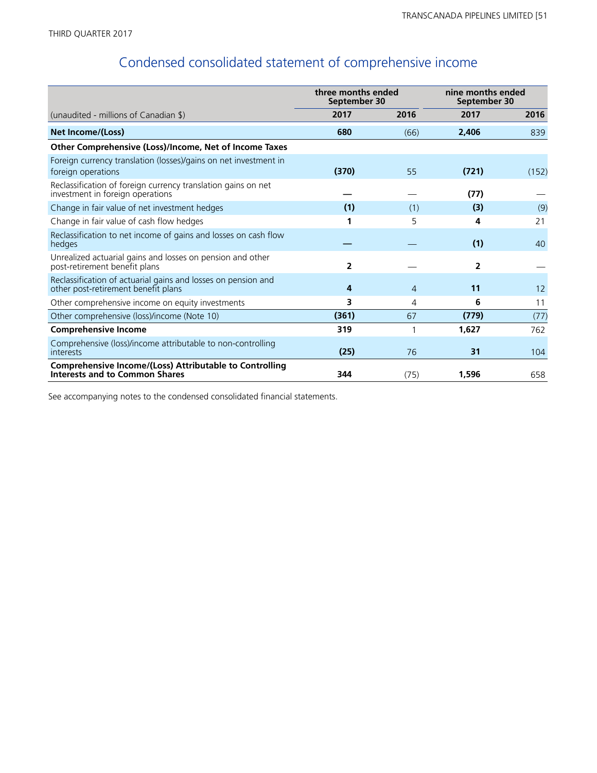# Condensed consolidated statement of comprehensive income

|                                                                                                         | three months ended<br>September 30 |                | nine months ended<br>September 30 |       |
|---------------------------------------------------------------------------------------------------------|------------------------------------|----------------|-----------------------------------|-------|
| (unaudited - millions of Canadian \$)                                                                   | 2017                               | 2016           | 2017                              | 2016  |
| Net Income/(Loss)                                                                                       | 680                                | (66)           | 2.406                             | 839   |
| Other Comprehensive (Loss)/Income, Net of Income Taxes                                                  |                                    |                |                                   |       |
| Foreign currency translation (losses)/gains on net investment in<br>foreign operations                  | (370)                              | 55             | (721)                             | (152) |
| Reclassification of foreign currency translation gains on net<br>investment in foreign operations       |                                    |                | (77)                              |       |
| Change in fair value of net investment hedges                                                           | (1)                                | (1)            | (3)                               | (9)   |
| Change in fair value of cash flow hedges                                                                | 1                                  | 5              | 4                                 | 21    |
| Reclassification to net income of gains and losses on cash flow<br>hedges                               |                                    |                | (1)                               | 40    |
| Unrealized actuarial gains and losses on pension and other<br>post-retirement benefit plans             | 2                                  |                | 2                                 |       |
| Reclassification of actuarial gains and losses on pension and<br>other post-retirement benefit plans    | 4                                  | $\overline{4}$ | 11                                | 12    |
| Other comprehensive income on equity investments                                                        | 3                                  | 4              | 6                                 | 11    |
| Other comprehensive (loss)/income (Note 10)                                                             | (361)                              | 67             | (779)                             | (77)  |
| <b>Comprehensive Income</b>                                                                             | 319                                | 1              | 1,627                             | 762   |
| Comprehensive (loss)/income attributable to non-controlling<br>interests                                | (25)                               | 76             | 31                                | 104   |
| <b>Comprehensive Income/(Loss) Attributable to Controlling</b><br><b>Interests and to Common Shares</b> | 344                                | (75)           | 1,596                             | 658   |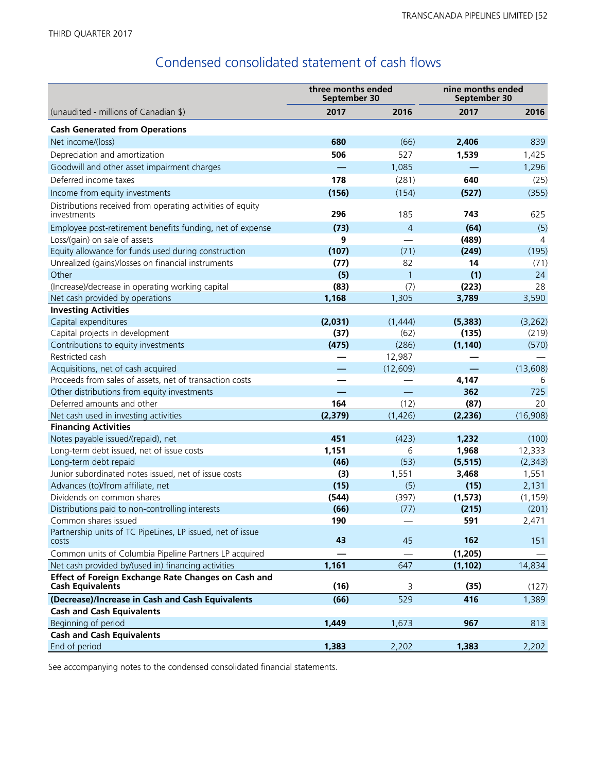# Condensed consolidated statement of cash flows

|                                                                                | three months ended<br>September 30 |                | nine months ended<br>September 30 |          |  |
|--------------------------------------------------------------------------------|------------------------------------|----------------|-----------------------------------|----------|--|
| (unaudited - millions of Canadian \$)                                          | 2017                               | 2016           | 2017                              | 2016     |  |
| <b>Cash Generated from Operations</b>                                          |                                    |                |                                   |          |  |
| Net income/(loss)                                                              | 680                                | (66)           | 2,406                             | 839      |  |
| Depreciation and amortization                                                  | 506                                | 527            | 1,539                             | 1,425    |  |
| Goodwill and other asset impairment charges                                    |                                    | 1,085          |                                   | 1,296    |  |
| Deferred income taxes                                                          | 178                                | (281)          | 640                               | (25)     |  |
| Income from equity investments                                                 | (156)                              | (154)          | (527)                             | (355)    |  |
| Distributions received from operating activities of equity<br>investments      | 296                                | 185            | 743                               | 625      |  |
| Employee post-retirement benefits funding, net of expense                      | (73)                               | $\overline{4}$ | (64)                              | (5)      |  |
| Loss/(gain) on sale of assets                                                  | 9                                  |                | (489)                             | 4        |  |
| Equity allowance for funds used during construction                            | (107)                              | (71)           | (249)                             | (195)    |  |
| Unrealized (gains)/losses on financial instruments                             | (77)                               | 82             | 14                                | (71)     |  |
| Other                                                                          | (5)                                | 1              | (1)                               | 24       |  |
| (Increase)/decrease in operating working capital                               | (83)                               | (7)            | (223)                             | 28       |  |
| Net cash provided by operations                                                | 1,168                              | 1,305          | 3,789                             | 3,590    |  |
| <b>Investing Activities</b>                                                    |                                    |                |                                   |          |  |
| Capital expenditures                                                           | (2,031)                            | (1,444)        | (5, 383)                          | (3,262)  |  |
| Capital projects in development                                                | (37)                               | (62)           | (135)                             | (219)    |  |
| Contributions to equity investments                                            | (475)                              | (286)          | (1, 140)                          | (570)    |  |
| Restricted cash                                                                |                                    | 12,987         |                                   |          |  |
| Acquisitions, net of cash acquired                                             |                                    | (12, 609)      |                                   | (13,608) |  |
| Proceeds from sales of assets, net of transaction costs                        |                                    |                | 4,147                             | 6        |  |
| Other distributions from equity investments                                    |                                    |                | 362                               | 725      |  |
| Deferred amounts and other                                                     | 164                                | (12)           | (87)                              | 20       |  |
| Net cash used in investing activities                                          | (2, 379)                           | (1, 426)       | (2, 236)                          | (16,908) |  |
| <b>Financing Activities</b>                                                    |                                    |                |                                   |          |  |
| Notes payable issued/(repaid), net                                             | 451                                | (423)          | 1,232                             | (100)    |  |
| Long-term debt issued, net of issue costs                                      | 1,151                              | 6              | 1,968                             | 12,333   |  |
| Long-term debt repaid                                                          | (46)                               | (53)           | (5, 515)                          | (2, 343) |  |
| Junior subordinated notes issued, net of issue costs                           | (3)                                | 1,551          | 3,468                             | 1,551    |  |
| Advances (to)/from affiliate, net                                              | (15)                               | (5)            | (15)                              | 2,131    |  |
| Dividends on common shares                                                     | (544)                              | (397)          | (1, 573)                          | (1, 159) |  |
| Distributions paid to non-controlling interests                                | (66)                               | (77)           | (215)                             | (201)    |  |
| Common shares issued                                                           | 190                                |                | 591                               | 2,471    |  |
| Partnership units of TC PipeLines, LP issued, net of issue<br>costs            | 43                                 | 45             | 162                               | 151      |  |
| Common units of Columbia Pipeline Partners LP acquired                         |                                    |                | (1, 205)                          |          |  |
| Net cash provided by/(used in) financing activities                            | 1,161                              | 647            | (1, 102)                          | 14,834   |  |
| Effect of Foreign Exchange Rate Changes on Cash and<br><b>Cash Equivalents</b> | (16)                               | 3              | (35)                              | (127)    |  |
| (Decrease)/Increase in Cash and Cash Equivalents                               | (66)                               | 529            | 416                               | 1,389    |  |
| <b>Cash and Cash Equivalents</b>                                               |                                    |                |                                   |          |  |
| Beginning of period                                                            | 1,449                              | 1,673          | 967                               | 813      |  |
| <b>Cash and Cash Equivalents</b>                                               |                                    |                |                                   |          |  |
| End of period                                                                  | 1,383                              | 2,202          | 1,383                             | 2,202    |  |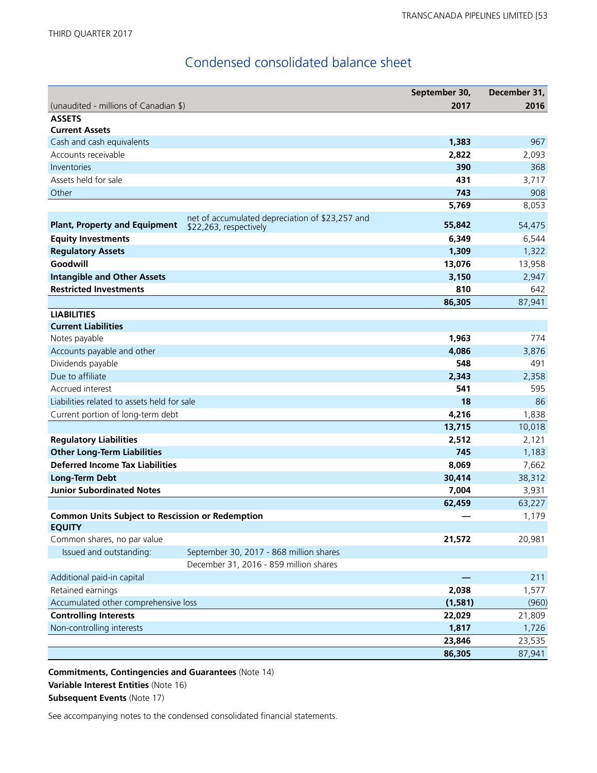## Condensed consolidated balance sheet

|                                                         |                                                                           | September 30, | December 31, |
|---------------------------------------------------------|---------------------------------------------------------------------------|---------------|--------------|
| (unaudited - millions of Canadian \$)                   |                                                                           | 2017          | 2016         |
| <b>ASSETS</b>                                           |                                                                           |               |              |
| <b>Current Assets</b>                                   |                                                                           |               |              |
| Cash and cash equivalents                               |                                                                           | 1,383         | 967          |
| Accounts receivable                                     |                                                                           | 2,822         | 2,093        |
| Inventories                                             |                                                                           | 390           | 368          |
| Assets held for sale                                    |                                                                           | 431           | 3,717        |
| Other                                                   |                                                                           | 743           | 908          |
|                                                         |                                                                           | 5,769         | 8,053        |
| <b>Plant, Property and Equipment</b>                    | net of accumulated depreciation of \$23,257 and<br>\$22,263, respectively | 55,842        | 54,475       |
| <b>Equity Investments</b>                               |                                                                           | 6,349         | 6,544        |
| <b>Regulatory Assets</b>                                |                                                                           | 1,309         | 1,322        |
| Goodwill                                                |                                                                           | 13,076        | 13,958       |
| <b>Intangible and Other Assets</b>                      |                                                                           | 3,150         | 2,947        |
| <b>Restricted Investments</b>                           |                                                                           | 810           | 642          |
|                                                         |                                                                           | 86,305        | 87,941       |
| <b>LIABILITIES</b>                                      |                                                                           |               |              |
| <b>Current Liabilities</b>                              |                                                                           |               |              |
| Notes payable                                           |                                                                           | 1,963         | 774          |
| Accounts payable and other                              |                                                                           | 4,086         | 3,876        |
| Dividends payable                                       |                                                                           | 548           | 491          |
| Due to affiliate                                        |                                                                           | 2,343         | 2,358        |
| Accrued interest                                        |                                                                           | 541           | 595          |
| Liabilities related to assets held for sale             |                                                                           | 18            | 86           |
| Current portion of long-term debt                       |                                                                           | 4,216         | 1,838        |
|                                                         |                                                                           | 13,715        | 10,018       |
| <b>Regulatory Liabilities</b>                           |                                                                           | 2,512         | 2,121        |
| <b>Other Long-Term Liabilities</b>                      |                                                                           | 745           | 1,183        |
| <b>Deferred Income Tax Liabilities</b>                  |                                                                           | 8,069         | 7,662        |
| <b>Long-Term Debt</b>                                   |                                                                           | 30,414        | 38,312       |
| <b>Junior Subordinated Notes</b>                        |                                                                           | 7,004         | 3,931        |
|                                                         |                                                                           | 62,459        | 63,227       |
| <b>Common Units Subject to Rescission or Redemption</b> |                                                                           |               | 1,179        |
| <b>EQUITY</b>                                           |                                                                           |               |              |
| Common shares, no par value                             |                                                                           | 21,572        | 20,981       |
| Issued and outstanding:                                 | September 30, 2017 - 868 million shares                                   |               |              |
|                                                         | December 31, 2016 - 859 million shares                                    |               |              |
| Additional paid-in capital                              |                                                                           |               | 211          |
| Retained earnings                                       |                                                                           | 2,038         | 1,577        |
| Accumulated other comprehensive loss                    |                                                                           | (1, 581)      | (960)        |
| <b>Controlling Interests</b>                            |                                                                           | 22,029        | 21,809       |
| Non-controlling interests                               |                                                                           | 1,817         | 1,726        |
|                                                         |                                                                           | 23,846        | 23,535       |
|                                                         |                                                                           | 86,305        | 87,941       |

**Commitments, Contingencies and Guarantees** (Note 14) **Variable Interest Entities** (Note 16) **Subsequent Events** (Note 17)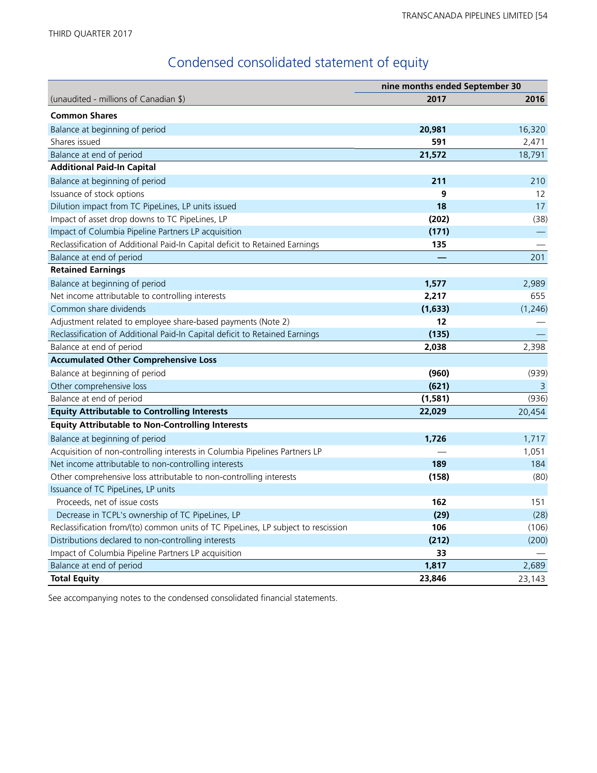# Condensed consolidated statement of equity

|                                                                                   | nine months ended September 30 |          |  |
|-----------------------------------------------------------------------------------|--------------------------------|----------|--|
| (unaudited - millions of Canadian \$)                                             | 2017                           | 2016     |  |
| <b>Common Shares</b>                                                              |                                |          |  |
| Balance at beginning of period                                                    | 20,981                         | 16,320   |  |
| Shares issued                                                                     | 591                            | 2,471    |  |
| Balance at end of period                                                          | 21,572                         | 18,791   |  |
| <b>Additional Paid-In Capital</b>                                                 |                                |          |  |
| Balance at beginning of period                                                    | 211                            | 210      |  |
| Issuance of stock options                                                         | 9                              | 12       |  |
| Dilution impact from TC PipeLines, LP units issued                                | 18                             | 17       |  |
| Impact of asset drop downs to TC PipeLines, LP                                    | (202)                          | (38)     |  |
| Impact of Columbia Pipeline Partners LP acquisition                               | (171)                          |          |  |
| Reclassification of Additional Paid-In Capital deficit to Retained Earnings       | 135                            |          |  |
| Balance at end of period                                                          |                                | 201      |  |
| <b>Retained Earnings</b>                                                          |                                |          |  |
| Balance at beginning of period                                                    | 1,577                          | 2,989    |  |
| Net income attributable to controlling interests                                  | 2,217                          | 655      |  |
| Common share dividends                                                            | (1,633)                        | (1, 246) |  |
| Adjustment related to employee share-based payments (Note 2)                      | 12                             |          |  |
| Reclassification of Additional Paid-In Capital deficit to Retained Earnings       | (135)                          |          |  |
| Balance at end of period                                                          | 2,038                          | 2,398    |  |
| <b>Accumulated Other Comprehensive Loss</b>                                       |                                |          |  |
| Balance at beginning of period                                                    | (960)                          | (939)    |  |
| Other comprehensive loss                                                          | (621)                          | 3        |  |
| Balance at end of period                                                          | (1, 581)                       | (936)    |  |
| <b>Equity Attributable to Controlling Interests</b>                               | 22,029                         | 20,454   |  |
| <b>Equity Attributable to Non-Controlling Interests</b>                           |                                |          |  |
| Balance at beginning of period                                                    | 1,726                          | 1,717    |  |
| Acquisition of non-controlling interests in Columbia Pipelines Partners LP        |                                | 1,051    |  |
| Net income attributable to non-controlling interests                              | 189                            | 184      |  |
| Other comprehensive loss attributable to non-controlling interests                | (158)                          | (80)     |  |
| Issuance of TC PipeLines, LP units                                                |                                |          |  |
| Proceeds, net of issue costs                                                      | 162                            | 151      |  |
| Decrease in TCPL's ownership of TC PipeLines, LP                                  | (29)                           | (28)     |  |
| Reclassification from/(to) common units of TC PipeLines, LP subject to rescission | 106                            | (106)    |  |
| Distributions declared to non-controlling interests                               | (212)                          | (200)    |  |
| Impact of Columbia Pipeline Partners LP acquisition                               | 33                             |          |  |
| Balance at end of period                                                          | 1,817                          | 2,689    |  |
| <b>Total Equity</b>                                                               | 23,846                         | 23,143   |  |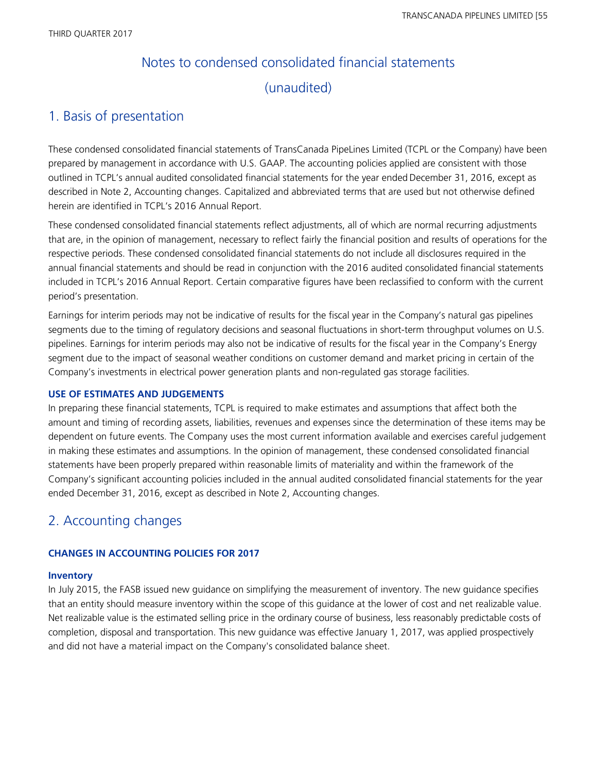# Notes to condensed consolidated financial statements (unaudited)

## 1. Basis of presentation

These condensed consolidated financial statements of TransCanada PipeLines Limited (TCPL or the Company) have been prepared by management in accordance with U.S. GAAP. The accounting policies applied are consistent with those outlined in TCPL's annual audited consolidated financial statements for the year ended December 31, 2016, except as described in Note 2, Accounting changes. Capitalized and abbreviated terms that are used but not otherwise defined herein are identified in TCPL's 2016 Annual Report.

These condensed consolidated financial statements reflect adjustments, all of which are normal recurring adjustments that are, in the opinion of management, necessary to reflect fairly the financial position and results of operations for the respective periods. These condensed consolidated financial statements do not include all disclosures required in the annual financial statements and should be read in conjunction with the 2016 audited consolidated financial statements included in TCPL's 2016 Annual Report. Certain comparative figures have been reclassified to conform with the current period's presentation.

Earnings for interim periods may not be indicative of results for the fiscal year in the Company's natural gas pipelines segments due to the timing of regulatory decisions and seasonal fluctuations in short-term throughput volumes on U.S. pipelines. Earnings for interim periods may also not be indicative of results for the fiscal year in the Company's Energy segment due to the impact of seasonal weather conditions on customer demand and market pricing in certain of the Company's investments in electrical power generation plants and non-regulated gas storage facilities.

#### **USE OF ESTIMATES AND JUDGEMENTS**

In preparing these financial statements, TCPL is required to make estimates and assumptions that affect both the amount and timing of recording assets, liabilities, revenues and expenses since the determination of these items may be dependent on future events. The Company uses the most current information available and exercises careful judgement in making these estimates and assumptions. In the opinion of management, these condensed consolidated financial statements have been properly prepared within reasonable limits of materiality and within the framework of the Company's significant accounting policies included in the annual audited consolidated financial statements for the year ended December 31, 2016, except as described in Note 2, Accounting changes.

## 2. Accounting changes

#### **CHANGES IN ACCOUNTING POLICIES FOR 2017**

#### **Inventory**

In July 2015, the FASB issued new guidance on simplifying the measurement of inventory. The new guidance specifies that an entity should measure inventory within the scope of this guidance at the lower of cost and net realizable value. Net realizable value is the estimated selling price in the ordinary course of business, less reasonably predictable costs of completion, disposal and transportation. This new guidance was effective January 1, 2017, was applied prospectively and did not have a material impact on the Company's consolidated balance sheet.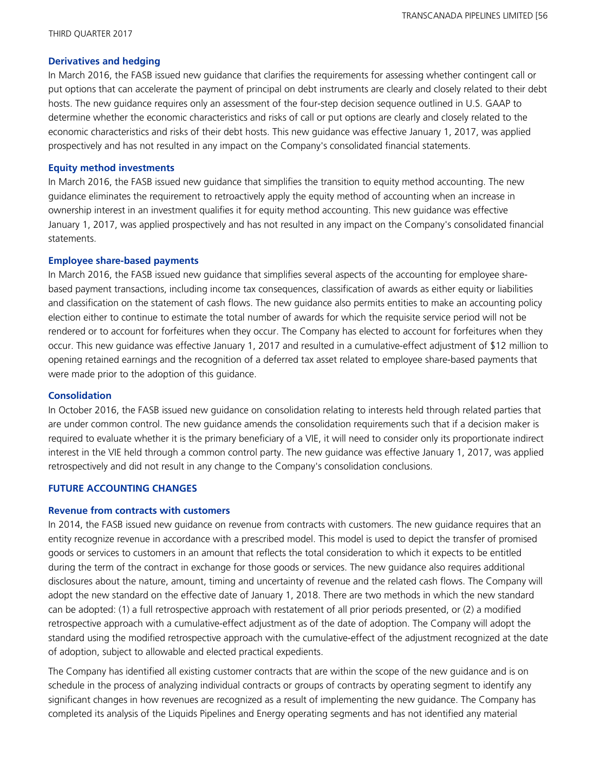#### **Derivatives and hedging**

In March 2016, the FASB issued new guidance that clarifies the requirements for assessing whether contingent call or put options that can accelerate the payment of principal on debt instruments are clearly and closely related to their debt hosts. The new guidance requires only an assessment of the four-step decision sequence outlined in U.S. GAAP to determine whether the economic characteristics and risks of call or put options are clearly and closely related to the economic characteristics and risks of their debt hosts. This new guidance was effective January 1, 2017, was applied prospectively and has not resulted in any impact on the Company's consolidated financial statements.

#### **Equity method investments**

In March 2016, the FASB issued new guidance that simplifies the transition to equity method accounting. The new guidance eliminates the requirement to retroactively apply the equity method of accounting when an increase in ownership interest in an investment qualifies it for equity method accounting. This new guidance was effective January 1, 2017, was applied prospectively and has not resulted in any impact on the Company's consolidated financial statements.

#### **Employee share-based payments**

In March 2016, the FASB issued new guidance that simplifies several aspects of the accounting for employee sharebased payment transactions, including income tax consequences, classification of awards as either equity or liabilities and classification on the statement of cash flows. The new guidance also permits entities to make an accounting policy election either to continue to estimate the total number of awards for which the requisite service period will not be rendered or to account for forfeitures when they occur. The Company has elected to account for forfeitures when they occur. This new guidance was effective January 1, 2017 and resulted in a cumulative-effect adjustment of \$12 million to opening retained earnings and the recognition of a deferred tax asset related to employee share-based payments that were made prior to the adoption of this guidance.

#### **Consolidation**

In October 2016, the FASB issued new guidance on consolidation relating to interests held through related parties that are under common control. The new guidance amends the consolidation requirements such that if a decision maker is required to evaluate whether it is the primary beneficiary of a VIE, it will need to consider only its proportionate indirect interest in the VIE held through a common control party. The new guidance was effective January 1, 2017, was applied retrospectively and did not result in any change to the Company's consolidation conclusions.

#### **FUTURE ACCOUNTING CHANGES**

#### **Revenue from contracts with customers**

In 2014, the FASB issued new guidance on revenue from contracts with customers. The new guidance requires that an entity recognize revenue in accordance with a prescribed model. This model is used to depict the transfer of promised goods or services to customers in an amount that reflects the total consideration to which it expects to be entitled during the term of the contract in exchange for those goods or services. The new guidance also requires additional disclosures about the nature, amount, timing and uncertainty of revenue and the related cash flows. The Company will adopt the new standard on the effective date of January 1, 2018. There are two methods in which the new standard can be adopted: (1) a full retrospective approach with restatement of all prior periods presented, or (2) a modified retrospective approach with a cumulative-effect adjustment as of the date of adoption. The Company will adopt the standard using the modified retrospective approach with the cumulative-effect of the adjustment recognized at the date of adoption, subject to allowable and elected practical expedients.

The Company has identified all existing customer contracts that are within the scope of the new guidance and is on schedule in the process of analyzing individual contracts or groups of contracts by operating segment to identify any significant changes in how revenues are recognized as a result of implementing the new guidance. The Company has completed its analysis of the Liquids Pipelines and Energy operating segments and has not identified any material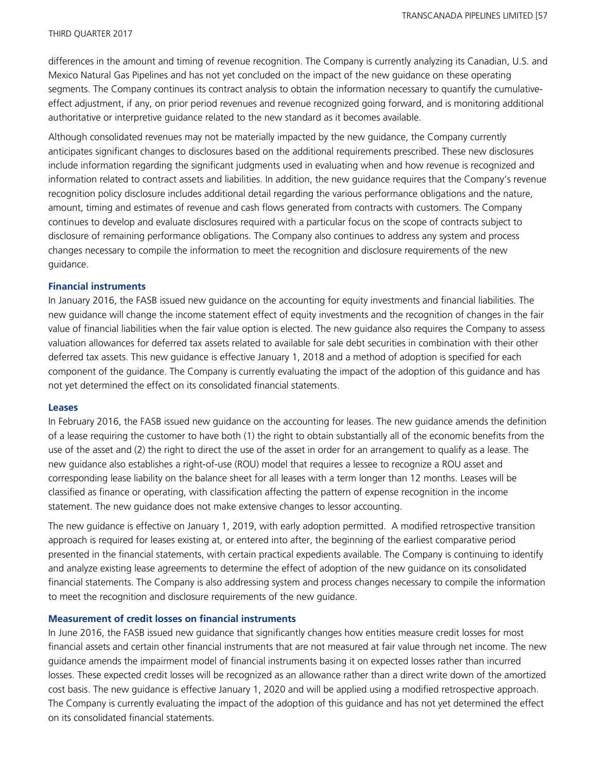differences in the amount and timing of revenue recognition. The Company is currently analyzing its Canadian, U.S. and Mexico Natural Gas Pipelines and has not yet concluded on the impact of the new guidance on these operating segments. The Company continues its contract analysis to obtain the information necessary to quantify the cumulativeeffect adjustment, if any, on prior period revenues and revenue recognized going forward, and is monitoring additional authoritative or interpretive guidance related to the new standard as it becomes available.

Although consolidated revenues may not be materially impacted by the new guidance, the Company currently anticipates significant changes to disclosures based on the additional requirements prescribed. These new disclosures include information regarding the significant judgments used in evaluating when and how revenue is recognized and information related to contract assets and liabilities. In addition, the new guidance requires that the Company's revenue recognition policy disclosure includes additional detail regarding the various performance obligations and the nature, amount, timing and estimates of revenue and cash flows generated from contracts with customers. The Company continues to develop and evaluate disclosures required with a particular focus on the scope of contracts subject to disclosure of remaining performance obligations. The Company also continues to address any system and process changes necessary to compile the information to meet the recognition and disclosure requirements of the new guidance.

#### **Financial instruments**

In January 2016, the FASB issued new guidance on the accounting for equity investments and financial liabilities. The new guidance will change the income statement effect of equity investments and the recognition of changes in the fair value of financial liabilities when the fair value option is elected. The new guidance also requires the Company to assess valuation allowances for deferred tax assets related to available for sale debt securities in combination with their other deferred tax assets. This new guidance is effective January 1, 2018 and a method of adoption is specified for each component of the guidance. The Company is currently evaluating the impact of the adoption of this guidance and has not yet determined the effect on its consolidated financial statements.

#### **Leases**

In February 2016, the FASB issued new guidance on the accounting for leases. The new guidance amends the definition of a lease requiring the customer to have both (1) the right to obtain substantially all of the economic benefits from the use of the asset and (2) the right to direct the use of the asset in order for an arrangement to qualify as a lease. The new guidance also establishes a right-of-use (ROU) model that requires a lessee to recognize a ROU asset and corresponding lease liability on the balance sheet for all leases with a term longer than 12 months. Leases will be classified as finance or operating, with classification affecting the pattern of expense recognition in the income statement. The new guidance does not make extensive changes to lessor accounting.

The new guidance is effective on January 1, 2019, with early adoption permitted. A modified retrospective transition approach is required for leases existing at, or entered into after, the beginning of the earliest comparative period presented in the financial statements, with certain practical expedients available. The Company is continuing to identify and analyze existing lease agreements to determine the effect of adoption of the new guidance on its consolidated financial statements. The Company is also addressing system and process changes necessary to compile the information to meet the recognition and disclosure requirements of the new guidance.

#### **Measurement of credit losses on financial instruments**

In June 2016, the FASB issued new guidance that significantly changes how entities measure credit losses for most financial assets and certain other financial instruments that are not measured at fair value through net income. The new guidance amends the impairment model of financial instruments basing it on expected losses rather than incurred losses. These expected credit losses will be recognized as an allowance rather than a direct write down of the amortized cost basis. The new guidance is effective January 1, 2020 and will be applied using a modified retrospective approach. The Company is currently evaluating the impact of the adoption of this guidance and has not yet determined the effect on its consolidated financial statements.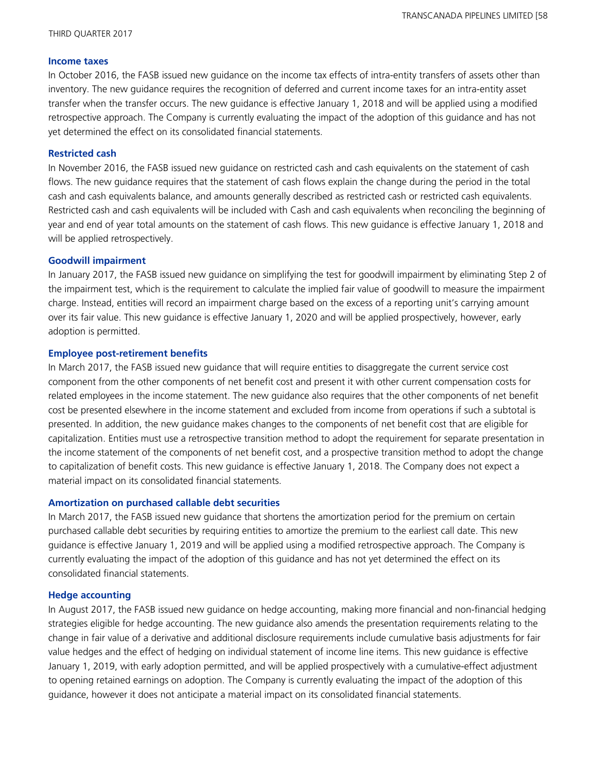#### **Income taxes**

In October 2016, the FASB issued new guidance on the income tax effects of intra-entity transfers of assets other than inventory. The new guidance requires the recognition of deferred and current income taxes for an intra-entity asset transfer when the transfer occurs. The new guidance is effective January 1, 2018 and will be applied using a modified retrospective approach. The Company is currently evaluating the impact of the adoption of this guidance and has not yet determined the effect on its consolidated financial statements.

#### **Restricted cash**

In November 2016, the FASB issued new guidance on restricted cash and cash equivalents on the statement of cash flows. The new guidance requires that the statement of cash flows explain the change during the period in the total cash and cash equivalents balance, and amounts generally described as restricted cash or restricted cash equivalents. Restricted cash and cash equivalents will be included with Cash and cash equivalents when reconciling the beginning of year and end of year total amounts on the statement of cash flows. This new guidance is effective January 1, 2018 and will be applied retrospectively.

#### **Goodwill impairment**

In January 2017, the FASB issued new guidance on simplifying the test for goodwill impairment by eliminating Step 2 of the impairment test, which is the requirement to calculate the implied fair value of goodwill to measure the impairment charge. Instead, entities will record an impairment charge based on the excess of a reporting unit's carrying amount over its fair value. This new guidance is effective January 1, 2020 and will be applied prospectively, however, early adoption is permitted.

#### **Employee post-retirement benefits**

In March 2017, the FASB issued new guidance that will require entities to disaggregate the current service cost component from the other components of net benefit cost and present it with other current compensation costs for related employees in the income statement. The new guidance also requires that the other components of net benefit cost be presented elsewhere in the income statement and excluded from income from operations if such a subtotal is presented. In addition, the new guidance makes changes to the components of net benefit cost that are eligible for capitalization. Entities must use a retrospective transition method to adopt the requirement for separate presentation in the income statement of the components of net benefit cost, and a prospective transition method to adopt the change to capitalization of benefit costs. This new guidance is effective January 1, 2018. The Company does not expect a material impact on its consolidated financial statements.

#### **Amortization on purchased callable debt securities**

In March 2017, the FASB issued new guidance that shortens the amortization period for the premium on certain purchased callable debt securities by requiring entities to amortize the premium to the earliest call date. This new guidance is effective January 1, 2019 and will be applied using a modified retrospective approach. The Company is currently evaluating the impact of the adoption of this guidance and has not yet determined the effect on its consolidated financial statements.

#### **Hedge accounting**

In August 2017, the FASB issued new guidance on hedge accounting, making more financial and non-financial hedging strategies eligible for hedge accounting. The new guidance also amends the presentation requirements relating to the change in fair value of a derivative and additional disclosure requirements include cumulative basis adjustments for fair value hedges and the effect of hedging on individual statement of income line items. This new guidance is effective January 1, 2019, with early adoption permitted, and will be applied prospectively with a cumulative-effect adjustment to opening retained earnings on adoption. The Company is currently evaluating the impact of the adoption of this guidance, however it does not anticipate a material impact on its consolidated financial statements.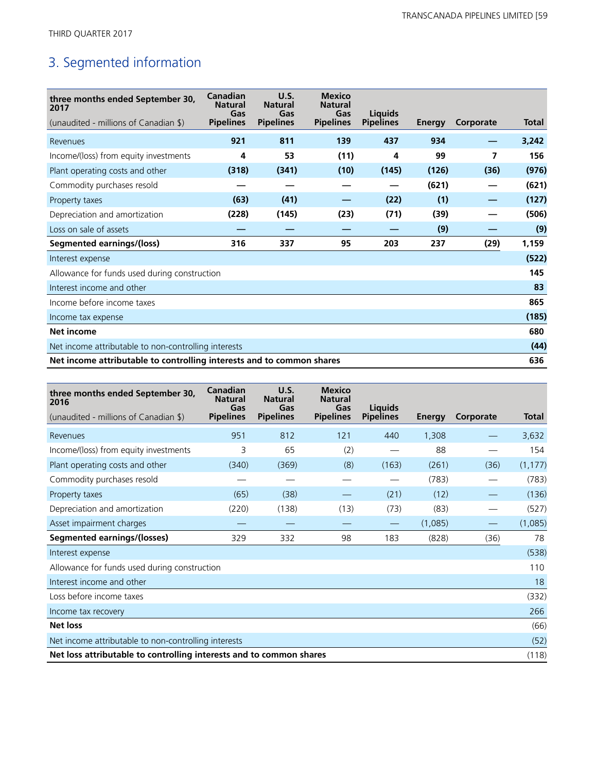# 3. Segmented information

| three months ended September 30,<br>2017                              | Canadian<br><b>Natural</b><br>Gas | U.S.<br><b>Natural</b><br>Gas | <b>Mexico</b><br><b>Natural</b><br>Gas | Liauids          |               |           |              |
|-----------------------------------------------------------------------|-----------------------------------|-------------------------------|----------------------------------------|------------------|---------------|-----------|--------------|
| (unaudited - millions of Canadian \$)                                 | <b>Pipelines</b>                  | <b>Pipelines</b>              | <b>Pipelines</b>                       | <b>Pipelines</b> | <b>Energy</b> | Corporate | <b>Total</b> |
| Revenues                                                              | 921                               | 811                           | 139                                    | 437              | 934           |           | 3,242        |
| Income/(loss) from equity investments                                 | 4                                 | 53                            | (11)                                   | 4                | 99            | 7         | 156          |
| Plant operating costs and other                                       | (318)                             | (341)                         | (10)                                   | (145)            | (126)         | (36)      | (976)        |
| Commodity purchases resold                                            |                                   |                               |                                        |                  | (621)         |           | (621)        |
| Property taxes                                                        | (63)                              | (41)                          |                                        | (22)             | (1)           |           | (127)        |
| Depreciation and amortization                                         | (228)                             | (145)                         | (23)                                   | (71)             | (39)          |           | (506)        |
| Loss on sale of assets                                                |                                   |                               |                                        |                  | (9)           |           | (9)          |
| <b>Segmented earnings/(loss)</b>                                      | 316                               | 337                           | 95                                     | 203              | 237           | (29)      | 1,159        |
| Interest expense                                                      |                                   |                               |                                        |                  |               |           | (522)        |
| Allowance for funds used during construction                          |                                   |                               |                                        |                  |               |           | 145          |
| Interest income and other                                             |                                   |                               |                                        |                  |               |           | 83           |
| Income before income taxes                                            |                                   |                               |                                        |                  |               |           | 865          |
| Income tax expense                                                    |                                   |                               |                                        |                  |               |           | (185)        |
| Net income                                                            |                                   |                               |                                        |                  |               |           | 680          |
| Net income attributable to non-controlling interests                  |                                   |                               |                                        |                  |               | (44)      |              |
| Net income attributable to controlling interests and to common shares |                                   |                               |                                        |                  |               | 636       |              |

| three months ended September 30,<br>2016                            | Canadian<br><b>Natural</b><br>Gas | U.S.<br><b>Natural</b><br>Gas | <b>Mexico</b><br><b>Natural</b><br>Gas | <b>Liauids</b>   |               |           |              |
|---------------------------------------------------------------------|-----------------------------------|-------------------------------|----------------------------------------|------------------|---------------|-----------|--------------|
| (unaudited - millions of Canadian \$)                               | <b>Pipelines</b>                  | <b>Pipelines</b>              | <b>Pipelines</b>                       | <b>Pipelines</b> | <b>Energy</b> | Corporate | <b>Total</b> |
| Revenues                                                            | 951                               | 812                           | 121                                    | 440              | 1,308         |           | 3,632        |
| Income/(loss) from equity investments                               | 3                                 | 65                            | (2)                                    |                  | 88            |           | 154          |
| Plant operating costs and other                                     | (340)                             | (369)                         | (8)                                    | (163)            | (261)         | (36)      | (1, 177)     |
| Commodity purchases resold                                          |                                   | $\sim$                        |                                        |                  | (783)         |           | (783)        |
| Property taxes                                                      | (65)                              | (38)                          |                                        | (21)             | (12)          |           | (136)        |
| Depreciation and amortization                                       | (220)                             | (138)                         | (13)                                   | (73)             | (83)          |           | (527)        |
| Asset impairment charges                                            |                                   |                               |                                        |                  | (1,085)       |           | (1,085)      |
| <b>Segmented earnings/(losses)</b>                                  | 329                               | 332                           | 98                                     | 183              | (828)         | (36)      | 78           |
| Interest expense                                                    |                                   |                               |                                        |                  |               |           | (538)        |
| Allowance for funds used during construction                        |                                   |                               |                                        |                  |               |           | 110          |
| Interest income and other                                           |                                   |                               |                                        |                  |               |           | 18           |
| Loss before income taxes                                            |                                   |                               |                                        |                  |               |           | (332)        |
| Income tax recovery                                                 |                                   |                               |                                        |                  |               |           | 266          |
| <b>Net loss</b>                                                     |                                   |                               |                                        |                  |               |           | (66)         |
| Net income attributable to non-controlling interests                |                                   |                               |                                        |                  |               | (52)      |              |
| Net loss attributable to controlling interests and to common shares |                                   |                               |                                        |                  |               |           | (118)        |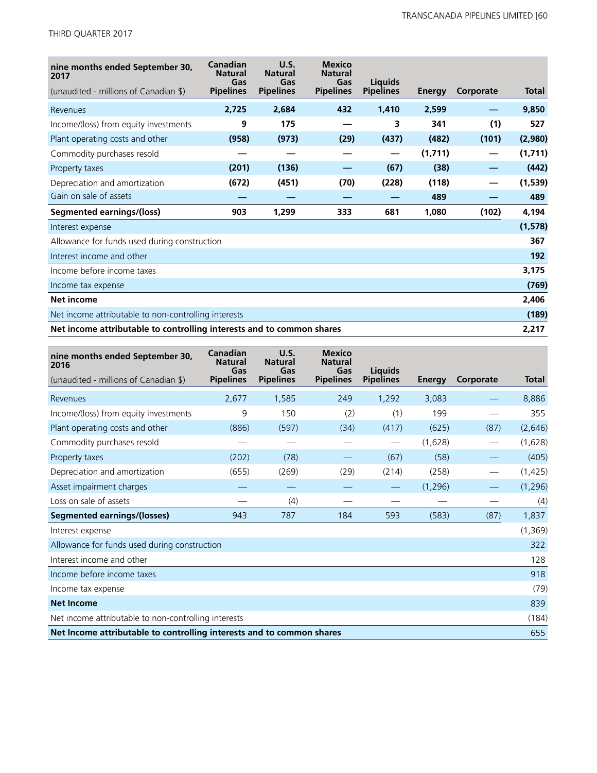THIRD QUARTER 2017

| nine months ended September 30,<br>2017                               | Canadian<br><b>Natural</b><br>Gas | U.S.<br><b>Natural</b><br>Gas | <b>Mexico</b><br><b>Natural</b><br>Gas | <b>Liquids</b>   |               |           |              |
|-----------------------------------------------------------------------|-----------------------------------|-------------------------------|----------------------------------------|------------------|---------------|-----------|--------------|
| (unaudited - millions of Canadian \$)                                 | <b>Pipelines</b>                  | <b>Pipelines</b>              | <b>Pipelines</b>                       | <b>Pipelines</b> | <b>Energy</b> | Corporate | <b>Total</b> |
| Revenues                                                              | 2,725                             | 2,684                         | 432                                    | 1,410            | 2,599         |           | 9,850        |
| Income/(loss) from equity investments                                 | 9                                 | 175                           |                                        | 3                | 341           | (1)       | 527          |
| Plant operating costs and other                                       | (958)                             | (973)                         | (29)                                   | (437)            | (482)         | (101)     | (2,980)      |
| Commodity purchases resold                                            |                                   |                               |                                        | —                | (1,711)       | —         | (1,711)      |
| Property taxes                                                        | (201)                             | (136)                         |                                        | (67)             | (38)          |           | (442)        |
| Depreciation and amortization                                         | (672)                             | (451)                         | (70)                                   | (228)            | (118)         |           | (1,539)      |
| Gain on sale of assets                                                |                                   |                               |                                        |                  | 489           |           | 489          |
| Segmented earnings/(loss)                                             | 903                               | 1,299                         | 333                                    | 681              | 1,080         | (102)     | 4,194        |
| Interest expense                                                      |                                   |                               |                                        |                  |               |           | (1, 578)     |
| Allowance for funds used during construction                          |                                   |                               |                                        |                  |               |           | 367          |
| Interest income and other                                             |                                   |                               |                                        |                  |               |           | 192          |
| Income before income taxes                                            |                                   |                               |                                        |                  |               |           | 3,175        |
| Income tax expense                                                    |                                   |                               |                                        |                  |               |           | (769)        |
| Net income                                                            |                                   |                               |                                        |                  |               |           | 2,406        |
| Net income attributable to non-controlling interests                  |                                   |                               |                                        |                  |               | (189)     |              |
| Net income attributable to controlling interests and to common shares |                                   |                               |                                        |                  |               |           | 2,217        |

| nine months ended September 30,<br>2016                               | Canadian<br><b>Natural</b><br>Gas | U.S.<br><b>Natural</b><br>Gas | <b>Mexico</b><br><b>Natural</b><br>Gas | <b>Liquids</b>   |          |           |          |
|-----------------------------------------------------------------------|-----------------------------------|-------------------------------|----------------------------------------|------------------|----------|-----------|----------|
| (unaudited - millions of Canadian \$)                                 | <b>Pipelines</b>                  | <b>Pipelines</b>              | <b>Pipelines</b>                       | <b>Pipelines</b> | Energy   | Corporate | Total    |
| Revenues                                                              | 2,677                             | 1,585                         | 249                                    | 1,292            | 3,083    |           | 8,886    |
| Income/(loss) from equity investments                                 | 9                                 | 150                           | (2)                                    | (1)              | 199      |           | 355      |
| Plant operating costs and other                                       | (886)                             | (597)                         | (34)                                   | (417)            | (625)    | (87)      | (2,646)  |
| Commodity purchases resold                                            |                                   |                               |                                        |                  | (1,628)  |           | (1,628)  |
| Property taxes                                                        | (202)                             | (78)                          |                                        | (67)             | (58)     |           | (405)    |
| Depreciation and amortization                                         | (655)                             | (269)                         | (29)                                   | (214)            | (258)    |           | (1, 425) |
| Asset impairment charges                                              |                                   |                               |                                        |                  | (1, 296) |           | (1, 296) |
| Loss on sale of assets                                                |                                   | (4)                           |                                        |                  |          |           | (4)      |
| <b>Segmented earnings/(losses)</b>                                    | 943                               | 787                           | 184                                    | 593              | (583)    | (87)      | 1,837    |
| Interest expense                                                      |                                   |                               |                                        |                  |          |           | (1, 369) |
| Allowance for funds used during construction                          |                                   |                               |                                        |                  |          |           | 322      |
| Interest income and other                                             |                                   |                               |                                        |                  |          |           | 128      |
| Income before income taxes                                            |                                   |                               |                                        |                  |          |           | 918      |
| Income tax expense                                                    |                                   |                               |                                        |                  |          |           | (79)     |
| <b>Net Income</b>                                                     |                                   |                               |                                        |                  |          |           | 839      |
| Net income attributable to non-controlling interests                  |                                   |                               |                                        |                  |          |           | (184)    |
| Net Income attributable to controlling interests and to common shares |                                   |                               |                                        |                  |          |           | 655      |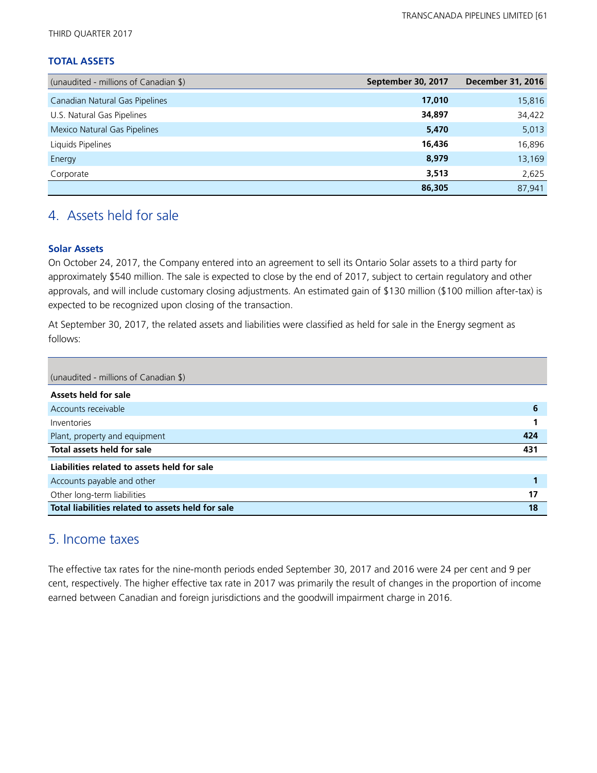THIRD QUARTER 2017

#### **TOTAL ASSETS**

| (unaudited - millions of Canadian \$) | September 30, 2017 | <b>December 31, 2016</b> |
|---------------------------------------|--------------------|--------------------------|
| Canadian Natural Gas Pipelines        | 17,010             | 15,816                   |
| U.S. Natural Gas Pipelines            | 34,897             | 34,422                   |
| Mexico Natural Gas Pipelines          | 5,470              | 5,013                    |
| Liquids Pipelines                     | 16,436             | 16,896                   |
| Energy                                | 8,979              | 13,169                   |
| Corporate                             | 3,513              | 2,625                    |
|                                       | 86,305             | 87.941                   |

## 4. Assets held for sale

#### **Solar Assets**

On October 24, 2017, the Company entered into an agreement to sell its Ontario Solar assets to a third party for approximately \$540 million. The sale is expected to close by the end of 2017, subject to certain regulatory and other approvals, and will include customary closing adjustments. An estimated gain of \$130 million (\$100 million after-tax) is expected to be recognized upon closing of the transaction.

At September 30, 2017, the related assets and liabilities were classified as held for sale in the Energy segment as follows:

| (unaudited - millions of Canadian \$)             |     |
|---------------------------------------------------|-----|
| Assets held for sale                              |     |
| Accounts receivable                               | 6   |
| Inventories                                       |     |
| Plant, property and equipment                     | 424 |
| Total assets held for sale                        | 431 |
| Liabilities related to assets held for sale       |     |
| Accounts payable and other                        |     |
| Other long-term liabilities                       | 17  |
| Total liabilities related to assets held for sale | 18  |

## 5. Income taxes

The effective tax rates for the nine-month periods ended September 30, 2017 and 2016 were 24 per cent and 9 per cent, respectively. The higher effective tax rate in 2017 was primarily the result of changes in the proportion of income earned between Canadian and foreign jurisdictions and the goodwill impairment charge in 2016.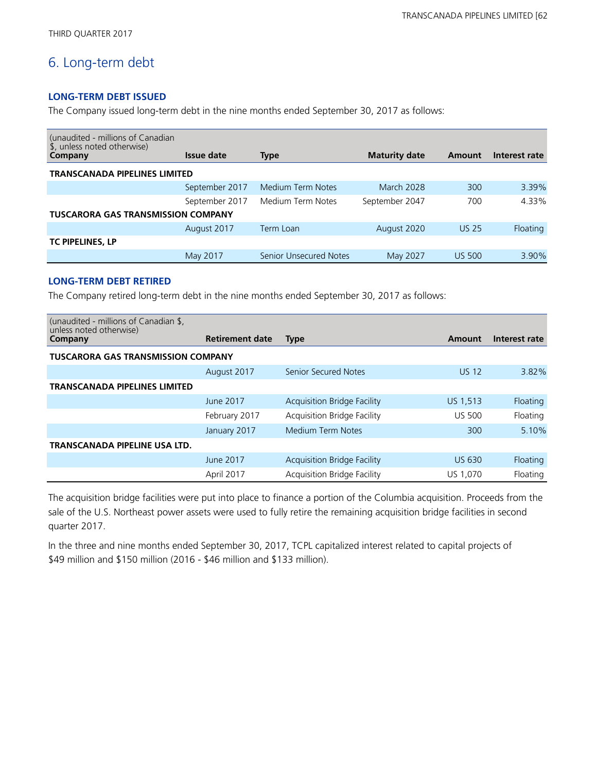## 6. Long-term debt

#### **LONG-TERM DEBT ISSUED**

The Company issued long-term debt in the nine months ended September 30, 2017 as follows:

| (unaudited - millions of Canadian<br>\$, unless noted otherwise) |                |                               |                      |               |               |
|------------------------------------------------------------------|----------------|-------------------------------|----------------------|---------------|---------------|
| Company                                                          | Issue date     | <b>Type</b>                   | <b>Maturity date</b> | Amount        | Interest rate |
| <b>TRANSCANADA PIPELINES LIMITED</b>                             |                |                               |                      |               |               |
|                                                                  | September 2017 | Medium Term Notes             | <b>March 2028</b>    | 300           | 3.39%         |
|                                                                  | September 2017 | Medium Term Notes             | September 2047       | 700           | 4.33%         |
| <b>TUSCARORA GAS TRANSMISSION COMPANY</b>                        |                |                               |                      |               |               |
|                                                                  | August 2017    | Term Loan                     | August 2020          | <b>US 25</b>  | Floating      |
| TC PIPELINES, LP                                                 |                |                               |                      |               |               |
|                                                                  | May 2017       | <b>Senior Unsecured Notes</b> | May 2027             | <b>US 500</b> | 3.90%         |
|                                                                  |                |                               |                      |               |               |

#### **LONG-TERM DEBT RETIRED**

The Company retired long-term debt in the nine months ended September 30, 2017 as follows:

| (unaudited - millions of Canadian \$,<br>unless noted otherwise) |                        |                                    |               |               |  |  |  |  |
|------------------------------------------------------------------|------------------------|------------------------------------|---------------|---------------|--|--|--|--|
| Company                                                          | <b>Retirement date</b> | <b>Type</b>                        | Amount        | Interest rate |  |  |  |  |
| <b>TUSCARORA GAS TRANSMISSION COMPANY</b>                        |                        |                                    |               |               |  |  |  |  |
|                                                                  | August 2017            | <b>Senior Secured Notes</b>        | <b>US 12</b>  | 3.82%         |  |  |  |  |
| <b>TRANSCANADA PIPELINES LIMITED</b>                             |                        |                                    |               |               |  |  |  |  |
|                                                                  | June 2017              | <b>Acquisition Bridge Facility</b> | US 1,513      | Floating      |  |  |  |  |
|                                                                  | February 2017          | Acquisition Bridge Facility        | <b>US 500</b> | Floating      |  |  |  |  |
|                                                                  | January 2017           | <b>Medium Term Notes</b>           | 300           | 5.10%         |  |  |  |  |
| <b>TRANSCANADA PIPELINE USA LTD.</b>                             |                        |                                    |               |               |  |  |  |  |
|                                                                  | June 2017              | <b>Acquisition Bridge Facility</b> | <b>US 630</b> | Floating      |  |  |  |  |
|                                                                  | April 2017             | <b>Acquisition Bridge Facility</b> | US 1,070      | Floating      |  |  |  |  |

The acquisition bridge facilities were put into place to finance a portion of the Columbia acquisition. Proceeds from the sale of the U.S. Northeast power assets were used to fully retire the remaining acquisition bridge facilities in second quarter 2017.

In the three and nine months ended September 30, 2017, TCPL capitalized interest related to capital projects of \$49 million and \$150 million (2016 - \$46 million and \$133 million).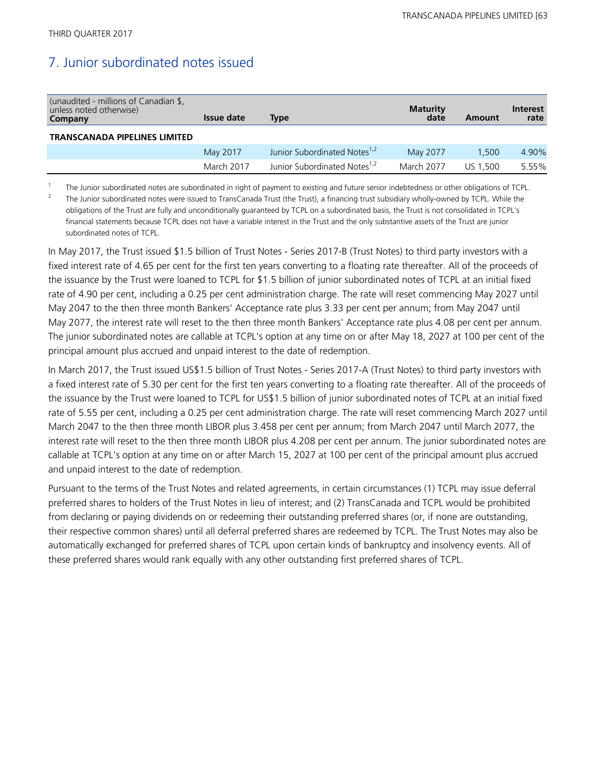subordinated notes of TCPL.

## 7. Junior subordinated notes issued

| (unaudited - millions of Canadian \$,<br>unless noted otherwise)<br>Company | Issue date | <b>Type</b>                              | <b>Maturity</b><br>date | Amount   | <b>Interest</b><br>rate |
|-----------------------------------------------------------------------------|------------|------------------------------------------|-------------------------|----------|-------------------------|
| <b>TRANSCANADA PIPELINES LIMITED</b>                                        |            |                                          |                         |          |                         |
|                                                                             | May 2017   | Junior Subordinated Notes <sup>1,2</sup> | May 2077                | 1.500    | 4.90%                   |
|                                                                             | March 2017 | Junior Subordinated Notes <sup>1,2</sup> | March 2077              | US 1.500 | 5.55%                   |

1 The Junior subordinated notes are subordinated in right of payment to existing and future senior indebtedness or other obligations of TCPL. 2 The Junior subordinated notes were issued to TransCanada Trust (the Trust), a financing trust subsidiary wholly-owned by TCPL. While the obligations of the Trust are fully and unconditionally guaranteed by TCPL on a subordinated basis, the Trust is not consolidated in TCPL's financial statements because TCPL does not have a variable interest in the Trust and the only substantive assets of the Trust are junior

In May 2017, the Trust issued \$1.5 billion of Trust Notes - Series 2017-B (Trust Notes) to third party investors with a fixed interest rate of 4.65 per cent for the first ten years converting to a floating rate thereafter. All of the proceeds of the issuance by the Trust were loaned to TCPL for \$1.5 billion of junior subordinated notes of TCPL at an initial fixed rate of 4.90 per cent, including a 0.25 per cent administration charge. The rate will reset commencing May 2027 until May 2047 to the then three month Bankers' Acceptance rate plus 3.33 per cent per annum; from May 2047 until May 2077, the interest rate will reset to the then three month Bankers' Acceptance rate plus 4.08 per cent per annum. The junior subordinated notes are callable at TCPL's option at any time on or after May 18, 2027 at 100 per cent of the principal amount plus accrued and unpaid interest to the date of redemption.

In March 2017, the Trust issued US\$1.5 billion of Trust Notes - Series 2017-A (Trust Notes) to third party investors with a fixed interest rate of 5.30 per cent for the first ten years converting to a floating rate thereafter. All of the proceeds of the issuance by the Trust were loaned to TCPL for US\$1.5 billion of junior subordinated notes of TCPL at an initial fixed rate of 5.55 per cent, including a 0.25 per cent administration charge. The rate will reset commencing March 2027 until March 2047 to the then three month LIBOR plus 3.458 per cent per annum; from March 2047 until March 2077, the interest rate will reset to the then three month LIBOR plus 4.208 per cent per annum. The junior subordinated notes are callable at TCPL's option at any time on or after March 15, 2027 at 100 per cent of the principal amount plus accrued and unpaid interest to the date of redemption.

Pursuant to the terms of the Trust Notes and related agreements, in certain circumstances (1) TCPL may issue deferral preferred shares to holders of the Trust Notes in lieu of interest; and (2) TransCanada and TCPL would be prohibited from declaring or paying dividends on or redeeming their outstanding preferred shares (or, if none are outstanding, their respective common shares) until all deferral preferred shares are redeemed by TCPL. The Trust Notes may also be automatically exchanged for preferred shares of TCPL upon certain kinds of bankruptcy and insolvency events. All of these preferred shares would rank equally with any other outstanding first preferred shares of TCPL.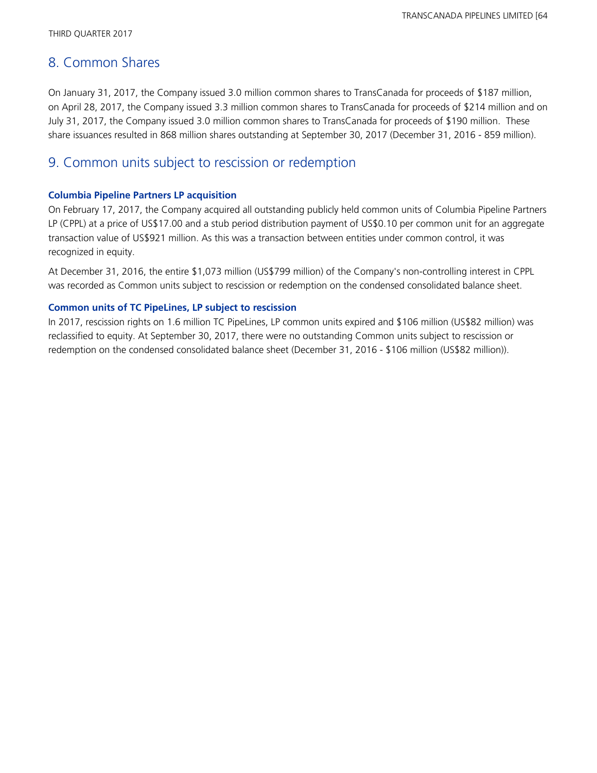## 8. Common Shares

On January 31, 2017, the Company issued 3.0 million common shares to TransCanada for proceeds of \$187 million, on April 28, 2017, the Company issued 3.3 million common shares to TransCanada for proceeds of \$214 million and on July 31, 2017, the Company issued 3.0 million common shares to TransCanada for proceeds of \$190 million. These share issuances resulted in 868 million shares outstanding at September 30, 2017 (December 31, 2016 - 859 million).

## 9. Common units subject to rescission or redemption

#### **Columbia Pipeline Partners LP acquisition**

On February 17, 2017, the Company acquired all outstanding publicly held common units of Columbia Pipeline Partners LP (CPPL) at a price of US\$17.00 and a stub period distribution payment of US\$0.10 per common unit for an aggregate transaction value of US\$921 million. As this was a transaction between entities under common control, it was recognized in equity.

At December 31, 2016, the entire \$1,073 million (US\$799 million) of the Company's non-controlling interest in CPPL was recorded as Common units subject to rescission or redemption on the condensed consolidated balance sheet.

#### **Common units of TC PipeLines, LP subject to rescission**

In 2017, rescission rights on 1.6 million TC PipeLines, LP common units expired and \$106 million (US\$82 million) was reclassified to equity. At September 30, 2017, there were no outstanding Common units subject to rescission or redemption on the condensed consolidated balance sheet (December 31, 2016 - \$106 million (US\$82 million)).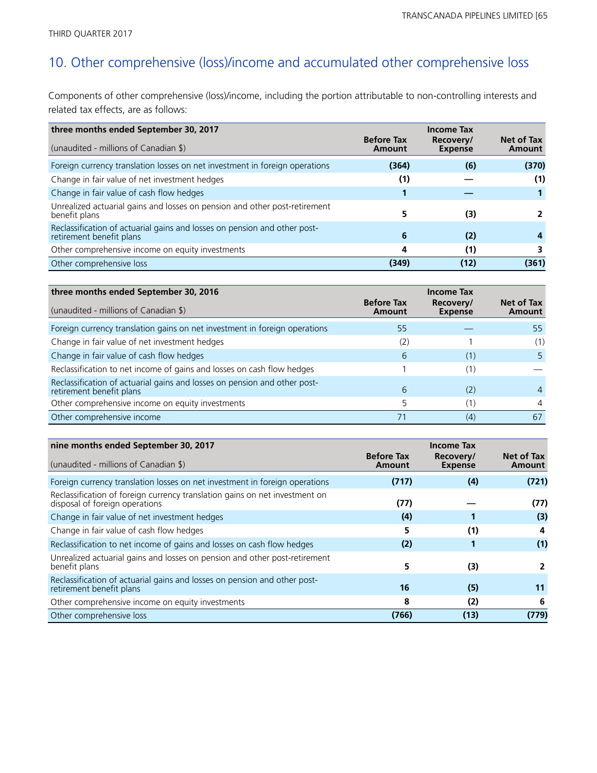## 10. Other comprehensive (loss)/income and accumulated other comprehensive loss

Components of other comprehensive (loss)/income, including the portion attributable to non-controlling interests and related tax effects, are as follows:

| three months ended September 30, 2017                                                                 | <b>Before Tax</b> | <b>Income Tax</b><br>Recovery/ | Net of Tax |
|-------------------------------------------------------------------------------------------------------|-------------------|--------------------------------|------------|
| (unaudited - millions of Canadian \$)                                                                 | Amount            | <b>Expense</b>                 | Amount     |
| Foreign currency translation losses on net investment in foreign operations                           | (364)             | (6)                            | (370)      |
| Change in fair value of net investment hedges                                                         | (1)               |                                | (1)        |
| Change in fair value of cash flow hedges                                                              |                   |                                |            |
| Unrealized actuarial gains and losses on pension and other post-retirement<br>benefit plans           | 5                 | (3)                            |            |
| Reclassification of actuarial gains and losses on pension and other post-<br>retirement benefit plans | 6                 | (2)                            |            |
| Other comprehensive income on equity investments                                                      | 4                 | (1)                            |            |
| Other comprehensive loss                                                                              | (349)             | (12)                           | (361)      |

| three months ended September 30, 2016                                                                 |                             | <b>Income Tax</b>           |                      |
|-------------------------------------------------------------------------------------------------------|-----------------------------|-----------------------------|----------------------|
| (unaudited - millions of Canadian \$)                                                                 | <b>Before Tax</b><br>Amount | Recovery/<br><b>Expense</b> | Net of Tax<br>Amount |
| Foreign currency translation gains on net investment in foreign operations                            | 55                          |                             | 55                   |
| Change in fair value of net investment hedges                                                         | (2)                         |                             | (1)                  |
| Change in fair value of cash flow hedges                                                              | 6                           | (1)                         | 5.                   |
| Reclassification to net income of gains and losses on cash flow hedges                                |                             |                             |                      |
| Reclassification of actuarial gains and losses on pension and other post-<br>retirement benefit plans | 6                           | (2)                         | 4                    |
| Other comprehensive income on equity investments                                                      |                             |                             | 4                    |
| Other comprehensive income                                                                            |                             | (4)                         | 67                   |

| nine months ended September 30, 2017<br><b>Income Tax</b>                                                     |                             |                             |                      |
|---------------------------------------------------------------------------------------------------------------|-----------------------------|-----------------------------|----------------------|
| (unaudited - millions of Canadian \$)                                                                         | <b>Before Tax</b><br>Amount | Recovery/<br><b>Expense</b> | Net of Tax<br>Amount |
| Foreign currency translation losses on net investment in foreign operations                                   | (717)                       | (4)                         | (721)                |
| Reclassification of foreign currency translation gains on net investment on<br>disposal of foreign operations | (77)                        |                             | (77)                 |
| Change in fair value of net investment hedges                                                                 | (4)                         |                             | (3)                  |
| Change in fair value of cash flow hedges                                                                      | 5                           | (1)                         | 4                    |
| Reclassification to net income of gains and losses on cash flow hedges                                        | (2)                         |                             | (1)                  |
| Unrealized actuarial gains and losses on pension and other post-retirement<br>benefit plans                   | 5                           | (3)                         |                      |
| Reclassification of actuarial gains and losses on pension and other post-<br>retirement benefit plans         | 16                          | (5)                         | 11                   |
| Other comprehensive income on equity investments                                                              | 8                           | (2)                         | 6                    |
| Other comprehensive loss                                                                                      | (766)                       | (13)                        | (779)                |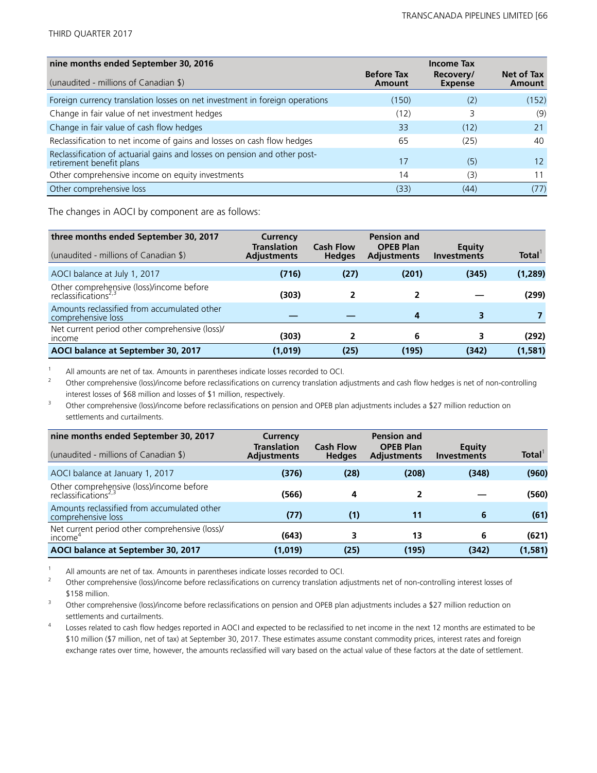| nine months ended September 30, 2016                                                                  |                             | <b>Income Tax</b>           |                      |
|-------------------------------------------------------------------------------------------------------|-----------------------------|-----------------------------|----------------------|
| (unaudited - millions of Canadian \$)                                                                 | <b>Before Tax</b><br>Amount | Recovery/<br><b>Expense</b> | Net of Tax<br>Amount |
| Foreign currency translation losses on net investment in foreign operations                           | (150)                       | (2)                         | (152)                |
| Change in fair value of net investment hedges                                                         | (12)                        | 3                           | (9)                  |
| Change in fair value of cash flow hedges                                                              | 33                          | (12)                        | 21                   |
| Reclassification to net income of gains and losses on cash flow hedges                                | 65                          | (25)                        | 40                   |
| Reclassification of actuarial gains and losses on pension and other post-<br>retirement benefit plans | 17                          | (5)                         | 12 <sup>°</sup>      |
| Other comprehensive income on equity investments                                                      | 14                          | (3)                         | 11                   |
| Other comprehensive loss                                                                              | (33)                        | (44)                        | (77)                 |

The changes in AOCI by component are as follows:

| three months ended September 30, 2017<br>(unaudited - millions of Canadian \$) | Currency<br><b>Translation</b><br><b>Adjustments</b> | <b>Cash Flow</b><br><b>Hedges</b> | <b>Pension and</b><br><b>OPEB Plan</b><br><b>Adjustments</b> | Equity<br><b>Investments</b> | Total <sup>1</sup> |
|--------------------------------------------------------------------------------|------------------------------------------------------|-----------------------------------|--------------------------------------------------------------|------------------------------|--------------------|
| AOCI balance at July 1, 2017                                                   | (716)                                                | (27)                              | (201)                                                        | (345)                        | (1, 289)           |
| Other comprehensive (loss)/income before<br>reclassifications <sup>2,3</sup>   | (303)                                                |                                   |                                                              |                              | (299)              |
| Amounts reclassified from accumulated other<br>comprehensive loss              |                                                      |                                   | 4                                                            |                              |                    |
| Net current period other comprehensive (loss)/<br><i>income</i>                | (303)                                                |                                   | 6                                                            | 3                            | (292)              |
| AOCI balance at September 30, 2017                                             | (1,019)                                              | (25)                              | (195)                                                        | (342)                        | (1,581)            |

<sup>1</sup> All amounts are net of tax. Amounts in parentheses indicate losses recorded to OCI.<br><sup>2</sup> Other comprehensive (loss)/income before reclassifications on currency translation as

<sup>2</sup> Other comprehensive (loss)/income before reclassifications on currency translation adjustments and cash flow hedges is net of non-controlling interest losses of \$68 million and losses of \$1 million, respectively.

<sup>3</sup> Other comprehensive (loss)/income before reclassifications on pension and OPEB plan adjustments includes a \$27 million reduction on settlements and curtailments.

| nine months ended September 30, 2017<br>(unaudited - millions of Canadian \$) | Currency<br><b>Translation</b><br><b>Adjustments</b> | <b>Cash Flow</b><br><b>Hedges</b> | <b>Pension and</b><br><b>OPEB Plan</b><br><b>Adjustments</b> | Equity<br><b>Investments</b> | <b>Total</b> |
|-------------------------------------------------------------------------------|------------------------------------------------------|-----------------------------------|--------------------------------------------------------------|------------------------------|--------------|
|                                                                               |                                                      |                                   |                                                              |                              |              |
| AOCI balance at January 1, 2017                                               | (376)                                                | (28)                              | (208)                                                        | (348)                        | (960)        |
| Other comprehensive (loss)/income before<br>reclassifications <sup>2,3</sup>  | (566)                                                | 4                                 |                                                              |                              | (560)        |
| Amounts reclassified from accumulated other<br>comprehensive loss             | (77)                                                 | (1)                               | 11                                                           | 6                            | (61)         |
| Net current period other comprehensive (loss)/<br>income <sup>4</sup>         | (643)                                                | 3                                 | 13                                                           | 6                            | (621)        |
| AOCI balance at September 30, 2017                                            | (1,019)                                              | (25)                              | (195)                                                        | (342)                        | (1,581)      |

<sup>1</sup> All amounts are net of tax. Amounts in parentheses indicate losses recorded to OCI.

<sup>2</sup> Other comprehensive (loss)/income before reclassifications on currency translation adjustments net of non-controlling interest losses of \$158 million.

<sup>3</sup> Other comprehensive (loss)/income before reclassifications on pension and OPEB plan adjustments includes a \$27 million reduction on settlements and curtailments.

4 Losses related to cash flow hedges reported in AOCI and expected to be reclassified to net income in the next 12 months are estimated to be \$10 million (\$7 million, net of tax) at September 30, 2017. These estimates assume constant commodity prices, interest rates and foreign exchange rates over time, however, the amounts reclassified will vary based on the actual value of these factors at the date of settlement.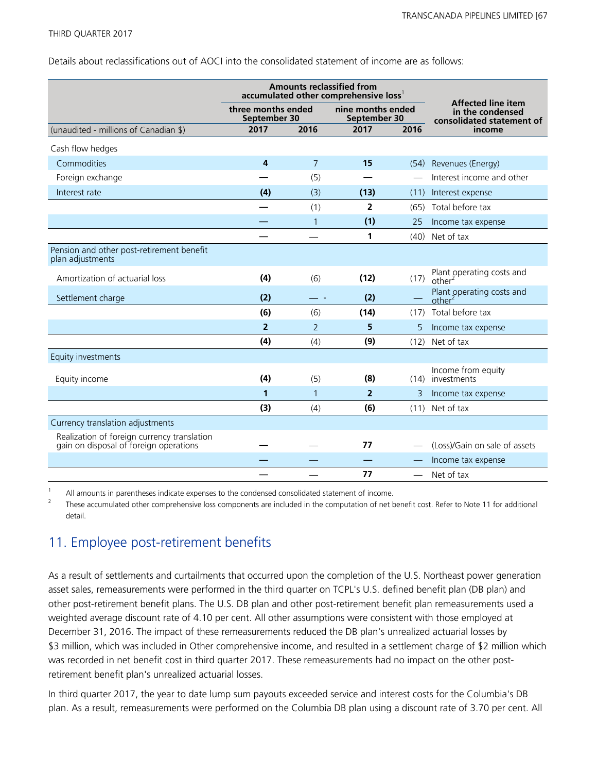Details about reclassifications out of AOCI into the consolidated statement of income are as follows:

|                                                                                       | <b>Amounts reclassified from</b><br>accumulated other comprehensive loss' |                |                                   |          |                                                                            |
|---------------------------------------------------------------------------------------|---------------------------------------------------------------------------|----------------|-----------------------------------|----------|----------------------------------------------------------------------------|
|                                                                                       | three months ended<br>September 30                                        |                | nine months ended<br>September 30 |          | <b>Affected line item</b><br>in the condensed<br>consolidated statement of |
| (unaudited - millions of Canadian \$)                                                 | 2017                                                                      | 2016           |                                   | 2016     | income                                                                     |
| Cash flow hedges                                                                      |                                                                           |                |                                   |          |                                                                            |
| Commodities                                                                           | 4                                                                         | $\overline{7}$ | 15                                |          | (54) Revenues (Energy)                                                     |
| Foreign exchange                                                                      |                                                                           | (5)            |                                   |          | Interest income and other                                                  |
| Interest rate                                                                         | (4)                                                                       | (3)            | (13)                              | (11)     | Interest expense                                                           |
|                                                                                       |                                                                           | (1)            | $\overline{2}$                    | (65)     | Total before tax                                                           |
|                                                                                       |                                                                           | $\mathbf{1}$   | (1)                               | 25       | Income tax expense                                                         |
|                                                                                       |                                                                           |                | 1                                 | (40)     | Net of tax                                                                 |
| Pension and other post-retirement benefit<br>plan adjustments                         |                                                                           |                |                                   |          |                                                                            |
| Amortization of actuarial loss                                                        | (4)                                                                       | (6)            | (12)                              | (17)     | Plant operating costs and<br>other <sup>2</sup>                            |
| Settlement charge                                                                     | (2)                                                                       |                | (2)                               |          | Plant operating costs and<br>other <sup>2</sup>                            |
|                                                                                       | (6)                                                                       | (6)            | (14)                              | (17)     | Total before tax                                                           |
|                                                                                       | $\overline{2}$                                                            | 2              | 5                                 | 5        | Income tax expense                                                         |
|                                                                                       | (4)                                                                       | (4)            | (9)                               | (12)     | Net of tax                                                                 |
| Equity investments                                                                    |                                                                           |                |                                   |          |                                                                            |
| Equity income                                                                         | (4)                                                                       | (5)            | (8)                               | (14)     | Income from equity<br>investments                                          |
|                                                                                       | 1                                                                         | $\mathbf{1}$   | $\overline{2}$                    | 3        | Income tax expense                                                         |
|                                                                                       | (3)                                                                       | (4)            | (6)                               | (11)     | Net of tax                                                                 |
| Currency translation adjustments                                                      |                                                                           |                |                                   |          |                                                                            |
| Realization of foreign currency translation<br>gain on disposal of foreign operations |                                                                           |                | 77                                |          | (Loss)/Gain on sale of assets                                              |
|                                                                                       |                                                                           |                |                                   |          | Income tax expense                                                         |
|                                                                                       |                                                                           |                | 77                                | $\equiv$ | Net of tax                                                                 |

All amounts in parentheses indicate expenses to the condensed consolidated statement of income.

2 These accumulated other comprehensive loss components are included in the computation of net benefit cost. Refer to Note 11 for additional detail.

## 11. Employee post-retirement benefits

As a result of settlements and curtailments that occurred upon the completion of the U.S. Northeast power generation asset sales, remeasurements were performed in the third quarter on TCPL's U.S. defined benefit plan (DB plan) and other post-retirement benefit plans. The U.S. DB plan and other post-retirement benefit plan remeasurements used a weighted average discount rate of 4.10 per cent. All other assumptions were consistent with those employed at December 31, 2016. The impact of these remeasurements reduced the DB plan's unrealized actuarial losses by \$3 million, which was included in Other comprehensive income, and resulted in a settlement charge of \$2 million which was recorded in net benefit cost in third quarter 2017. These remeasurements had no impact on the other postretirement benefit plan's unrealized actuarial losses.

In third quarter 2017, the year to date lump sum payouts exceeded service and interest costs for the Columbia's DB plan. As a result, remeasurements were performed on the Columbia DB plan using a discount rate of 3.70 per cent. All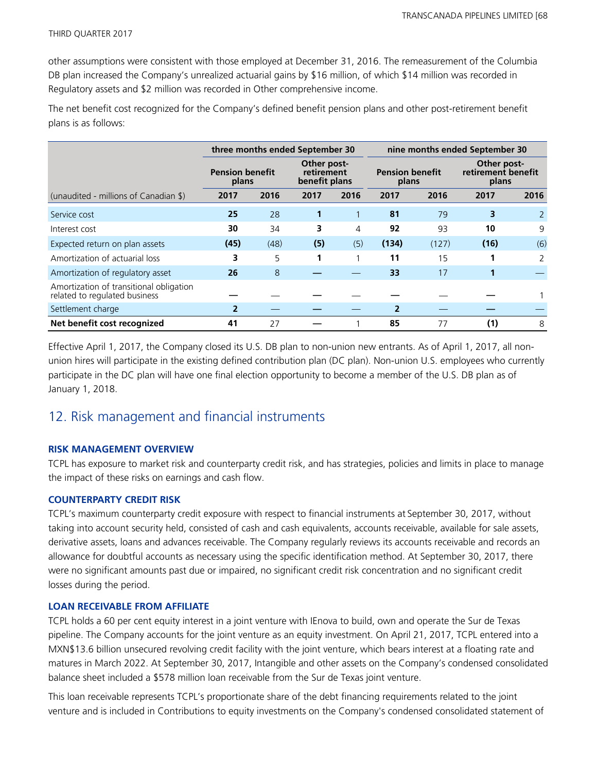other assumptions were consistent with those employed at December 31, 2016. The remeasurement of the Columbia DB plan increased the Company's unrealized actuarial gains by \$16 million, of which \$14 million was recorded in Regulatory assets and \$2 million was recorded in Other comprehensive income.

The net benefit cost recognized for the Company's defined benefit pension plans and other post-retirement benefit plans is as follows:

|                                                                          | three months ended September 30 |                                                                               |      |      | nine months ended September 30 |                                            |      |      |
|--------------------------------------------------------------------------|---------------------------------|-------------------------------------------------------------------------------|------|------|--------------------------------|--------------------------------------------|------|------|
|                                                                          | <b>Pension benefit</b><br>plans | Other post-<br>retirement<br><b>Pension benefit</b><br>benefit plans<br>plans |      |      |                                | Other post-<br>retirement benefit<br>plans |      |      |
| (unaudited - millions of Canadian \$)                                    | 2017                            | 2016                                                                          | 2017 | 2016 | 2017                           | 2016                                       | 2017 | 2016 |
| Service cost                                                             | 25                              | 28                                                                            | 1    | 1    | 81                             | 79                                         | 3    |      |
| Interest cost                                                            | 30                              | 34                                                                            | 3    | 4    | 92                             | 93                                         | 10   | 9    |
| Expected return on plan assets                                           | (45)                            | (48)                                                                          | (5)  | (5)  | (134)                          | (127)                                      | (16) | (6)  |
| Amortization of actuarial loss                                           | 3                               | 5                                                                             | 1    | 1    | 11                             | 15                                         |      | 2    |
| Amortization of regulatory asset                                         | 26                              | 8                                                                             |      |      | 33                             | 17                                         |      |      |
| Amortization of transitional obligation<br>related to regulated business |                                 |                                                                               |      |      |                                |                                            |      |      |
| Settlement charge                                                        | 2                               |                                                                               |      |      | $\mathbf{2}$                   |                                            |      |      |
| Net benefit cost recognized                                              | 41                              | 27                                                                            |      |      | 85                             | 77                                         | (1)  | 8    |

Effective April 1, 2017, the Company closed its U.S. DB plan to non-union new entrants. As of April 1, 2017, all nonunion hires will participate in the existing defined contribution plan (DC plan). Non-union U.S. employees who currently participate in the DC plan will have one final election opportunity to become a member of the U.S. DB plan as of January 1, 2018.

## 12. Risk management and financial instruments

#### **RISK MANAGEMENT OVERVIEW**

TCPL has exposure to market risk and counterparty credit risk, and has strategies, policies and limits in place to manage the impact of these risks on earnings and cash flow.

#### **COUNTERPARTY CREDIT RISK**

TCPL's maximum counterparty credit exposure with respect to financial instruments at September 30, 2017, without taking into account security held, consisted of cash and cash equivalents, accounts receivable, available for sale assets, derivative assets, loans and advances receivable. The Company regularly reviews its accounts receivable and records an allowance for doubtful accounts as necessary using the specific identification method. At September 30, 2017, there were no significant amounts past due or impaired, no significant credit risk concentration and no significant credit losses during the period.

#### **LOAN RECEIVABLE FROM AFFILIATE**

TCPL holds a 60 per cent equity interest in a joint venture with IEnova to build, own and operate the Sur de Texas pipeline. The Company accounts for the joint venture as an equity investment. On April 21, 2017, TCPL entered into a MXN\$13.6 billion unsecured revolving credit facility with the joint venture, which bears interest at a floating rate and matures in March 2022. At September 30, 2017, Intangible and other assets on the Company's condensed consolidated balance sheet included a \$578 million loan receivable from the Sur de Texas joint venture.

This loan receivable represents TCPL's proportionate share of the debt financing requirements related to the joint venture and is included in Contributions to equity investments on the Company's condensed consolidated statement of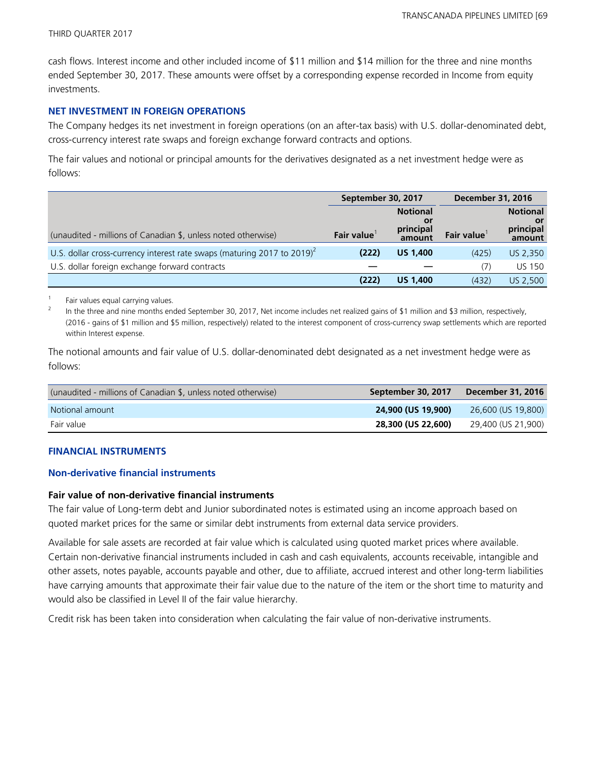cash flows. Interest income and other included income of \$11 million and \$14 million for the three and nine months ended September 30, 2017. These amounts were offset by a corresponding expense recorded in Income from equity investments.

#### **NET INVESTMENT IN FOREIGN OPERATIONS**

The Company hedges its net investment in foreign operations (on an after-tax basis) with U.S. dollar-denominated debt, cross-currency interest rate swaps and foreign exchange forward contracts and options.

The fair values and notional or principal amounts for the derivatives designated as a net investment hedge were as follows:

|                                                                             | September 30, 2017 |                                              | <b>December 31, 2016</b> |                                              |
|-----------------------------------------------------------------------------|--------------------|----------------------------------------------|--------------------------|----------------------------------------------|
| (unaudited - millions of Canadian \$, unless noted otherwise)               | <b>Fair value</b>  | <b>Notional</b><br>0ľ<br>principal<br>amount | <b>Fair value</b>        | <b>Notional</b><br>or<br>principal<br>amount |
| U.S. dollar cross-currency interest rate swaps (maturing 2017 to 2019) $^2$ | (222)              | <b>US 1,400</b>                              | (425)                    | US 2,350                                     |
| U.S. dollar foreign exchange forward contracts                              |                    |                                              | (7)                      | <b>US 150</b>                                |
|                                                                             | (222)              | <b>US 1,400</b>                              | (432)                    | US 2,500                                     |

1 Fair values equal carrying values.

2 In the three and nine months ended September 30, 2017, Net income includes net realized gains of \$1 million and \$3 million, respectively, (2016 - gains of \$1 million and \$5 million, respectively) related to the interest component of cross-currency swap settlements which are reported within Interest expense.

The notional amounts and fair value of U.S. dollar-denominated debt designated as a net investment hedge were as follows:

| (unaudited - millions of Canadian \$, unless noted otherwise) | September 30, 2017 | <b>December 31, 2016</b> |
|---------------------------------------------------------------|--------------------|--------------------------|
| Notional amount                                               | 24,900 (US 19,900) | 26,600 (US 19,800)       |
| Fair value                                                    | 28,300 (US 22,600) | 29,400 (US 21,900)       |

#### **FINANCIAL INSTRUMENTS**

#### **Non-derivative financial instruments**

#### **Fair value of non-derivative financial instruments**

The fair value of Long-term debt and Junior subordinated notes is estimated using an income approach based on quoted market prices for the same or similar debt instruments from external data service providers.

Available for sale assets are recorded at fair value which is calculated using quoted market prices where available. Certain non-derivative financial instruments included in cash and cash equivalents, accounts receivable, intangible and other assets, notes payable, accounts payable and other, due to affiliate, accrued interest and other long-term liabilities have carrying amounts that approximate their fair value due to the nature of the item or the short time to maturity and would also be classified in Level II of the fair value hierarchy.

Credit risk has been taken into consideration when calculating the fair value of non-derivative instruments.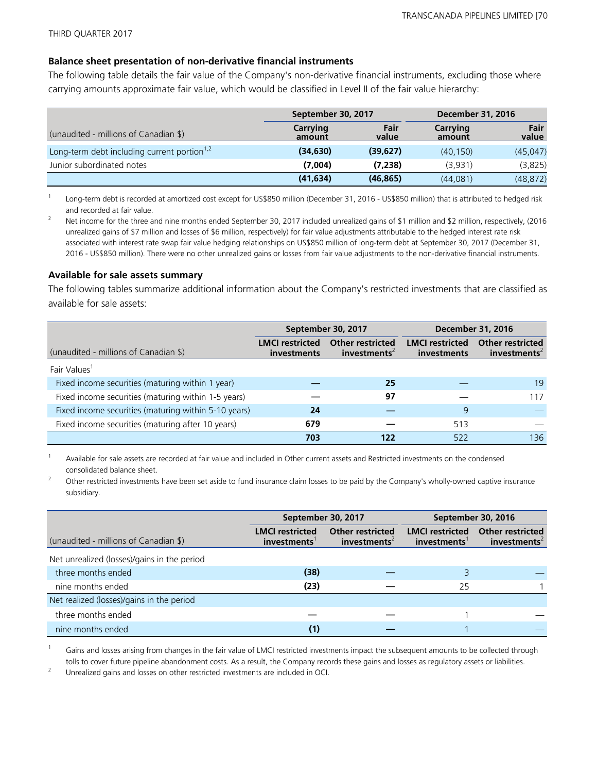#### **Balance sheet presentation of non-derivative financial instruments**

The following table details the fair value of the Company's non-derivative financial instruments, excluding those where carrying amounts approximate fair value, which would be classified in Level II of the fair value hierarchy:

|                                                         | September 30, 2017 |               | <b>December 31, 2016</b> |               |  |
|---------------------------------------------------------|--------------------|---------------|--------------------------|---------------|--|
| (unaudited - millions of Canadian \$)                   | Carrying<br>amount | Fair<br>value | Carrying<br>amount       | Fair<br>value |  |
| Long-term debt including current portion <sup>1,2</sup> | (34, 630)          | (39,627)      | (40, 150)                | (45, 047)     |  |
| Junior subordinated notes                               | (7,004)            | (7,238)       | (3,931)                  | (3,825)       |  |
|                                                         | (41, 634)          | (46, 865)     | (44,081)                 | (48, 872)     |  |

1 Long-term debt is recorded at amortized cost except for US\$850 million (December 31, 2016 - US\$850 million) that is attributed to hedged risk and recorded at fair value.

<sup>2</sup> Net income for the three and nine months ended September 30, 2017 included unrealized gains of \$1 million and \$2 million, respectively, (2016 unrealized gains of \$7 million and losses of \$6 million, respectively) for fair value adjustments attributable to the hedged interest rate risk associated with interest rate swap fair value hedging relationships on US\$850 million of long-term debt at September 30, 2017 (December 31, 2016 - US\$850 million). There were no other unrealized gains or losses from fair value adjustments to the non-derivative financial instruments.

#### **Available for sale assets summary**

The following tables summarize additional information about the Company's restricted investments that are classified as available for sale assets:

|                                                      |                                       | September 30, 2017                                  | <b>December 31, 2016</b>              |                                                     |  |
|------------------------------------------------------|---------------------------------------|-----------------------------------------------------|---------------------------------------|-----------------------------------------------------|--|
| (unaudited - millions of Canadian \$)                | <b>LMCI</b> restricted<br>investments | <b>Other restricted</b><br>investments <sup>2</sup> | <b>LMCI</b> restricted<br>investments | <b>Other restricted</b><br>investments <sup>2</sup> |  |
| Fair Values <sup>1</sup>                             |                                       |                                                     |                                       |                                                     |  |
| Fixed income securities (maturing within 1 year)     |                                       | 25                                                  |                                       | 19                                                  |  |
| Fixed income securities (maturing within 1-5 years)  |                                       | 97                                                  |                                       | 117                                                 |  |
| Fixed income securities (maturing within 5-10 years) | 24                                    |                                                     | 9                                     |                                                     |  |
| Fixed income securities (maturing after 10 years)    | 679                                   |                                                     | 513                                   |                                                     |  |
|                                                      | 703                                   | 122                                                 | 522                                   | 136                                                 |  |

<sup>1</sup> Available for sale assets are recorded at fair value and included in Other current assets and Restricted investments on the condensed consolidated balance sheet.

<sup>2</sup> Other restricted investments have been set aside to fund insurance claim losses to be paid by the Company's wholly-owned captive insurance subsidiary.

|                                             |                                                    |                                                     | September 30, 2016                    |                                                     |  |
|---------------------------------------------|----------------------------------------------------|-----------------------------------------------------|---------------------------------------|-----------------------------------------------------|--|
|                                             | September 30, 2017                                 |                                                     |                                       |                                                     |  |
| (unaudited - millions of Canadian \$)       | <b>LMCI</b> restricted<br>investments <sup>1</sup> | <b>Other restricted</b><br>investments <sup>2</sup> | <b>LMCI restricted</b><br>investments | <b>Other restricted</b><br>investments <sup>2</sup> |  |
| Net unrealized (losses)/gains in the period |                                                    |                                                     |                                       |                                                     |  |
| three months ended                          | (38)                                               |                                                     |                                       |                                                     |  |
| nine months ended                           | (23)                                               |                                                     | 25                                    |                                                     |  |
| Net realized (losses)/gains in the period   |                                                    |                                                     |                                       |                                                     |  |
| three months ended                          |                                                    |                                                     |                                       |                                                     |  |
| nine months ended                           | (1)                                                |                                                     |                                       |                                                     |  |

Gains and losses arising from changes in the fair value of LMCI restricted investments impact the subsequent amounts to be collected through tolls to cover future pipeline abandonment costs. As a result, the Company records these gains and losses as regulatory assets or liabilities.

<sup>2</sup> Unrealized gains and losses on other restricted investments are included in OCI.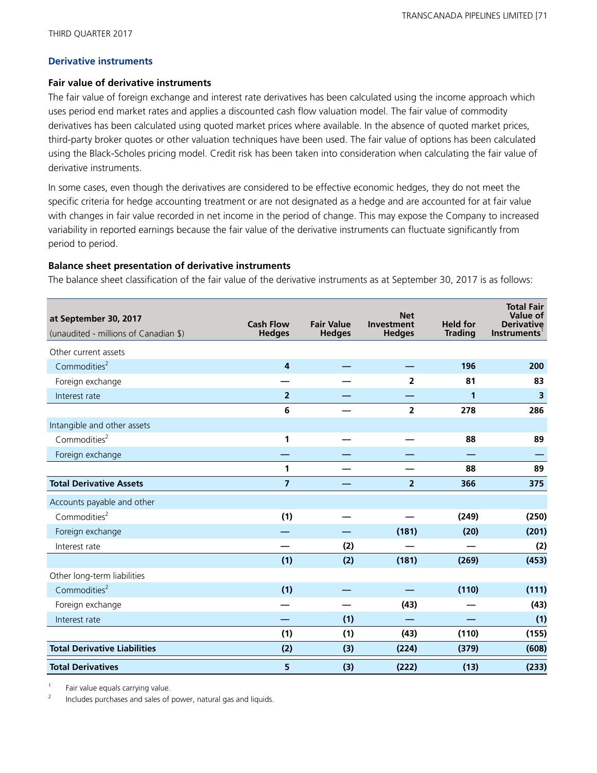#### **Derivative instruments**

#### **Fair value of derivative instruments**

The fair value of foreign exchange and interest rate derivatives has been calculated using the income approach which uses period end market rates and applies a discounted cash flow valuation model. The fair value of commodity derivatives has been calculated using quoted market prices where available. In the absence of quoted market prices, third-party broker quotes or other valuation techniques have been used. The fair value of options has been calculated using the Black-Scholes pricing model. Credit risk has been taken into consideration when calculating the fair value of derivative instruments.

In some cases, even though the derivatives are considered to be effective economic hedges, they do not meet the specific criteria for hedge accounting treatment or are not designated as a hedge and are accounted for at fair value with changes in fair value recorded in net income in the period of change. This may expose the Company to increased variability in reported earnings because the fair value of the derivative instruments can fluctuate significantly from period to period.

#### **Balance sheet presentation of derivative instruments**

The balance sheet classification of the fair value of the derivative instruments as at September 30, 2017 is as follows:

| at September 30, 2017<br>(unaudited - millions of Canadian \$) | <b>Cash Flow</b><br><b>Hedges</b> | <b>Fair Value</b><br><b>Hedges</b> | <b>Net</b><br><b>Investment</b><br><b>Hedges</b> | <b>Held for</b><br><b>Trading</b> | <b>Total Fair</b><br><b>Value of</b><br><b>Derivative</b><br>Instruments |
|----------------------------------------------------------------|-----------------------------------|------------------------------------|--------------------------------------------------|-----------------------------------|--------------------------------------------------------------------------|
| Other current assets                                           |                                   |                                    |                                                  |                                   |                                                                          |
| Commodities <sup>2</sup>                                       | $\overline{\mathbf{4}}$           |                                    |                                                  | 196                               | 200                                                                      |
| Foreign exchange                                               |                                   |                                    | $\overline{2}$                                   | 81                                | 83                                                                       |
| Interest rate                                                  | $\overline{2}$                    |                                    |                                                  | $\mathbf 1$                       | 3                                                                        |
|                                                                | 6                                 |                                    | $\overline{2}$                                   | 278                               | 286                                                                      |
| Intangible and other assets                                    |                                   |                                    |                                                  |                                   |                                                                          |
| Commodities <sup>2</sup>                                       | 1                                 |                                    |                                                  | 88                                | 89                                                                       |
| Foreign exchange                                               |                                   |                                    |                                                  |                                   |                                                                          |
|                                                                | 1                                 |                                    |                                                  | 88                                | 89                                                                       |
| <b>Total Derivative Assets</b>                                 | $\overline{7}$                    |                                    | $\overline{2}$                                   | 366                               | 375                                                                      |
| Accounts payable and other                                     |                                   |                                    |                                                  |                                   |                                                                          |
| Commodities <sup>2</sup>                                       | (1)                               |                                    |                                                  | (249)                             | (250)                                                                    |
| Foreign exchange                                               |                                   |                                    | (181)                                            | (20)                              | (201)                                                                    |
| Interest rate                                                  |                                   | (2)                                |                                                  |                                   | (2)                                                                      |
|                                                                | (1)                               | (2)                                | (181)                                            | (269)                             | (453)                                                                    |
| Other long-term liabilities                                    |                                   |                                    |                                                  |                                   |                                                                          |
| Commodities <sup>2</sup>                                       | (1)                               |                                    |                                                  | (110)                             | (111)                                                                    |
| Foreign exchange                                               |                                   |                                    | (43)                                             |                                   | (43)                                                                     |
| Interest rate                                                  |                                   | (1)                                |                                                  |                                   | (1)                                                                      |
|                                                                | (1)                               | (1)                                | (43)                                             | (110)                             | (155)                                                                    |
| <b>Total Derivative Liabilities</b>                            | (2)                               | (3)                                | (224)                                            | (379)                             | (608)                                                                    |
| <b>Total Derivatives</b>                                       | 5                                 | (3)                                | (222)                                            | (13)                              | (233)                                                                    |

1 Fair value equals carrying value.

2 Includes purchases and sales of power, natural gas and liquids.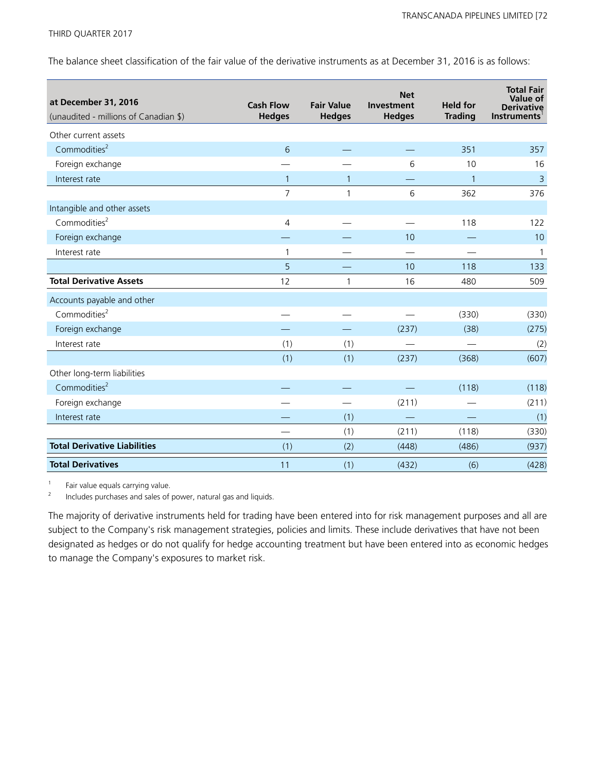The balance sheet classification of the fair value of the derivative instruments as at December 31, 2016 is as follows:

| at December 31, 2016<br>(unaudited - millions of Canadian \$) | <b>Cash Flow</b><br><b>Hedges</b> | <b>Fair Value</b><br><b>Hedges</b> | <b>Net</b><br>Investment<br><b>Hedges</b> | <b>Held for</b><br><b>Trading</b> | <b>Total Fair</b><br><b>Value of</b><br><b>Derivative</b><br><b>Instruments</b> |
|---------------------------------------------------------------|-----------------------------------|------------------------------------|-------------------------------------------|-----------------------------------|---------------------------------------------------------------------------------|
| Other current assets                                          |                                   |                                    |                                           |                                   |                                                                                 |
| Commodities <sup>2</sup>                                      | 6                                 |                                    |                                           | 351                               | 357                                                                             |
| Foreign exchange                                              |                                   |                                    | 6                                         | 10                                | 16                                                                              |
| Interest rate                                                 | $\mathbf{1}$                      | $\mathbf{1}$                       |                                           | $\mathbf 1$                       | $\overline{3}$                                                                  |
|                                                               | $\overline{7}$                    | 1                                  | 6                                         | 362                               | 376                                                                             |
| Intangible and other assets                                   |                                   |                                    |                                           |                                   |                                                                                 |
| Commodities <sup>2</sup>                                      | $\overline{4}$                    |                                    |                                           | 118                               | 122                                                                             |
| Foreign exchange                                              |                                   |                                    | 10                                        |                                   | 10                                                                              |
| Interest rate                                                 | 1                                 |                                    |                                           |                                   | $\mathbf{1}$                                                                    |
|                                                               | 5                                 |                                    | 10                                        | 118                               | 133                                                                             |
| <b>Total Derivative Assets</b>                                | 12                                | $\mathbf{1}$                       | 16                                        | 480                               | 509                                                                             |
| Accounts payable and other                                    |                                   |                                    |                                           |                                   |                                                                                 |
| Commodities <sup>2</sup>                                      |                                   |                                    |                                           | (330)                             | (330)                                                                           |
| Foreign exchange                                              |                                   |                                    | (237)                                     | (38)                              | (275)                                                                           |
| Interest rate                                                 | (1)                               | (1)                                |                                           |                                   | (2)                                                                             |
|                                                               | (1)                               | (1)                                | (237)                                     | (368)                             | (607)                                                                           |
| Other long-term liabilities                                   |                                   |                                    |                                           |                                   |                                                                                 |
| Commodities <sup>2</sup>                                      |                                   |                                    |                                           | (118)                             | (118)                                                                           |
| Foreign exchange                                              |                                   |                                    | (211)                                     |                                   | (211)                                                                           |
| Interest rate                                                 |                                   | (1)                                |                                           |                                   | (1)                                                                             |
|                                                               |                                   | (1)                                | (211)                                     | (118)                             | (330)                                                                           |
| <b>Total Derivative Liabilities</b>                           | (1)                               | (2)                                | (448)                                     | (486)                             | (937)                                                                           |
| <b>Total Derivatives</b>                                      | 11                                | (1)                                | (432)                                     | (6)                               | (428)                                                                           |

1 Fair value equals carrying value.

2 Includes purchases and sales of power, natural gas and liquids.

The majority of derivative instruments held for trading have been entered into for risk management purposes and all are subject to the Company's risk management strategies, policies and limits. These include derivatives that have not been designated as hedges or do not qualify for hedge accounting treatment but have been entered into as economic hedges to manage the Company's exposures to market risk.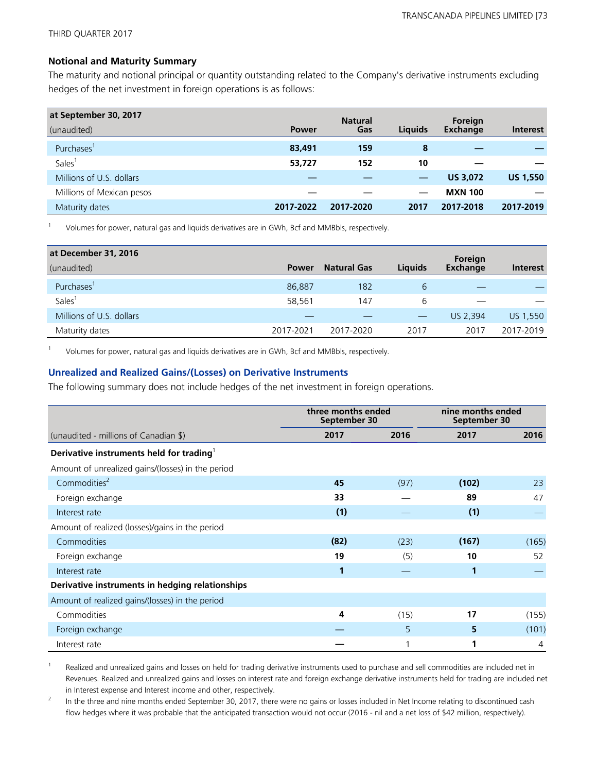#### **Notional and Maturity Summary**

The maturity and notional principal or quantity outstanding related to the Company's derivative instruments excluding hedges of the net investment in foreign operations is as follows:

| at September 30, 2017     |              | <b>Natural</b> |         | Foreign         |                 |
|---------------------------|--------------|----------------|---------|-----------------|-----------------|
| (unaudited)               | <b>Power</b> | Gas            | Liquids | <b>Exchange</b> | <b>Interest</b> |
| Purchases <sup>1</sup>    | 83,491       | 159            | 8       |                 |                 |
| <b>Sales</b>              | 53,727       | 152            | 10      |                 |                 |
| Millions of U.S. dollars  |              |                |         | <b>US 3,072</b> | <b>US 1,550</b> |
| Millions of Mexican pesos |              |                |         | <b>MXN 100</b>  |                 |
| Maturity dates            | 2017-2022    | 2017-2020      | 2017    | 2017-2018       | 2017-2019       |

1 Volumes for power, natural gas and liquids derivatives are in GWh, Bcf and MMBbls, respectively.

| at December 31, 2016     |              |                    |                | Foreign         |                 |
|--------------------------|--------------|--------------------|----------------|-----------------|-----------------|
| (unaudited)              | <b>Power</b> | <b>Natural Gas</b> | <b>Liquids</b> | <b>Exchange</b> | <b>Interest</b> |
| Purchases'               | 86,887       | 182                | 6              |                 |                 |
| <b>Sales</b>             | 58,561       | 147                | 6              |                 |                 |
| Millions of U.S. dollars |              |                    |                | US 2.394        | US 1,550        |
| Maturity dates           | 2017-2021    | 2017-2020          | 2017           | 2017            | 2017-2019       |

1 Volumes for power, natural gas and liquids derivatives are in GWh, Bcf and MMBbls, respectively.

#### **Unrealized and Realized Gains/(Losses) on Derivative Instruments**

The following summary does not include hedges of the net investment in foreign operations.

|                                                   |      | three months ended<br>September 30 |       | nine months ended<br>September 30 |  |
|---------------------------------------------------|------|------------------------------------|-------|-----------------------------------|--|
| (unaudited - millions of Canadian \$)             | 2017 | 2016                               | 2017  | 2016                              |  |
| Derivative instruments held for trading           |      |                                    |       |                                   |  |
| Amount of unrealized gains/(losses) in the period |      |                                    |       |                                   |  |
| Commodities <sup>2</sup>                          | 45   | (97)                               | (102) | 23                                |  |
| Foreign exchange                                  | 33   |                                    | 89    | 47                                |  |
| Interest rate                                     | (1)  |                                    | (1)   |                                   |  |
| Amount of realized (losses)/gains in the period   |      |                                    |       |                                   |  |
| Commodities                                       | (82) | (23)                               | (167) | (165)                             |  |
| Foreign exchange                                  | 19   | (5)                                | 10    | 52                                |  |
| Interest rate                                     | 1    |                                    | 1     |                                   |  |
| Derivative instruments in hedging relationships   |      |                                    |       |                                   |  |
| Amount of realized gains/(losses) in the period   |      |                                    |       |                                   |  |
| Commodities                                       | 4    | (15)                               | 17    | (155)                             |  |
| Foreign exchange                                  |      | 5                                  | 5     | (101)                             |  |
| Interest rate                                     |      |                                    | 1     | 4                                 |  |

1 Realized and unrealized gains and losses on held for trading derivative instruments used to purchase and sell commodities are included net in Revenues. Realized and unrealized gains and losses on interest rate and foreign exchange derivative instruments held for trading are included net in Interest expense and Interest income and other, respectively.

2 In the three and nine months ended September 30, 2017, there were no gains or losses included in Net Income relating to discontinued cash flow hedges where it was probable that the anticipated transaction would not occur (2016 - nil and a net loss of \$42 million, respectively).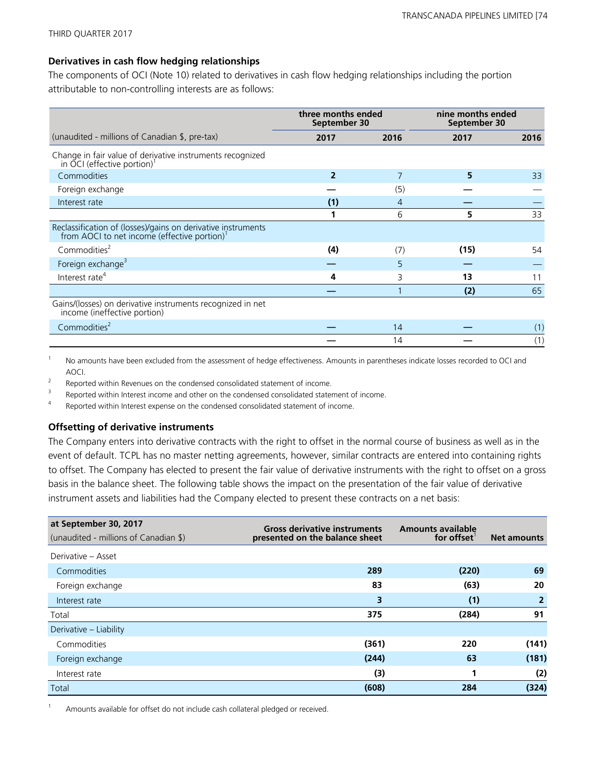## **Derivatives in cash flow hedging relationships**

The components of OCI (Note 10) related to derivatives in cash flow hedging relationships including the portion attributable to non-controlling interests are as follows:

|                                                                                                                          | three months ended<br>September 30 |      | nine months ended<br>September 30 |      |
|--------------------------------------------------------------------------------------------------------------------------|------------------------------------|------|-----------------------------------|------|
| (unaudited - millions of Canadian \$, pre-tax)                                                                           | 2017                               | 2016 | 2017                              | 2016 |
| Change in fair value of derivative instruments recognized<br>in OCI (effective portion) <sup>1</sup>                     |                                    |      |                                   |      |
| Commodities                                                                                                              | $\mathfrak{p}$                     |      | 5                                 | 33   |
| Foreign exchange                                                                                                         |                                    | (5)  |                                   |      |
| Interest rate                                                                                                            | (1)                                | 4    |                                   |      |
|                                                                                                                          |                                    | 6    | 5                                 | 33   |
| Reclassification of (losses)/gains on derivative instruments<br>from AOCI to net income (effective portion) <sup>1</sup> |                                    |      |                                   |      |
| Commodities <sup>2</sup>                                                                                                 | (4)                                | (7)  | (15)                              | 54   |
| Foreign exchange <sup>3</sup>                                                                                            |                                    | 5    |                                   |      |
| Interest rate <sup>4</sup>                                                                                               | 4                                  | 3    | 13                                | 11   |
|                                                                                                                          |                                    |      | (2)                               | 65   |
| Gains/(losses) on derivative instruments recognized in net<br>income (ineffective portion)                               |                                    |      |                                   |      |
| Commodities <sup>2</sup>                                                                                                 |                                    | 14   |                                   | (1)  |
|                                                                                                                          |                                    | 14   |                                   | (1)  |

<sup>1</sup> No amounts have been excluded from the assessment of hedge effectiveness. Amounts in parentheses indicate losses recorded to OCI and AOCI.

 $\overline{2}$ Reported within Revenues on the condensed consolidated statement of income.

3 Reported within Interest income and other on the condensed consolidated statement of income.

4 Reported within Interest expense on the condensed consolidated statement of income.

#### **Offsetting of derivative instruments**

The Company enters into derivative contracts with the right to offset in the normal course of business as well as in the event of default. TCPL has no master netting agreements, however, similar contracts are entered into containing rights to offset. The Company has elected to present the fair value of derivative instruments with the right to offset on a gross basis in the balance sheet. The following table shows the impact on the presentation of the fair value of derivative instrument assets and liabilities had the Company elected to present these contracts on a net basis:

| at September 30, 2017<br>(unaudited - millions of Canadian \$) | <b>Gross derivative instruments</b><br>presented on the balance sheet | <b>Amounts available</b><br>for offset | <b>Net amounts</b> |
|----------------------------------------------------------------|-----------------------------------------------------------------------|----------------------------------------|--------------------|
| Derivative - Asset                                             |                                                                       |                                        |                    |
| Commodities                                                    | 289                                                                   | (220)                                  | 69                 |
| Foreign exchange                                               | 83                                                                    | (63)                                   | 20                 |
| Interest rate                                                  | 3                                                                     | (1)                                    | $\overline{2}$     |
| Total                                                          | 375                                                                   | (284)                                  | 91                 |
| Derivative – Liability                                         |                                                                       |                                        |                    |
| Commodities                                                    | (361)                                                                 | 220                                    | (141)              |
| Foreign exchange                                               | (244)                                                                 | 63                                     | (181)              |
| Interest rate                                                  | (3)                                                                   |                                        | (2)                |
| Total                                                          | (608)                                                                 | 284                                    | (324)              |

Amounts available for offset do not include cash collateral pledged or received.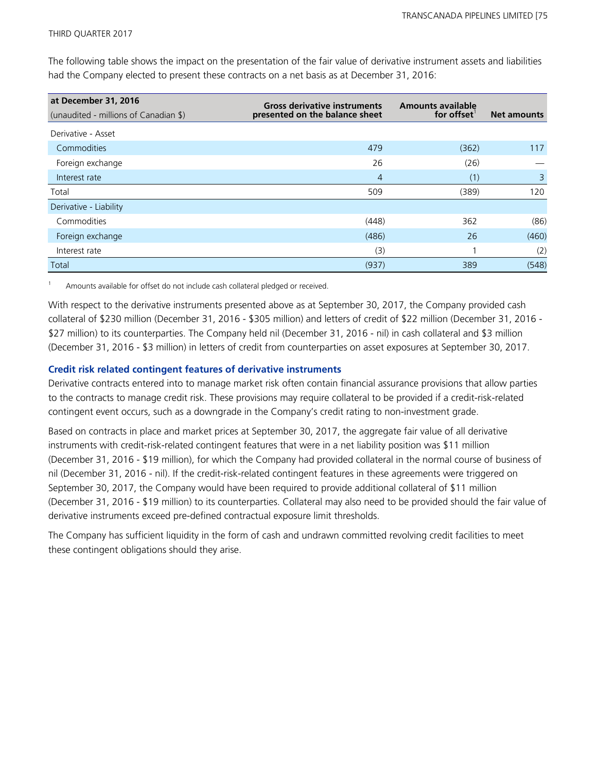The following table shows the impact on the presentation of the fair value of derivative instrument assets and liabilities had the Company elected to present these contracts on a net basis as at December 31, 2016:

| at December 31, 2016                  | <b>Gross derivative instruments</b> | <b>Amounts available</b> |                    |
|---------------------------------------|-------------------------------------|--------------------------|--------------------|
| (unaudited - millions of Canadian \$) | presented on the balance sheet      | for offset               | <b>Net amounts</b> |
| Derivative - Asset                    |                                     |                          |                    |
| Commodities                           | 479                                 | (362)                    | 117                |
| Foreign exchange                      | 26                                  | (26)                     |                    |
| Interest rate                         | $\overline{4}$                      | (1)                      | 3                  |
| Total                                 | 509                                 | (389)                    | 120                |
| Derivative - Liability                |                                     |                          |                    |
| Commodities                           | (448)                               | 362                      | (86)               |
| Foreign exchange                      | (486)                               | 26                       | (460)              |
| Interest rate                         | (3)                                 |                          | (2)                |
| Total                                 | (937)                               | 389                      | (548)              |

Amounts available for offset do not include cash collateral pledged or received.

With respect to the derivative instruments presented above as at September 30, 2017, the Company provided cash collateral of \$230 million (December 31, 2016 - \$305 million) and letters of credit of \$22 million (December 31, 2016 - \$27 million) to its counterparties. The Company held nil (December 31, 2016 - nil) in cash collateral and \$3 million (December 31, 2016 - \$3 million) in letters of credit from counterparties on asset exposures at September 30, 2017.

#### **Credit risk related contingent features of derivative instruments**

Derivative contracts entered into to manage market risk often contain financial assurance provisions that allow parties to the contracts to manage credit risk. These provisions may require collateral to be provided if a credit-risk-related contingent event occurs, such as a downgrade in the Company's credit rating to non-investment grade.

Based on contracts in place and market prices at September 30, 2017, the aggregate fair value of all derivative instruments with credit-risk-related contingent features that were in a net liability position was \$11 million (December 31, 2016 - \$19 million), for which the Company had provided collateral in the normal course of business of nil (December 31, 2016 - nil). If the credit-risk-related contingent features in these agreements were triggered on September 30, 2017, the Company would have been required to provide additional collateral of \$11 million (December 31, 2016 - \$19 million) to its counterparties. Collateral may also need to be provided should the fair value of derivative instruments exceed pre-defined contractual exposure limit thresholds.

The Company has sufficient liquidity in the form of cash and undrawn committed revolving credit facilities to meet these contingent obligations should they arise.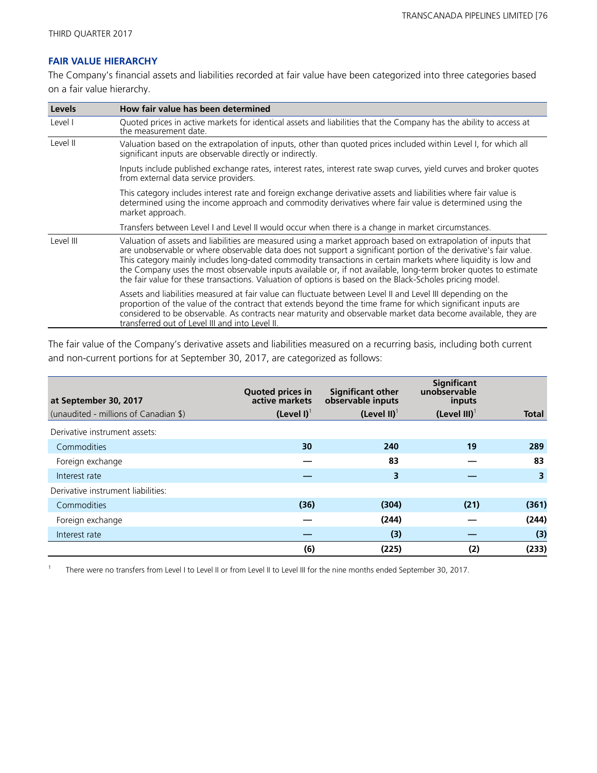1

## **FAIR VALUE HIERARCHY**

The Company's financial assets and liabilities recorded at fair value have been categorized into three categories based on a fair value hierarchy.

| Levels    | How fair value has been determined                                                                                                                                                                                                                                                                                                                                                                                                                                                                                                                                                 |
|-----------|------------------------------------------------------------------------------------------------------------------------------------------------------------------------------------------------------------------------------------------------------------------------------------------------------------------------------------------------------------------------------------------------------------------------------------------------------------------------------------------------------------------------------------------------------------------------------------|
| Level I   | Quoted prices in active markets for identical assets and liabilities that the Company has the ability to access at<br>the measurement date.                                                                                                                                                                                                                                                                                                                                                                                                                                        |
| Level II  | Valuation based on the extrapolation of inputs, other than quoted prices included within Level I, for which all<br>significant inputs are observable directly or indirectly.                                                                                                                                                                                                                                                                                                                                                                                                       |
|           | Inputs include published exchange rates, interest rates, interest rate swap curves, yield curves and broker quotes<br>from external data service providers.                                                                                                                                                                                                                                                                                                                                                                                                                        |
|           | This category includes interest rate and foreign exchange derivative assets and liabilities where fair value is<br>determined using the income approach and commodity derivatives where fair value is determined using the<br>market approach.                                                                                                                                                                                                                                                                                                                                     |
|           | Transfers between Level I and Level II would occur when there is a change in market circumstances.                                                                                                                                                                                                                                                                                                                                                                                                                                                                                 |
| Level III | Valuation of assets and liabilities are measured using a market approach based on extrapolation of inputs that<br>are unobservable or where observable data does not support a significant portion of the derivative's fair value.<br>This category mainly includes long-dated commodity transactions in certain markets where liquidity is low and<br>the Company uses the most observable inputs available or, if not available, long-term broker quotes to estimate<br>the fair value for these transactions. Valuation of options is based on the Black-Scholes pricing model. |
|           | Assets and liabilities measured at fair value can fluctuate between Level II and Level III depending on the<br>proportion of the value of the contract that extends beyond the time frame for which significant inputs are<br>considered to be observable. As contracts near maturity and observable market data become available, they are<br>transferred out of Level III and into Level II.                                                                                                                                                                                     |

The fair value of the Company's derivative assets and liabilities measured on a recurring basis, including both current and non-current portions for at September 30, 2017, are categorized as follows:

| at September 30, 2017                 | <b>Quoted prices in</b><br>active markets | <b>Significant other</b><br>observable inputs | <b>Significant</b><br>unobservable<br>inputs |       |
|---------------------------------------|-------------------------------------------|-----------------------------------------------|----------------------------------------------|-------|
| (unaudited - millions of Canadian \$) | $(Level I)^T$                             | $(Level II)^T$                                | $(Level III)^T$                              | Total |
| Derivative instrument assets:         |                                           |                                               |                                              |       |
| Commodities                           | 30                                        | 240                                           | 19                                           | 289   |
| Foreign exchange                      |                                           | 83                                            |                                              | 83    |
| Interest rate                         |                                           | 3                                             |                                              | 3     |
| Derivative instrument liabilities:    |                                           |                                               |                                              |       |
| Commodities                           | (36)                                      | (304)                                         | (21)                                         | (361) |
| Foreign exchange                      |                                           | (244)                                         |                                              | (244) |
| Interest rate                         |                                           | (3)                                           |                                              | (3)   |
|                                       | (6)                                       | (225)                                         | (2)                                          | (233) |

There were no transfers from Level I to Level II or from Level II to Level III for the nine months ended September 30, 2017.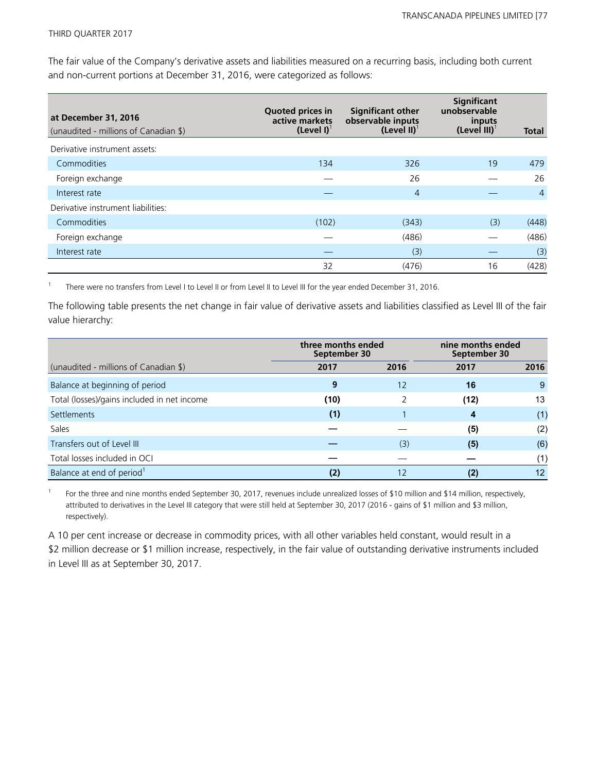The fair value of the Company's derivative assets and liabilities measured on a recurring basis, including both current and non-current portions at December 31, 2016, were categorized as follows:

| at December 31, 2016<br>(unaudited - millions of Canadian \$) | <b>Quoted prices in</b><br>active markets<br>$(Level I)^T$ | <b>Significant other</b><br>observable inputs<br>(Level II) <sup>1</sup> | Significant<br>unobservable<br>inputs<br>$(Level III)^{T}$ | <b>Total</b>   |
|---------------------------------------------------------------|------------------------------------------------------------|--------------------------------------------------------------------------|------------------------------------------------------------|----------------|
| Derivative instrument assets:                                 |                                                            |                                                                          |                                                            |                |
| Commodities                                                   | 134                                                        | 326                                                                      | 19                                                         | 479            |
| Foreign exchange                                              |                                                            | 26                                                                       |                                                            | 26             |
| Interest rate                                                 |                                                            | $\overline{4}$                                                           |                                                            | $\overline{4}$ |
| Derivative instrument liabilities:                            |                                                            |                                                                          |                                                            |                |
| Commodities                                                   | (102)                                                      | (343)                                                                    | (3)                                                        | (448)          |
| Foreign exchange                                              |                                                            | (486)                                                                    |                                                            | (486)          |
| Interest rate                                                 |                                                            | (3)                                                                      |                                                            | (3)            |
|                                                               | 32                                                         | (476)                                                                    | 16                                                         | (428)          |

1 There were no transfers from Level I to Level II or from Level II to Level III for the year ended December 31, 2016.

The following table presents the net change in fair value of derivative assets and liabilities classified as Level III of the fair value hierarchy:

|                                             | three months ended<br>September 30 |      | nine months ended<br>September 30 |      |
|---------------------------------------------|------------------------------------|------|-----------------------------------|------|
| (unaudited - millions of Canadian \$)       | 2017                               | 2016 | 2017                              | 2016 |
| Balance at beginning of period              | 9                                  | 12   | 16                                | 9    |
| Total (losses)/gains included in net income | (10)                               |      | (12)                              | 13   |
| Settlements                                 | (1)                                |      | 4                                 | (1)  |
| Sales                                       |                                    |      | (5)                               | (2)  |
| Transfers out of Level III                  |                                    | (3)  | (5)                               | (6)  |
| Total losses included in OCI                |                                    |      |                                   | (1)  |
| Balance at end of period <sup>1</sup>       |                                    | 12   | $\bf (2)$                         | 12   |

1 For the three and nine months ended September 30, 2017, revenues include unrealized losses of \$10 million and \$14 million, respectively, attributed to derivatives in the Level III category that were still held at September 30, 2017 (2016 - gains of \$1 million and \$3 million, respectively).

A 10 per cent increase or decrease in commodity prices, with all other variables held constant, would result in a \$2 million decrease or \$1 million increase, respectively, in the fair value of outstanding derivative instruments included in Level III as at September 30, 2017.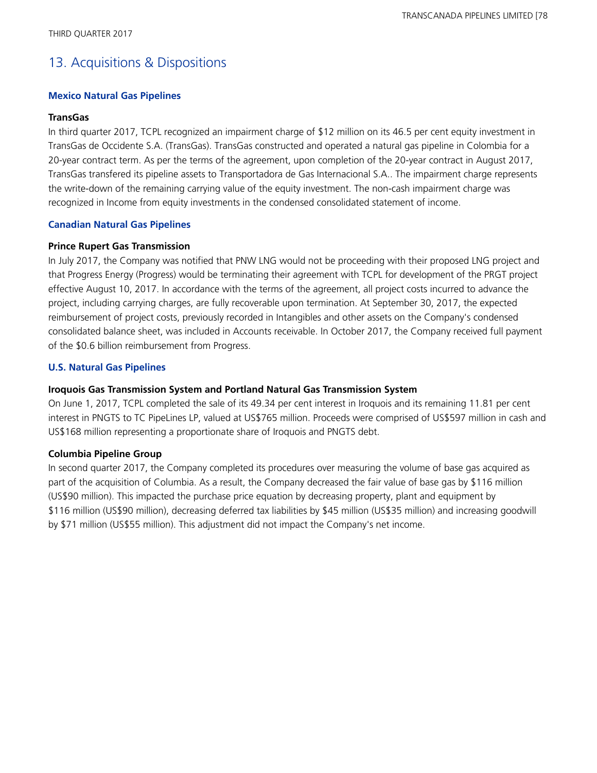# 13. Acquisitions & Dispositions

## **Mexico Natural Gas Pipelines**

### **TransGas**

In third quarter 2017, TCPL recognized an impairment charge of \$12 million on its 46.5 per cent equity investment in TransGas de Occidente S.A. (TransGas). TransGas constructed and operated a natural gas pipeline in Colombia for a 20-year contract term. As per the terms of the agreement, upon completion of the 20-year contract in August 2017, TransGas transfered its pipeline assets to Transportadora de Gas Internacional S.A.. The impairment charge represents the write-down of the remaining carrying value of the equity investment. The non-cash impairment charge was recognized in Income from equity investments in the condensed consolidated statement of income.

## **Canadian Natural Gas Pipelines**

#### **Prince Rupert Gas Transmission**

In July 2017, the Company was notified that PNW LNG would not be proceeding with their proposed LNG project and that Progress Energy (Progress) would be terminating their agreement with TCPL for development of the PRGT project effective August 10, 2017. In accordance with the terms of the agreement, all project costs incurred to advance the project, including carrying charges, are fully recoverable upon termination. At September 30, 2017, the expected reimbursement of project costs, previously recorded in Intangibles and other assets on the Company's condensed consolidated balance sheet, was included in Accounts receivable. In October 2017, the Company received full payment of the \$0.6 billion reimbursement from Progress.

## **U.S. Natural Gas Pipelines**

## **Iroquois Gas Transmission System and Portland Natural Gas Transmission System**

On June 1, 2017, TCPL completed the sale of its 49.34 per cent interest in Iroquois and its remaining 11.81 per cent interest in PNGTS to TC PipeLines LP, valued at US\$765 million. Proceeds were comprised of US\$597 million in cash and US\$168 million representing a proportionate share of Iroquois and PNGTS debt.

## **Columbia Pipeline Group**

In second quarter 2017, the Company completed its procedures over measuring the volume of base gas acquired as part of the acquisition of Columbia. As a result, the Company decreased the fair value of base gas by \$116 million (US\$90 million). This impacted the purchase price equation by decreasing property, plant and equipment by \$116 million (US\$90 million), decreasing deferred tax liabilities by \$45 million (US\$35 million) and increasing goodwill by \$71 million (US\$55 million). This adjustment did not impact the Company's net income.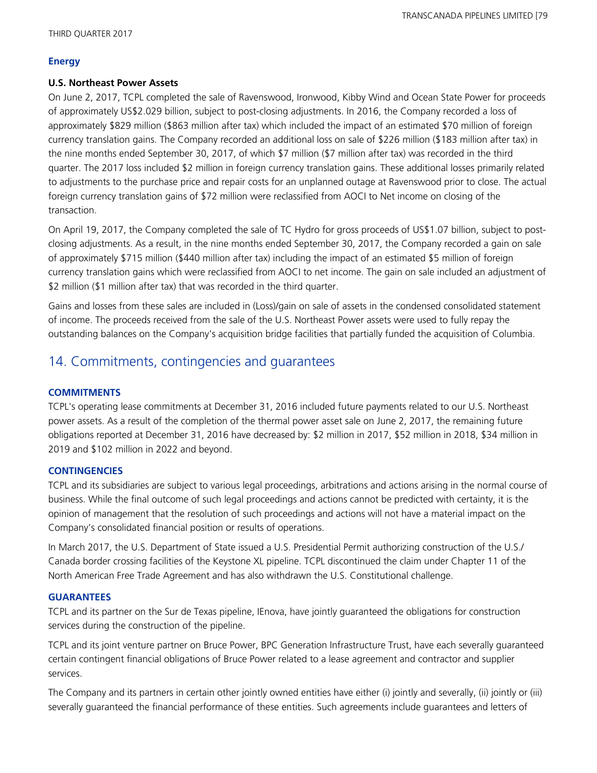## **Energy**

## **U.S. Northeast Power Assets**

On June 2, 2017, TCPL completed the sale of Ravenswood, Ironwood, Kibby Wind and Ocean State Power for proceeds of approximately US\$2.029 billion, subject to post-closing adjustments. In 2016, the Company recorded a loss of approximately \$829 million (\$863 million after tax) which included the impact of an estimated \$70 million of foreign currency translation gains. The Company recorded an additional loss on sale of \$226 million (\$183 million after tax) in the nine months ended September 30, 2017, of which \$7 million (\$7 million after tax) was recorded in the third quarter. The 2017 loss included \$2 million in foreign currency translation gains. These additional losses primarily related to adjustments to the purchase price and repair costs for an unplanned outage at Ravenswood prior to close. The actual foreign currency translation gains of \$72 million were reclassified from AOCI to Net income on closing of the transaction.

On April 19, 2017, the Company completed the sale of TC Hydro for gross proceeds of US\$1.07 billion, subject to postclosing adjustments. As a result, in the nine months ended September 30, 2017, the Company recorded a gain on sale of approximately \$715 million (\$440 million after tax) including the impact of an estimated \$5 million of foreign currency translation gains which were reclassified from AOCI to net income. The gain on sale included an adjustment of \$2 million (\$1 million after tax) that was recorded in the third quarter.

Gains and losses from these sales are included in (Loss)/gain on sale of assets in the condensed consolidated statement of income. The proceeds received from the sale of the U.S. Northeast Power assets were used to fully repay the outstanding balances on the Company's acquisition bridge facilities that partially funded the acquisition of Columbia.

# 14. Commitments, contingencies and guarantees

## **COMMITMENTS**

TCPL's operating lease commitments at December 31, 2016 included future payments related to our U.S. Northeast power assets. As a result of the completion of the thermal power asset sale on June 2, 2017, the remaining future obligations reported at December 31, 2016 have decreased by: \$2 million in 2017, \$52 million in 2018, \$34 million in 2019 and \$102 million in 2022 and beyond.

## **CONTINGENCIES**

TCPL and its subsidiaries are subject to various legal proceedings, arbitrations and actions arising in the normal course of business. While the final outcome of such legal proceedings and actions cannot be predicted with certainty, it is the opinion of management that the resolution of such proceedings and actions will not have a material impact on the Company's consolidated financial position or results of operations.

In March 2017, the U.S. Department of State issued a U.S. Presidential Permit authorizing construction of the U.S./ Canada border crossing facilities of the Keystone XL pipeline. TCPL discontinued the claim under Chapter 11 of the North American Free Trade Agreement and has also withdrawn the U.S. Constitutional challenge.

## **GUARANTEES**

TCPL and its partner on the Sur de Texas pipeline, IEnova, have jointly guaranteed the obligations for construction services during the construction of the pipeline.

TCPL and its joint venture partner on Bruce Power, BPC Generation Infrastructure Trust, have each severally guaranteed certain contingent financial obligations of Bruce Power related to a lease agreement and contractor and supplier services.

The Company and its partners in certain other jointly owned entities have either (i) jointly and severally, (ii) jointly or (iii) severally guaranteed the financial performance of these entities. Such agreements include guarantees and letters of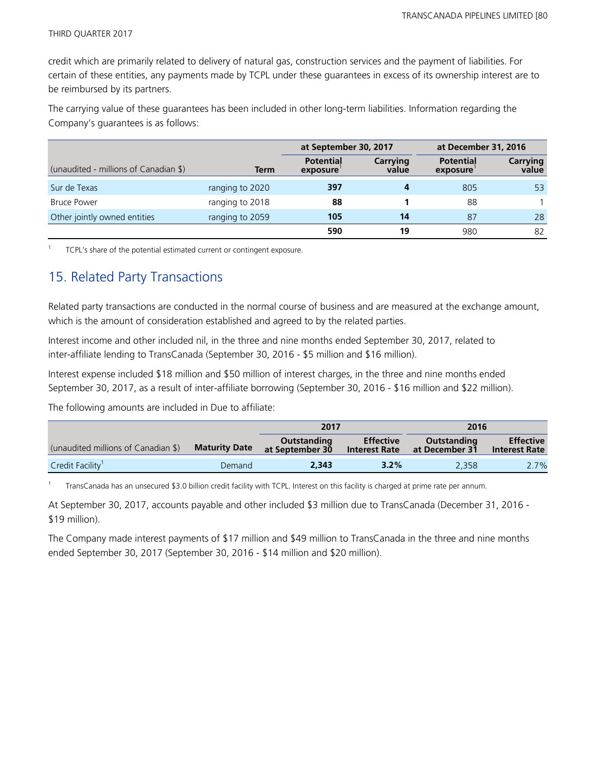credit which are primarily related to delivery of natural gas, construction services and the payment of liabilities. For certain of these entities, any payments made by TCPL under these guarantees in excess of its ownership interest are to be reimbursed by its partners.

The carrying value of these guarantees has been included in other long-term liabilities. Information regarding the Company's guarantees is as follows:

|                                       |                 | at September 30, 2017        |                   | at December 31, 2016         |                          |
|---------------------------------------|-----------------|------------------------------|-------------------|------------------------------|--------------------------|
| (unaudited - millions of Canadian \$) | <b>Term</b>     | <b>Potential</b><br>exposure | Carrying<br>value | <b>Potential</b><br>exposure | <b>Carrying</b><br>value |
| Sur de Texas                          | ranging to 2020 | 397                          | 4                 | 805                          | 53                       |
| <b>Bruce Power</b>                    | ranging to 2018 | 88                           |                   | 88                           |                          |
| Other jointly owned entities          | ranging to 2059 | 105                          | 14                | 87                           | 28                       |
|                                       |                 | 590                          | 19                | 980                          | 82                       |

1 TCPL's share of the potential estimated current or contingent exposure.

# 15. Related Party Transactions

Related party transactions are conducted in the normal course of business and are measured at the exchange amount, which is the amount of consideration established and agreed to by the related parties.

Interest income and other included nil, in the three and nine months ended September 30, 2017, related to inter-affiliate lending to TransCanada (September 30, 2016 - \$5 million and \$16 million).

Interest expense included \$18 million and \$50 million of interest charges, in the three and nine months ended September 30, 2017, as a result of inter-affiliate borrowing (September 30, 2016 - \$16 million and \$22 million).

The following amounts are included in Due to affiliate:

|                                     |                      | 2017                           |                                          | 2016                          |                                          |
|-------------------------------------|----------------------|--------------------------------|------------------------------------------|-------------------------------|------------------------------------------|
| (unaudited millions of Canadian \$) | <b>Maturity Date</b> | Outstanding<br>at September 30 | <b>Effective</b><br><b>Interest Rate</b> | Outstanding<br>at December 31 | <b>Effective</b><br><b>Interest Rate</b> |
| Credit Facility <sup>1</sup>        | Demand               | 2,343                          | $3.2\%$                                  | 2.358                         | 2.7%                                     |

1 TransCanada has an unsecured \$3.0 billion credit facility with TCPL. Interest on this facility is charged at prime rate per annum.

At September 30, 2017, accounts payable and other included \$3 million due to TransCanada (December 31, 2016 - \$19 million).

The Company made interest payments of \$17 million and \$49 million to TransCanada in the three and nine months ended September 30, 2017 (September 30, 2016 - \$14 million and \$20 million).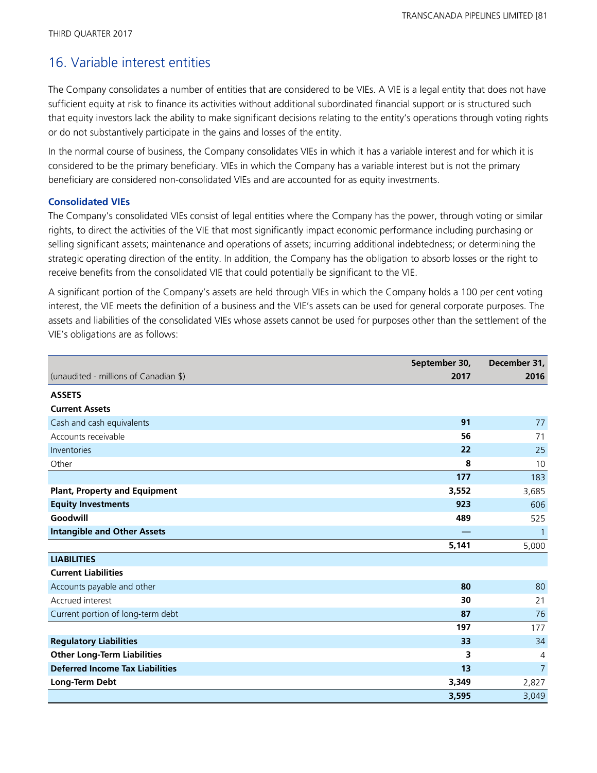# 16. Variable interest entities

The Company consolidates a number of entities that are considered to be VIEs. A VIE is a legal entity that does not have sufficient equity at risk to finance its activities without additional subordinated financial support or is structured such that equity investors lack the ability to make significant decisions relating to the entity's operations through voting rights or do not substantively participate in the gains and losses of the entity.

In the normal course of business, the Company consolidates VIEs in which it has a variable interest and for which it is considered to be the primary beneficiary. VIEs in which the Company has a variable interest but is not the primary beneficiary are considered non-consolidated VIEs and are accounted for as equity investments.

## **Consolidated VIEs**

The Company's consolidated VIEs consist of legal entities where the Company has the power, through voting or similar rights, to direct the activities of the VIE that most significantly impact economic performance including purchasing or selling significant assets; maintenance and operations of assets; incurring additional indebtedness; or determining the strategic operating direction of the entity. In addition, the Company has the obligation to absorb losses or the right to receive benefits from the consolidated VIE that could potentially be significant to the VIE.

A significant portion of the Company's assets are held through VIEs in which the Company holds a 100 per cent voting interest, the VIE meets the definition of a business and the VIE's assets can be used for general corporate purposes. The assets and liabilities of the consolidated VIEs whose assets cannot be used for purposes other than the settlement of the VIE's obligations are as follows:

|                                        | September 30, | December 31,   |
|----------------------------------------|---------------|----------------|
| (unaudited - millions of Canadian \$)  | 2017          | 2016           |
| <b>ASSETS</b>                          |               |                |
| <b>Current Assets</b>                  |               |                |
| Cash and cash equivalents              | 91            | 77             |
| Accounts receivable                    | 56            | 71             |
| Inventories                            | 22            | 25             |
| Other                                  | 8             | 10             |
|                                        | 177           | 183            |
| <b>Plant, Property and Equipment</b>   | 3,552         | 3,685          |
| <b>Equity Investments</b>              | 923           | 606            |
| Goodwill                               | 489           | 525            |
| <b>Intangible and Other Assets</b>     |               | $\mathbf{1}$   |
|                                        | 5,141         | 5,000          |
| <b>LIABILITIES</b>                     |               |                |
| <b>Current Liabilities</b>             |               |                |
| Accounts payable and other             | 80            | 80             |
| Accrued interest                       | 30            | 21             |
| Current portion of long-term debt      | 87            | 76             |
|                                        | 197           | 177            |
| <b>Regulatory Liabilities</b>          | 33            | 34             |
| <b>Other Long-Term Liabilities</b>     | 3             | 4              |
| <b>Deferred Income Tax Liabilities</b> | 13            | $\overline{7}$ |
| Long-Term Debt                         | 3,349         | 2,827          |
|                                        | 3,595         | 3,049          |